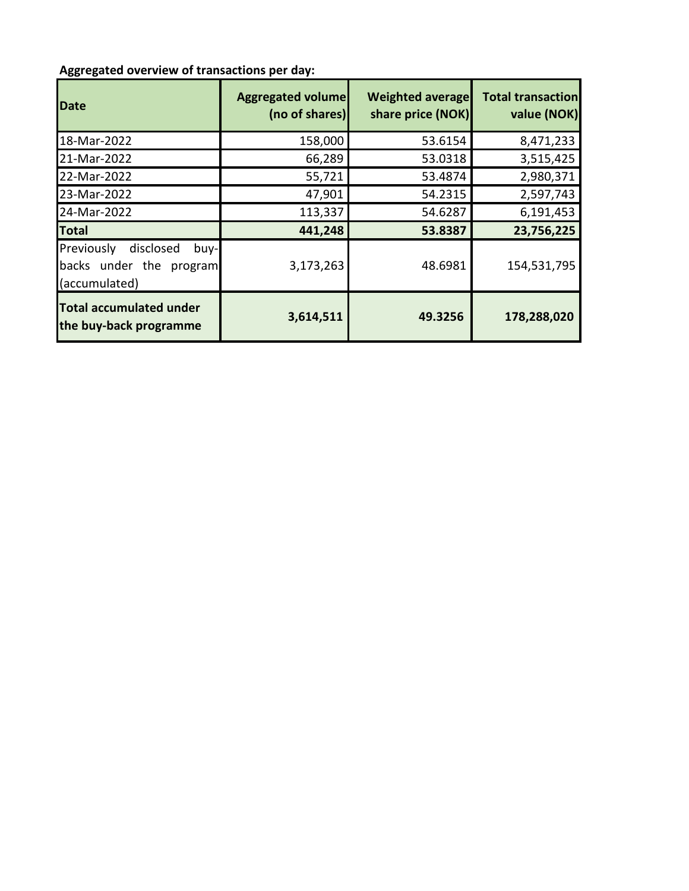## **Aggregated overview of transactions per day:**

| Date                                                                         | <b>Aggregated volume</b><br>(no of shares) | <b>Weighted average</b><br>share price (NOK) | <b>Total transaction</b><br>value (NOK) |
|------------------------------------------------------------------------------|--------------------------------------------|----------------------------------------------|-----------------------------------------|
| 18-Mar-2022                                                                  | 158,000                                    | 53.6154                                      | 8,471,233                               |
| 21-Mar-2022                                                                  | 66,289                                     | 53.0318                                      | 3,515,425                               |
| 22-Mar-2022                                                                  | 55,721                                     | 53.4874                                      | 2,980,371                               |
| 23-Mar-2022                                                                  | 47,901                                     | 54.2315                                      | 2,597,743                               |
| 24-Mar-2022                                                                  | 113,337                                    | 54.6287                                      | 6,191,453                               |
| <b>Total</b>                                                                 | 441,248                                    | 53.8387                                      | 23,756,225                              |
| Previously<br>disclosed<br>buy-l<br>backs under the program<br>(accumulated) | 3,173,263                                  | 48.6981                                      | 154,531,795                             |
| <b>Total accumulated under</b><br>the buy-back programme                     | 3,614,511                                  | 49.3256                                      | 178,288,020                             |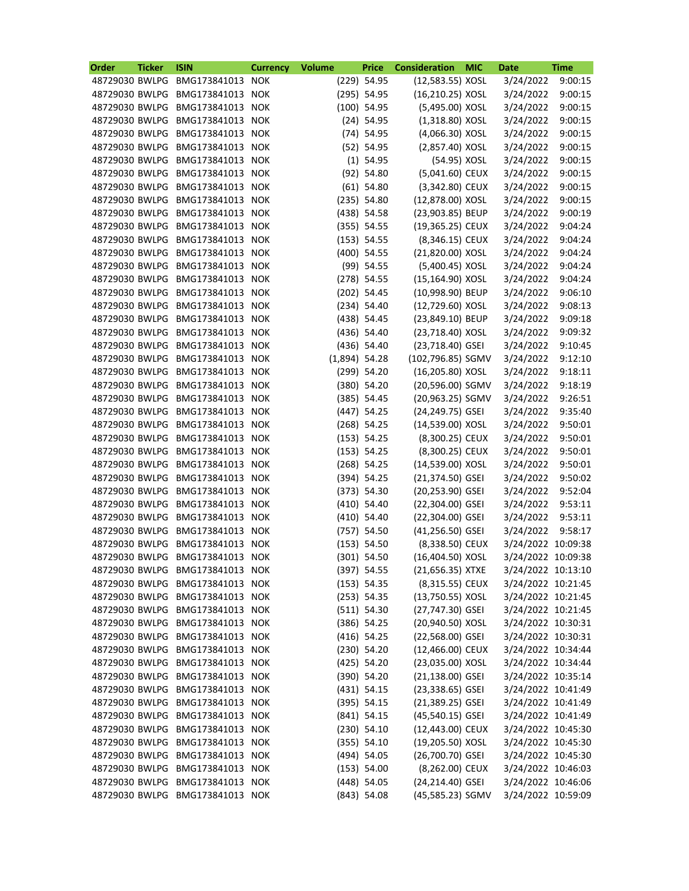| Order          | <b>Ticker</b> | <b>ISIN</b>                     | <b>Currency</b> | <b>Volume</b>   | <b>Price</b>  | <b>Consideration</b> | <b>MIC</b> | <b>Date</b>        | <b>Time</b> |
|----------------|---------------|---------------------------------|-----------------|-----------------|---------------|----------------------|------------|--------------------|-------------|
| 48729030 BWLPG |               | BMG173841013                    | <b>NOK</b>      |                 | (229) 54.95   | (12,583.55) XOSL     |            | 3/24/2022          | 9:00:15     |
| 48729030 BWLPG |               | BMG173841013 NOK                |                 |                 | $(295)$ 54.95 | (16,210.25) XOSL     |            | 3/24/2022          | 9:00:15     |
| 48729030 BWLPG |               | BMG173841013 NOK                |                 |                 | $(100)$ 54.95 | (5,495.00) XOSL      |            | 3/24/2022          | 9:00:15     |
| 48729030 BWLPG |               | BMG173841013                    | <b>NOK</b>      |                 | $(24)$ 54.95  | $(1,318.80)$ XOSL    |            | 3/24/2022          | 9:00:15     |
| 48729030 BWLPG |               | BMG173841013 NOK                |                 |                 | $(74)$ 54.95  | (4,066.30) XOSL      |            | 3/24/2022          | 9:00:15     |
| 48729030 BWLPG |               | BMG173841013 NOK                |                 |                 | $(52)$ 54.95  | (2,857.40) XOSL      |            | 3/24/2022          | 9:00:15     |
| 48729030 BWLPG |               | BMG173841013                    | <b>NOK</b>      |                 | $(1)$ 54.95   | (54.95) XOSL         |            | 3/24/2022          | 9:00:15     |
| 48729030 BWLPG |               | BMG173841013 NOK                |                 |                 | $(92)$ 54.80  | (5,041.60) CEUX      |            | 3/24/2022          | 9:00:15     |
| 48729030 BWLPG |               | BMG173841013 NOK                |                 |                 | $(61)$ 54.80  | (3,342.80) CEUX      |            | 3/24/2022          | 9:00:15     |
| 48729030 BWLPG |               | BMG173841013 NOK                |                 |                 | $(235)$ 54.80 | (12,878.00) XOSL     |            | 3/24/2022          | 9:00:15     |
| 48729030 BWLPG |               | BMG173841013 NOK                |                 |                 | $(438)$ 54.58 | (23,903.85) BEUP     |            | 3/24/2022          | 9:00:19     |
| 48729030 BWLPG |               | BMG173841013 NOK                |                 |                 | (355) 54.55   | (19,365.25) CEUX     |            | 3/24/2022          | 9:04:24     |
| 48729030 BWLPG |               | BMG173841013 NOK                |                 |                 | (153) 54.55   | (8,346.15) CEUX      |            | 3/24/2022          | 9:04:24     |
| 48729030 BWLPG |               | BMG173841013 NOK                |                 |                 | $(400)$ 54.55 | (21,820.00) XOSL     |            | 3/24/2022          | 9:04:24     |
| 48729030 BWLPG |               | BMG173841013                    | <b>NOK</b>      |                 | $(99)$ 54.55  | (5,400.45) XOSL      |            | 3/24/2022          | 9:04:24     |
| 48729030 BWLPG |               | BMG173841013 NOK                |                 |                 | $(278)$ 54.55 | (15,164.90) XOSL     |            | 3/24/2022          | 9:04:24     |
| 48729030 BWLPG |               | BMG173841013 NOK                |                 |                 | $(202)$ 54.45 | (10,998.90) BEUP     |            | 3/24/2022          | 9:06:10     |
| 48729030 BWLPG |               | BMG173841013                    | <b>NOK</b>      |                 | $(234)$ 54.40 | (12,729.60) XOSL     |            | 3/24/2022          | 9:08:13     |
| 48729030 BWLPG |               | BMG173841013 NOK                |                 |                 | $(438)$ 54.45 | (23,849.10) BEUP     |            | 3/24/2022          | 9:09:18     |
| 48729030 BWLPG |               | BMG173841013 NOK                |                 |                 | $(436)$ 54.40 | (23,718.40) XOSL     |            | 3/24/2022          | 9:09:32     |
| 48729030 BWLPG |               | BMG173841013 NOK                |                 |                 | $(436)$ 54.40 | (23,718.40) GSEI     |            | 3/24/2022          | 9:10:45     |
| 48729030 BWLPG |               | BMG173841013 NOK                |                 | $(1,894)$ 54.28 |               | (102,796.85) SGMV    |            | 3/24/2022          | 9:12:10     |
| 48729030 BWLPG |               | BMG173841013 NOK                |                 |                 | (299) 54.20   | (16,205.80) XOSL     |            | 3/24/2022          | 9:18:11     |
| 48729030 BWLPG |               | BMG173841013 NOK                |                 |                 | $(380)$ 54.20 | (20,596.00) SGMV     |            | 3/24/2022          | 9:18:19     |
| 48729030 BWLPG |               | BMG173841013 NOK                |                 |                 | (385) 54.45   | (20,963.25) SGMV     |            | 3/24/2022          | 9:26:51     |
| 48729030 BWLPG |               | BMG173841013                    | <b>NOK</b>      |                 | $(447)$ 54.25 | (24,249.75) GSEI     |            | 3/24/2022          | 9:35:40     |
| 48729030 BWLPG |               | BMG173841013 NOK                |                 |                 | $(268)$ 54.25 | (14,539.00) XOSL     |            | 3/24/2022          | 9:50:01     |
| 48729030 BWLPG |               | BMG173841013 NOK                |                 |                 | (153) 54.25   | (8,300.25) CEUX      |            | 3/24/2022          | 9:50:01     |
| 48729030 BWLPG |               | BMG173841013                    | <b>NOK</b>      |                 | (153) 54.25   | (8,300.25) CEUX      |            | 3/24/2022          | 9:50:01     |
| 48729030 BWLPG |               | BMG173841013 NOK                |                 |                 | $(268)$ 54.25 | (14,539.00) XOSL     |            | 3/24/2022          | 9:50:01     |
|                |               | 48729030 BWLPG BMG173841013 NOK |                 |                 | $(394)$ 54.25 | (21,374.50) GSEI     |            | 3/24/2022          | 9:50:02     |
|                |               | 48729030 BWLPG BMG173841013 NOK |                 |                 | (373) 54.30   | (20,253.90) GSEI     |            | 3/24/2022 9:52:04  |             |
| 48729030 BWLPG |               | BMG173841013 NOK                |                 |                 | $(410)$ 54.40 | (22,304.00) GSEI     |            | 3/24/2022          | 9:53:11     |
| 48729030 BWLPG |               | BMG173841013 NOK                |                 |                 | $(410)$ 54.40 | (22,304.00) GSEI     |            | 3/24/2022          | 9:53:11     |
| 48729030 BWLPG |               | BMG173841013 NOK                |                 |                 | $(757)$ 54.50 | $(41, 256.50)$ GSEI  |            | 3/24/2022 9:58:17  |             |
| 48729030 BWLPG |               | BMG173841013 NOK                |                 |                 | (153) 54.50   | (8,338.50) CEUX      |            | 3/24/2022 10:09:38 |             |
| 48729030 BWLPG |               | BMG173841013 NOK                |                 |                 | $(301)$ 54.50 | $(16,404.50)$ XOSL   |            | 3/24/2022 10:09:38 |             |
| 48729030 BWLPG |               | BMG173841013 NOK                |                 |                 | $(397)$ 54.55 | (21,656.35) XTXE     |            | 3/24/2022 10:13:10 |             |
| 48729030 BWLPG |               | BMG173841013 NOK                |                 |                 | (153) 54.35   | (8,315.55) CEUX      |            | 3/24/2022 10:21:45 |             |
| 48729030 BWLPG |               | BMG173841013 NOK                |                 |                 | (253) 54.35   | $(13,750.55)$ XOSL   |            | 3/24/2022 10:21:45 |             |
| 48729030 BWLPG |               | BMG173841013 NOK                |                 |                 | (511) 54.30   | (27,747.30) GSEI     |            | 3/24/2022 10:21:45 |             |
| 48729030 BWLPG |               | BMG173841013 NOK                |                 |                 | $(386)$ 54.25 | (20,940.50) XOSL     |            | 3/24/2022 10:30:31 |             |
| 48729030 BWLPG |               | BMG173841013 NOK                |                 |                 | $(416)$ 54.25 | (22,568.00) GSEI     |            | 3/24/2022 10:30:31 |             |
| 48729030 BWLPG |               | BMG173841013 NOK                |                 |                 | $(230)$ 54.20 | (12,466.00) CEUX     |            | 3/24/2022 10:34:44 |             |
| 48729030 BWLPG |               | BMG173841013 NOK                |                 |                 | $(425)$ 54.20 | (23,035.00) XOSL     |            | 3/24/2022 10:34:44 |             |
| 48729030 BWLPG |               | BMG173841013 NOK                |                 |                 | $(390)$ 54.20 | $(21, 138.00)$ GSEI  |            | 3/24/2022 10:35:14 |             |
| 48729030 BWLPG |               | BMG173841013 NOK                |                 |                 | $(431)$ 54.15 | (23,338.65) GSEI     |            | 3/24/2022 10:41:49 |             |
| 48729030 BWLPG |               | BMG173841013 NOK                |                 |                 | $(395)$ 54.15 | (21,389.25) GSEI     |            | 3/24/2022 10:41:49 |             |
| 48729030 BWLPG |               | BMG173841013 NOK                |                 |                 | $(841)$ 54.15 | (45,540.15) GSEI     |            | 3/24/2022 10:41:49 |             |
| 48729030 BWLPG |               | BMG173841013 NOK                |                 |                 | $(230)$ 54.10 | (12,443.00) CEUX     |            | 3/24/2022 10:45:30 |             |
| 48729030 BWLPG |               | BMG173841013 NOK                |                 |                 | $(355)$ 54.10 | (19,205.50) XOSL     |            | 3/24/2022 10:45:30 |             |
| 48729030 BWLPG |               | BMG173841013 NOK                |                 |                 | $(494)$ 54.05 | (26,700.70) GSEI     |            | 3/24/2022 10:45:30 |             |
| 48729030 BWLPG |               | BMG173841013 NOK                |                 |                 | (153) 54.00   | (8,262.00) CEUX      |            | 3/24/2022 10:46:03 |             |
| 48729030 BWLPG |               | BMG173841013 NOK                |                 |                 | $(448)$ 54.05 | (24,214.40) GSEI     |            | 3/24/2022 10:46:06 |             |
| 48729030 BWLPG |               | BMG173841013 NOK                |                 |                 | $(843)$ 54.08 | (45,585.23) SGMV     |            | 3/24/2022 10:59:09 |             |
|                |               |                                 |                 |                 |               |                      |            |                    |             |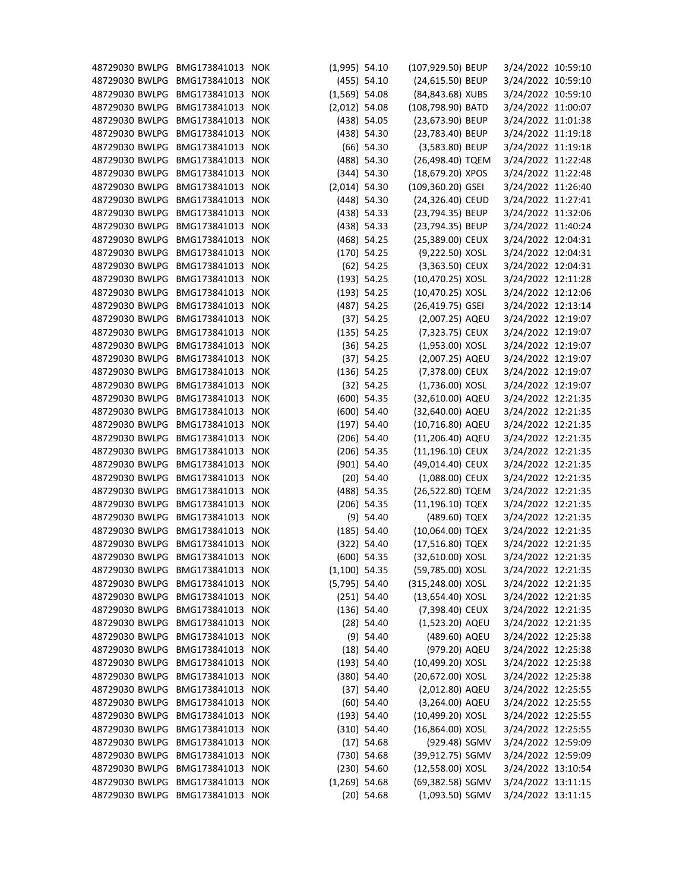| 48729030 BWLPG | BMG173841013 NOK |            | $(1,995)$ 54.10 |               | (107,929.50) BEUP | 3/24/2022 10:59:10 |  |
|----------------|------------------|------------|-----------------|---------------|-------------------|--------------------|--|
| 48729030 BWLPG | BMG173841013 NOK |            |                 | $(455)$ 54.10 | (24,615.50) BEUP  | 3/24/2022 10:59:10 |  |
| 48729030 BWLPG | BMG173841013     | <b>NOK</b> | $(1,569)$ 54.08 |               | (84,843.68) XUBS  | 3/24/2022 10:59:10 |  |
| 48729030 BWLPG | BMG173841013 NOK |            | $(2,012)$ 54.08 |               | (108,798.90) BATD | 3/24/2022 11:00:07 |  |
| 48729030 BWLPG | BMG173841013 NOK |            |                 | $(438)$ 54.05 | (23,673.90) BEUP  | 3/24/2022 11:01:38 |  |
| 48729030 BWLPG | BMG173841013     | <b>NOK</b> |                 | $(438)$ 54.30 | (23,783.40) BEUP  | 3/24/2022 11:19:18 |  |
| 48729030 BWLPG | BMG173841013 NOK |            |                 | $(66)$ 54.30  | (3,583.80) BEUP   | 3/24/2022 11:19:18 |  |
| 48729030 BWLPG | BMG173841013 NOK |            |                 | (488) 54.30   | (26,498.40) TQEM  | 3/24/2022 11:22:48 |  |
| 48729030 BWLPG | BMG173841013 NOK |            |                 | $(344)$ 54.30 | (18,679.20) XPOS  | 3/24/2022 11:22:48 |  |
| 48729030 BWLPG | BMG173841013 NOK |            | $(2,014)$ 54.30 |               | (109,360.20) GSEI | 3/24/2022 11:26:40 |  |
| 48729030 BWLPG | BMG173841013 NOK |            |                 | $(448)$ 54.30 | (24,326.40) CEUD  | 3/24/2022 11:27:41 |  |
| 48729030 BWLPG | BMG173841013 NOK |            |                 | $(438)$ 54.33 | (23,794.35) BEUP  | 3/24/2022 11:32:06 |  |
| 48729030 BWLPG | BMG173841013 NOK |            |                 | $(438)$ 54.33 | (23,794.35) BEUP  | 3/24/2022 11:40:24 |  |
| 48729030 BWLPG | BMG173841013 NOK |            |                 | $(468)$ 54.25 | (25,389.00) CEUX  | 3/24/2022 12:04:31 |  |
| 48729030 BWLPG | BMG173841013 NOK |            |                 | $(170)$ 54.25 | (9,222.50) XOSL   | 3/24/2022 12:04:31 |  |
| 48729030 BWLPG | BMG173841013 NOK |            |                 | $(62)$ 54.25  | (3,363.50) CEUX   | 3/24/2022 12:04:31 |  |
| 48729030 BWLPG | BMG173841013     | <b>NOK</b> |                 | (193) 54.25   | (10,470.25) XOSL  | 3/24/2022 12:11:28 |  |
| 48729030 BWLPG | BMG173841013 NOK |            |                 | (193) 54.25   | (10,470.25) XOSL  | 3/24/2022 12:12:06 |  |
| 48729030 BWLPG | BMG173841013 NOK |            |                 | $(487)$ 54.25 | (26,419.75) GSEI  | 3/24/2022 12:13:14 |  |
| 48729030 BWLPG | BMG173841013 NOK |            |                 | (37) 54.25    | (2,007.25) AQEU   | 3/24/2022 12:19:07 |  |
| 48729030 BWLPG | BMG173841013 NOK |            |                 | $(135)$ 54.25 | (7,323.75) CEUX   | 3/24/2022 12:19:07 |  |
| 48729030 BWLPG | BMG173841013 NOK |            |                 | $(36)$ 54.25  | $(1,953.00)$ XOSL | 3/24/2022 12:19:07 |  |
| 48729030 BWLPG | BMG173841013 NOK |            |                 | (37) 54.25    | (2,007.25) AQEU   | 3/24/2022 12:19:07 |  |
| 48729030 BWLPG | BMG173841013 NOK |            |                 | $(136)$ 54.25 | (7,378.00) CEUX   | 3/24/2022 12:19:07 |  |
| 48729030 BWLPG | BMG173841013     | <b>NOK</b> |                 | $(32)$ 54.25  | $(1,736.00)$ XOSL | 3/24/2022 12:19:07 |  |
| 48729030 BWLPG | BMG173841013 NOK |            |                 | $(600)$ 54.35 | (32,610.00) AQEU  | 3/24/2022 12:21:35 |  |
| 48729030 BWLPG | BMG173841013 NOK |            |                 | $(600)$ 54.40 | (32,640.00) AQEU  | 3/24/2022 12:21:35 |  |
| 48729030 BWLPG | BMG173841013 NOK |            |                 | $(197)$ 54.40 | (10,716.80) AQEU  | 3/24/2022 12:21:35 |  |
| 48729030 BWLPG | BMG173841013 NOK |            |                 | $(206)$ 54.40 | (11,206.40) AQEU  | 3/24/2022 12:21:35 |  |
| 48729030 BWLPG | BMG173841013 NOK |            |                 | $(206)$ 54.35 | (11,196.10) CEUX  | 3/24/2022 12:21:35 |  |
| 48729030 BWLPG | BMG173841013 NOK |            |                 | $(901)$ 54.40 | (49,014.40) CEUX  | 3/24/2022 12:21:35 |  |
| 48729030 BWLPG | BMG173841013 NOK |            |                 | $(20)$ 54.40  | (1,088.00) CEUX   | 3/24/2022 12:21:35 |  |
| 48729030 BWLPG | BMG173841013 NOK |            |                 | (488) 54.35   | (26,522.80) TQEM  | 3/24/2022 12:21:35 |  |
| 48729030 BWLPG | BMG173841013     | <b>NOK</b> |                 | $(206)$ 54.35 | (11,196.10) TQEX  | 3/24/2022 12:21:35 |  |
| 48729030 BWLPG | BMG173841013 NOK |            |                 | $(9)$ 54.40   | (489.60) TQEX     | 3/24/2022 12:21:35 |  |
| 48729030 BWLPG | BMG173841013 NOK |            |                 | $(185)$ 54.40 | (10,064.00) TQEX  | 3/24/2022 12:21:35 |  |
| 48729030 BWLPG | BMG173841013 NOK |            |                 | (322) 54.40   | (17,516.80) TQEX  | 3/24/2022 12:21:35 |  |
| 48729030 BWLPG | BMG173841013 NOK |            |                 | $(600)$ 54.35 | (32,610.00) XOSL  | 3/24/2022 12:21:35 |  |
| 48729030 BWLPG | BMG173841013     | <b>NOK</b> | $(1,100)$ 54.35 |               | (59,785.00) XOSL  | 3/24/2022 12:21:35 |  |
| 48729030 BWLPG | BMG173841013 NOK |            | $(5,795)$ 54.40 |               | (315,248.00) XOSL | 3/24/2022 12:21:35 |  |
| 48729030 BWLPG | BMG173841013 NOK |            |                 | $(251)$ 54.40 | (13,654.40) XOSL  | 3/24/2022 12:21:35 |  |
| 48729030 BWLPG | BMG173841013     | <b>NOK</b> |                 | $(136)$ 54.40 | (7,398.40) CEUX   | 3/24/2022 12:21:35 |  |
| 48729030 BWLPG | BMG173841013 NOK |            |                 | $(28)$ 54.40  | (1,523.20) AQEU   | 3/24/2022 12:21:35 |  |
| 48729030 BWLPG | BMG173841013 NOK |            |                 | $(9)$ 54.40   | (489.60) AQEU     | 3/24/2022 12:25:38 |  |
| 48729030 BWLPG | BMG173841013 NOK |            |                 | $(18)$ 54.40  | (979.20) AQEU     | 3/24/2022 12:25:38 |  |
| 48729030 BWLPG | BMG173841013 NOK |            |                 | (193) 54.40   | (10,499.20) XOSL  | 3/24/2022 12:25:38 |  |
| 48729030 BWLPG | BMG173841013 NOK |            |                 | $(380)$ 54.40 | (20,672.00) XOSL  | 3/24/2022 12:25:38 |  |
| 48729030 BWLPG | BMG173841013 NOK |            |                 | (37) 54.40    | (2,012.80) AQEU   | 3/24/2022 12:25:55 |  |
| 48729030 BWLPG | BMG173841013 NOK |            |                 | $(60)$ 54.40  | (3,264.00) AQEU   | 3/24/2022 12:25:55 |  |
| 48729030 BWLPG | BMG173841013     | <b>NOK</b> |                 | (193) 54.40   | (10,499.20) XOSL  | 3/24/2022 12:25:55 |  |
| 48729030 BWLPG | BMG173841013 NOK |            |                 | $(310)$ 54.40 | (16,864.00) XOSL  | 3/24/2022 12:25:55 |  |
| 48729030 BWLPG | BMG173841013 NOK |            |                 | $(17)$ 54.68  | (929.48) SGMV     | 3/24/2022 12:59:09 |  |
| 48729030 BWLPG | BMG173841013     | <b>NOK</b> |                 | $(730)$ 54.68 | (39,912.75) SGMV  | 3/24/2022 12:59:09 |  |
| 48729030 BWLPG | BMG173841013 NOK |            |                 | $(230)$ 54.60 | (12,558.00) XOSL  | 3/24/2022 13:10:54 |  |
| 48729030 BWLPG | BMG173841013 NOK |            | $(1,269)$ 54.68 |               | (69,382.58) SGMV  | 3/24/2022 13:11:15 |  |
| 48729030 BWLPG | BMG173841013 NOK |            |                 | $(20)$ 54.68  | $(1,093.50)$ SGMV | 3/24/2022 13:11:15 |  |
|                |                  |            |                 |               |                   |                    |  |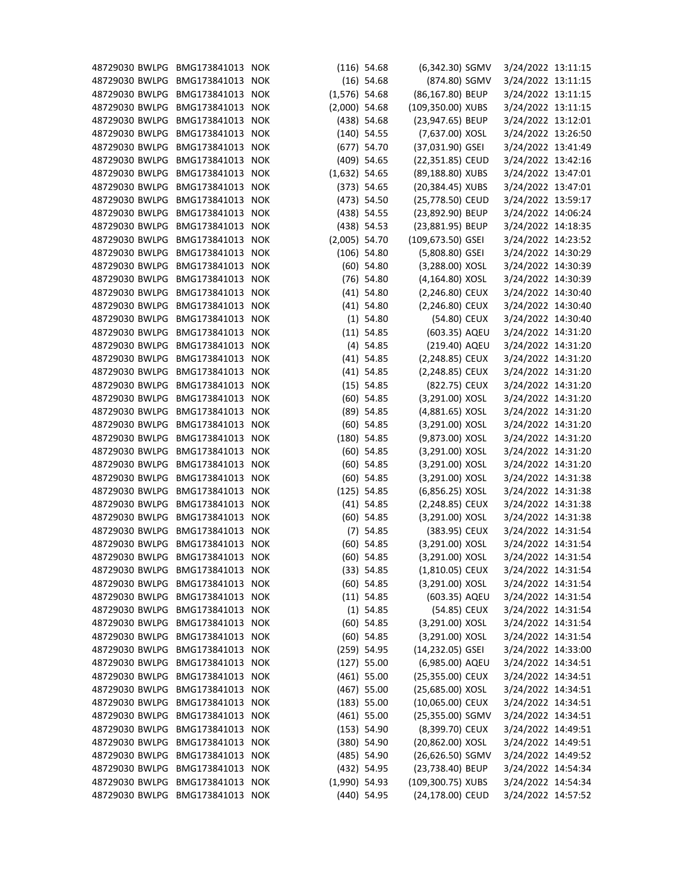| 48729030 BWLPG BMG173841013 NOK |                  |            |                 | $(116)$ 54.68 | (6,342.30) SGMV   | 3/24/2022 13:11:15 |  |
|---------------------------------|------------------|------------|-----------------|---------------|-------------------|--------------------|--|
| 48729030 BWLPG                  | BMG173841013 NOK |            |                 | $(16)$ 54.68  | (874.80) SGMV     | 3/24/2022 13:11:15 |  |
| 48729030 BWLPG                  | BMG173841013     | <b>NOK</b> | $(1,576)$ 54.68 |               | (86,167.80) BEUP  | 3/24/2022 13:11:15 |  |
| 48729030 BWLPG                  | BMG173841013 NOK |            | $(2,000)$ 54.68 |               | (109,350.00) XUBS | 3/24/2022 13:11:15 |  |
| 48729030 BWLPG                  | BMG173841013 NOK |            |                 | $(438)$ 54.68 | (23,947.65) BEUP  | 3/24/2022 13:12:01 |  |
| 48729030 BWLPG                  | BMG173841013     | <b>NOK</b> |                 | $(140)$ 54.55 | (7,637.00) XOSL   | 3/24/2022 13:26:50 |  |
| 48729030 BWLPG                  | BMG173841013 NOK |            |                 | $(677)$ 54.70 | (37,031.90) GSEI  | 3/24/2022 13:41:49 |  |
| 48729030 BWLPG                  | BMG173841013 NOK |            |                 | $(409)$ 54.65 | (22,351.85) CEUD  | 3/24/2022 13:42:16 |  |
| 48729030 BWLPG                  | BMG173841013 NOK |            | $(1,632)$ 54.65 |               | (89,188.80) XUBS  | 3/24/2022 13:47:01 |  |
| 48729030 BWLPG                  | BMG173841013 NOK |            |                 | (373) 54.65   | (20,384.45) XUBS  | 3/24/2022 13:47:01 |  |
| 48729030 BWLPG                  | BMG173841013     | <b>NOK</b> |                 | $(473)$ 54.50 | (25,778.50) CEUD  | 3/24/2022 13:59:17 |  |
| 48729030 BWLPG                  | BMG173841013 NOK |            |                 | $(438)$ 54.55 | (23,892.90) BEUP  | 3/24/2022 14:06:24 |  |
| 48729030 BWLPG                  | BMG173841013 NOK |            |                 | $(438)$ 54.53 | (23,881.95) BEUP  | 3/24/2022 14:18:35 |  |
| 48729030 BWLPG                  | BMG173841013     | <b>NOK</b> | $(2,005)$ 54.70 |               | (109,673.50) GSEI | 3/24/2022 14:23:52 |  |
| 48729030 BWLPG                  | BMG173841013 NOK |            |                 | $(106)$ 54.80 | (5,808.80) GSEI   | 3/24/2022 14:30:29 |  |
| 48729030 BWLPG                  | BMG173841013 NOK |            |                 | $(60)$ 54.80  | (3,288.00) XOSL   | 3/24/2022 14:30:39 |  |
| 48729030 BWLPG                  | BMG173841013     | <b>NOK</b> |                 | $(76)$ 54.80  | (4,164.80) XOSL   | 3/24/2022 14:30:39 |  |
| 48729030 BWLPG                  | BMG173841013 NOK |            |                 | $(41)$ 54.80  | (2,246.80) CEUX   | 3/24/2022 14:30:40 |  |
| 48729030 BWLPG                  | BMG173841013 NOK |            |                 | $(41)$ 54.80  | (2,246.80) CEUX   | 3/24/2022 14:30:40 |  |
| 48729030 BWLPG                  | BMG173841013 NOK |            |                 | $(1)$ 54.80   | (54.80) CEUX      | 3/24/2022 14:30:40 |  |
| 48729030 BWLPG                  | BMG173841013 NOK |            |                 | $(11)$ 54.85  | (603.35) AQEU     | 3/24/2022 14:31:20 |  |
| 48729030 BWLPG                  | BMG173841013     | <b>NOK</b> |                 | $(4)$ 54.85   | (219.40) AQEU     | 3/24/2022 14:31:20 |  |
| 48729030 BWLPG                  | BMG173841013 NOK |            |                 | $(41)$ 54.85  | (2,248.85) CEUX   | 3/24/2022 14:31:20 |  |
| 48729030 BWLPG                  | BMG173841013 NOK |            |                 | $(41)$ 54.85  | (2,248.85) CEUX   | 3/24/2022 14:31:20 |  |
| 48729030 BWLPG                  | BMG173841013 NOK |            |                 | $(15)$ 54.85  | (822.75) CEUX     | 3/24/2022 14:31:20 |  |
| 48729030 BWLPG                  | BMG173841013 NOK |            |                 | $(60)$ 54.85  | (3,291.00) XOSL   | 3/24/2022 14:31:20 |  |
| 48729030 BWLPG                  | BMG173841013 NOK |            |                 | (89) 54.85    | (4,881.65) XOSL   | 3/24/2022 14:31:20 |  |
| 48729030 BWLPG                  | BMG173841013     | <b>NOK</b> |                 | $(60)$ 54.85  | (3,291.00) XOSL   | 3/24/2022 14:31:20 |  |
| 48729030 BWLPG                  | BMG173841013 NOK |            |                 | $(180)$ 54.85 | (9,873.00) XOSL   | 3/24/2022 14:31:20 |  |
| 48729030 BWLPG                  | BMG173841013 NOK |            |                 | $(60)$ 54.85  | (3,291.00) XOSL   | 3/24/2022 14:31:20 |  |
| 48729030 BWLPG                  | BMG173841013 NOK |            |                 | $(60)$ 54.85  | (3,291.00) XOSL   | 3/24/2022 14:31:20 |  |
| 48729030 BWLPG BMG173841013 NOK |                  |            |                 | $(60)$ 54.85  | (3,291.00) XOSL   | 3/24/2022 14:31:38 |  |
| 48729030 BWLPG BMG173841013 NOK |                  |            |                 | $(125)$ 54.85 | (6,856.25) XOSL   | 3/24/2022 14:31:38 |  |
| 48729030 BWLPG                  | BMG173841013 NOK |            |                 | $(41)$ 54.85  | (2,248.85) CEUX   | 3/24/2022 14:31:38 |  |
| 48729030 BWLPG                  | BMG173841013 NOK |            |                 | $(60)$ 54.85  | (3,291.00) XOSL   | 3/24/2022 14:31:38 |  |
| 48729030 BWLPG                  | BMG173841013 NOK |            |                 | $(7)$ 54.85   | (383.95) CEUX     | 3/24/2022 14:31:54 |  |
| 48729030 BWLPG                  | BMG173841013 NOK |            |                 | $(60)$ 54.85  | (3,291.00) XOSL   | 3/24/2022 14:31:54 |  |
| 48729030 BWLPG                  | BMG173841013 NOK |            |                 | $(60)$ 54.85  | (3,291.00) XOSL   | 3/24/2022 14:31:54 |  |
| 48729030 BWLPG                  | BMG173841013 NOK |            |                 | (33) 54.85    | $(1,810.05)$ CEUX | 3/24/2022 14:31:54 |  |
| 48729030 BWLPG                  | BMG173841013 NOK |            |                 | $(60)$ 54.85  | (3,291.00) XOSL   | 3/24/2022 14:31:54 |  |
| 48729030 BWLPG                  | BMG173841013 NOK |            |                 | $(11)$ 54.85  | (603.35) AQEU     | 3/24/2022 14:31:54 |  |
| 48729030 BWLPG                  | BMG173841013     | <b>NOK</b> |                 | $(1)$ 54.85   | (54.85) CEUX      | 3/24/2022 14:31:54 |  |
| 48729030 BWLPG                  | BMG173841013 NOK |            |                 | $(60)$ 54.85  | (3,291.00) XOSL   | 3/24/2022 14:31:54 |  |
| 48729030 BWLPG                  | BMG173841013 NOK |            |                 |               | (3,291.00) XOSL   | 3/24/2022 14:31:54 |  |
| 48729030 BWLPG                  | BMG173841013 NOK |            |                 | $(60)$ 54.85  | (14,232.05) GSEI  |                    |  |
| 48729030 BWLPG                  | BMG173841013 NOK |            |                 | $(259)$ 54.95 |                   | 3/24/2022 14:33:00 |  |
|                                 |                  |            |                 | $(127)$ 55.00 | (6,985.00) AQEU   | 3/24/2022 14:34:51 |  |
| 48729030 BWLPG                  | BMG173841013 NOK |            |                 | $(461)$ 55.00 | (25,355.00) CEUX  | 3/24/2022 14:34:51 |  |
| 48729030 BWLPG                  | BMG173841013 NOK |            |                 | $(467)$ 55.00 | (25,685.00) XOSL  | 3/24/2022 14:34:51 |  |
| 48729030 BWLPG                  | BMG173841013 NOK |            |                 | (183) 55.00   | (10,065.00) CEUX  | 3/24/2022 14:34:51 |  |
| 48729030 BWLPG                  | BMG173841013 NOK |            |                 | $(461)$ 55.00 | (25,355.00) SGMV  | 3/24/2022 14:34:51 |  |
| 48729030 BWLPG                  | BMG173841013 NOK |            |                 | (153) 54.90   | (8,399.70) CEUX   | 3/24/2022 14:49:51 |  |
| 48729030 BWLPG                  | BMG173841013 NOK |            |                 | $(380)$ 54.90 | (20,862.00) XOSL  | 3/24/2022 14:49:51 |  |
| 48729030 BWLPG                  | BMG173841013     | <b>NOK</b> |                 | $(485)$ 54.90 | (26,626.50) SGMV  | 3/24/2022 14:49:52 |  |
| 48729030 BWLPG                  | BMG173841013 NOK |            |                 | (432) 54.95   | (23,738.40) BEUP  | 3/24/2022 14:54:34 |  |
| 48729030 BWLPG                  | BMG173841013 NOK |            | $(1,990)$ 54.93 |               | (109,300.75) XUBS | 3/24/2022 14:54:34 |  |
| 48729030 BWLPG BMG173841013 NOK |                  |            |                 | $(440)$ 54.95 | (24,178.00) CEUD  | 3/24/2022 14:57:52 |  |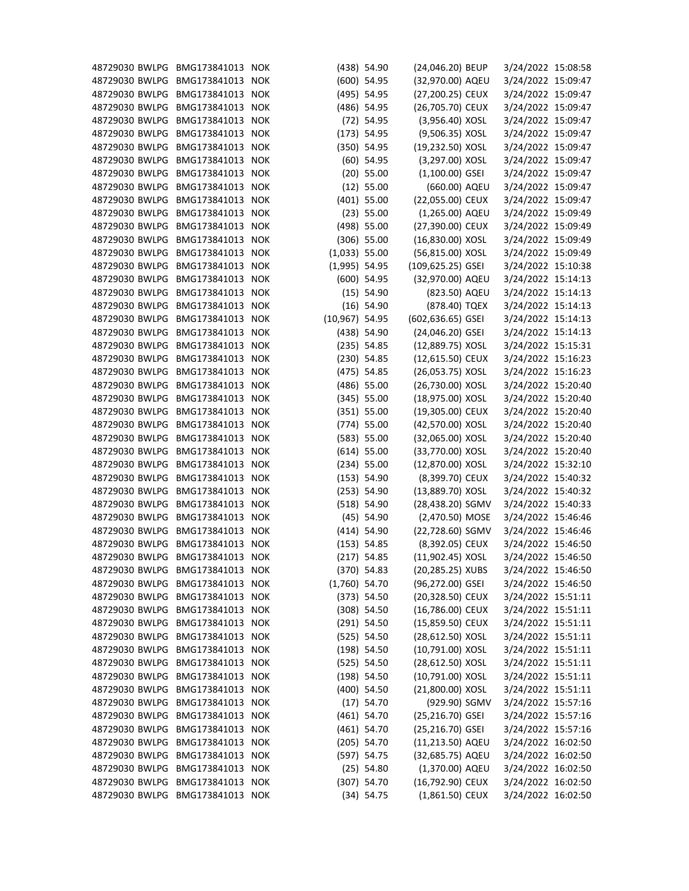| 48729030 BWLPG | BMG173841013     | <b>NOK</b> |                  | $(438)$ 54.90 | (24,046.20) BEUP   | 3/24/2022 15:08:58 |  |
|----------------|------------------|------------|------------------|---------------|--------------------|--------------------|--|
| 48729030 BWLPG | BMG173841013     | <b>NOK</b> |                  | $(600)$ 54.95 | (32,970.00) AQEU   | 3/24/2022 15:09:47 |  |
| 48729030 BWLPG | BMG173841013     | <b>NOK</b> |                  | (495) 54.95   | (27,200.25) CEUX   | 3/24/2022 15:09:47 |  |
| 48729030 BWLPG | BMG173841013 NOK |            |                  | $(486)$ 54.95 | (26,705.70) CEUX   | 3/24/2022 15:09:47 |  |
| 48729030 BWLPG | BMG173841013     | <b>NOK</b> |                  | $(72)$ 54.95  | (3,956.40) XOSL    | 3/24/2022 15:09:47 |  |
| 48729030 BWLPG | BMG173841013     | <b>NOK</b> |                  | (173) 54.95   | (9,506.35) XOSL    | 3/24/2022 15:09:47 |  |
| 48729030 BWLPG | BMG173841013     | <b>NOK</b> |                  | $(350)$ 54.95 | (19,232.50) XOSL   | 3/24/2022 15:09:47 |  |
| 48729030 BWLPG | BMG173841013     | <b>NOK</b> |                  | $(60)$ 54.95  | (3,297.00) XOSL    | 3/24/2022 15:09:47 |  |
| 48729030 BWLPG | BMG173841013     | <b>NOK</b> |                  | $(20)$ 55.00  | $(1,100.00)$ GSEI  | 3/24/2022 15:09:47 |  |
| 48729030 BWLPG | BMG173841013     | <b>NOK</b> |                  | $(12)$ 55.00  | (660.00) AQEU      | 3/24/2022 15:09:47 |  |
| 48729030 BWLPG | BMG173841013     | <b>NOK</b> |                  | $(401)$ 55.00 | (22,055.00) CEUX   | 3/24/2022 15:09:47 |  |
| 48729030 BWLPG | BMG173841013     | <b>NOK</b> |                  | $(23)$ 55.00  | (1,265.00) AQEU    | 3/24/2022 15:09:49 |  |
| 48729030 BWLPG | BMG173841013     | <b>NOK</b> |                  | $(498)$ 55.00 | (27,390.00) CEUX   | 3/24/2022 15:09:49 |  |
| 48729030 BWLPG | BMG173841013     | <b>NOK</b> |                  | $(306)$ 55.00 | (16,830.00) XOSL   | 3/24/2022 15:09:49 |  |
| 48729030 BWLPG | BMG173841013 NOK |            | $(1,033)$ 55.00  |               | (56,815.00) XOSL   | 3/24/2022 15:09:49 |  |
| 48729030 BWLPG | BMG173841013     | <b>NOK</b> | $(1,995)$ 54.95  |               | (109,625.25) GSEI  | 3/24/2022 15:10:38 |  |
| 48729030 BWLPG | BMG173841013     | <b>NOK</b> |                  | $(600)$ 54.95 | (32,970.00) AQEU   | 3/24/2022 15:14:13 |  |
| 48729030 BWLPG | BMG173841013 NOK |            |                  | $(15)$ 54.90  | (823.50) AQEU      | 3/24/2022 15:14:13 |  |
| 48729030 BWLPG | BMG173841013     | <b>NOK</b> |                  | $(16)$ 54.90  | (878.40) TQEX      | 3/24/2022 15:14:13 |  |
| 48729030 BWLPG | BMG173841013     | <b>NOK</b> | $(10,967)$ 54.95 |               | (602,636.65) GSEI  | 3/24/2022 15:14:13 |  |
| 48729030 BWLPG | BMG173841013     | <b>NOK</b> |                  | $(438)$ 54.90 | (24,046.20) GSEI   | 3/24/2022 15:14:13 |  |
| 48729030 BWLPG | BMG173841013     | <b>NOK</b> |                  | $(235)$ 54.85 | (12,889.75) XOSL   | 3/24/2022 15:15:31 |  |
| 48729030 BWLPG | BMG173841013     | <b>NOK</b> |                  | $(230)$ 54.85 | (12,615.50) CEUX   | 3/24/2022 15:16:23 |  |
| 48729030 BWLPG | BMG173841013     | <b>NOK</b> |                  | $(475)$ 54.85 | (26,053.75) XOSL   | 3/24/2022 15:16:23 |  |
| 48729030 BWLPG | BMG173841013     | <b>NOK</b> |                  | $(486)$ 55.00 | (26,730.00) XOSL   | 3/24/2022 15:20:40 |  |
| 48729030 BWLPG | BMG173841013     | <b>NOK</b> |                  | $(345)$ 55.00 | (18,975.00) XOSL   | 3/24/2022 15:20:40 |  |
| 48729030 BWLPG | BMG173841013     | <b>NOK</b> |                  | (351) 55.00   | (19,305.00) CEUX   | 3/24/2022 15:20:40 |  |
| 48729030 BWLPG | BMG173841013     | <b>NOK</b> |                  | $(774)$ 55.00 | (42,570.00) XOSL   | 3/24/2022 15:20:40 |  |
| 48729030 BWLPG | BMG173841013     | <b>NOK</b> |                  | (583) 55.00   | (32,065.00) XOSL   | 3/24/2022 15:20:40 |  |
| 48729030 BWLPG | BMG173841013     | <b>NOK</b> |                  | $(614)$ 55.00 | (33,770.00) XOSL   | 3/24/2022 15:20:40 |  |
| 48729030 BWLPG | BMG173841013     | <b>NOK</b> |                  | $(234)$ 55.00 | (12,870.00) XOSL   | 3/24/2022 15:32:10 |  |
| 48729030 BWLPG | BMG173841013 NOK |            |                  | (153) 54.90   | (8,399.70) CEUX    | 3/24/2022 15:40:32 |  |
| 48729030 BWLPG | BMG173841013 NOK |            |                  | (253) 54.90   | (13,889.70) XOSL   | 3/24/2022 15:40:32 |  |
| 48729030 BWLPG | BMG173841013 NOK |            |                  | (518) 54.90   | (28,438.20) SGMV   | 3/24/2022 15:40:33 |  |
| 48729030 BWLPG | BMG173841013     | <b>NOK</b> |                  | $(45)$ 54.90  | (2,470.50) MOSE    | 3/24/2022 15:46:46 |  |
| 48729030 BWLPG | BMG173841013     | <b>NOK</b> |                  | $(414)$ 54.90 | (22,728.60) SGMV   | 3/24/2022 15:46:46 |  |
| 48729030 BWLPG | BMG173841013 NOK |            |                  | (153) 54.85   | (8,392.05) CEUX    | 3/24/2022 15:46:50 |  |
| 48729030 BWLPG | BMG173841013     | <b>NOK</b> |                  |               | $(11,902.45)$ XOSL | 3/24/2022 15:46:50 |  |
| 48729030 BWLPG |                  |            |                  | $(217)$ 54.85 |                    |                    |  |
|                | BMG173841013     | <b>NOK</b> |                  | $(370)$ 54.83 | (20,285.25) XUBS   | 3/24/2022 15:46:50 |  |
| 48729030 BWLPG | BMG173841013 NOK |            | $(1,760)$ 54.70  |               | (96,272.00) GSEI   | 3/24/2022 15:46:50 |  |
| 48729030 BWLPG | BMG173841013     | <b>NOK</b> |                  | (373) 54.50   | (20,328.50) CEUX   | 3/24/2022 15:51:11 |  |
| 48729030 BWLPG | BMG173841013     | <b>NOK</b> |                  | $(308)$ 54.50 | (16,786.00) CEUX   | 3/24/2022 15:51:11 |  |
| 48729030 BWLPG | BMG173841013 NOK |            |                  | $(291)$ 54.50 | (15,859.50) CEUX   | 3/24/2022 15:51:11 |  |
| 48729030 BWLPG | BMG173841013     | <b>NOK</b> |                  | $(525)$ 54.50 | (28,612.50) XOSL   | 3/24/2022 15:51:11 |  |
| 48729030 BWLPG | BMG173841013 NOK |            |                  | $(198)$ 54.50 | (10,791.00) XOSL   | 3/24/2022 15:51:11 |  |
| 48729030 BWLPG | BMG173841013 NOK |            |                  | $(525)$ 54.50 | (28,612.50) XOSL   | 3/24/2022 15:51:11 |  |
| 48729030 BWLPG | BMG173841013     | <b>NOK</b> |                  | $(198)$ 54.50 | (10,791.00) XOSL   | 3/24/2022 15:51:11 |  |
| 48729030 BWLPG | BMG173841013 NOK |            |                  | $(400)$ 54.50 | (21,800.00) XOSL   | 3/24/2022 15:51:11 |  |
| 48729030 BWLPG | BMG173841013     | <b>NOK</b> |                  | $(17)$ 54.70  | (929.90) SGMV      | 3/24/2022 15:57:16 |  |
| 48729030 BWLPG | BMG173841013     | <b>NOK</b> |                  | $(461)$ 54.70 | (25,216.70) GSEI   | 3/24/2022 15:57:16 |  |
| 48729030 BWLPG | BMG173841013 NOK |            |                  | $(461)$ 54.70 | (25,216.70) GSEI   | 3/24/2022 15:57:16 |  |
| 48729030 BWLPG | BMG173841013     | <b>NOK</b> |                  | $(205)$ 54.70 | (11,213.50) AQEU   | 3/24/2022 16:02:50 |  |
| 48729030 BWLPG | BMG173841013     | <b>NOK</b> |                  | (597) 54.75   | (32,685.75) AQEU   | 3/24/2022 16:02:50 |  |
| 48729030 BWLPG | BMG173841013 NOK |            |                  | $(25)$ 54.80  | (1,370.00) AQEU    | 3/24/2022 16:02:50 |  |
| 48729030 BWLPG | BMG173841013     | <b>NOK</b> |                  | $(307)$ 54.70 | (16,792.90) CEUX   | 3/24/2022 16:02:50 |  |
| 48729030 BWLPG | BMG173841013 NOK |            |                  | (34) 54.75    | $(1,861.50)$ CEUX  | 3/24/2022 16:02:50 |  |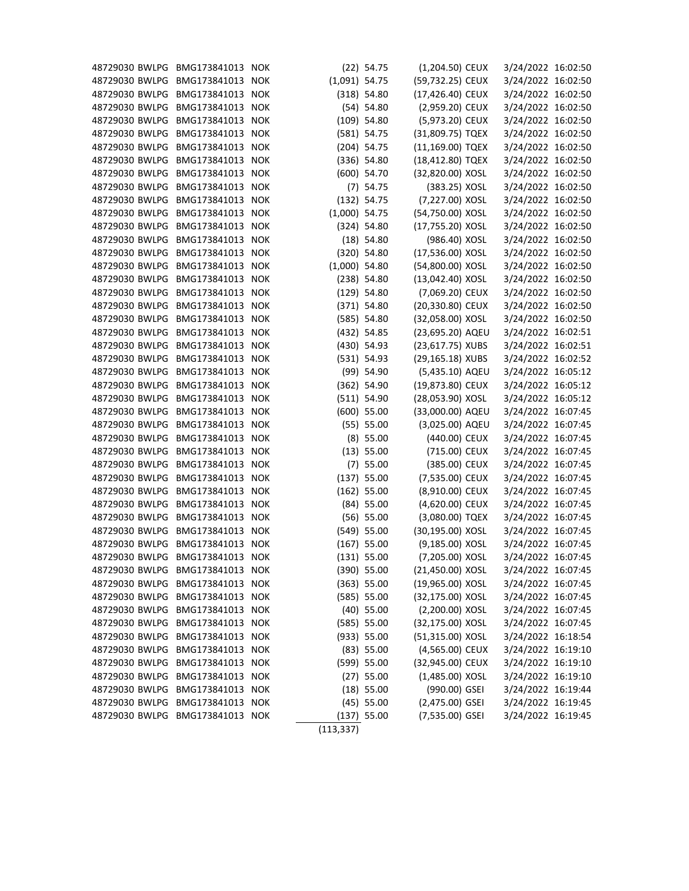| 48729030 BWLPG | BMG173841013     | <b>NOK</b> |                 | $(22)$ 54.75  | (1,204.50) CEUX    | 3/24/2022 16:02:50 |  |
|----------------|------------------|------------|-----------------|---------------|--------------------|--------------------|--|
| 48729030 BWLPG | BMG173841013 NOK |            | $(1,091)$ 54.75 |               | (59,732.25) CEUX   | 3/24/2022 16:02:50 |  |
| 48729030 BWLPG | BMG173841013     | <b>NOK</b> |                 | (318) 54.80   | (17,426.40) CEUX   | 3/24/2022 16:02:50 |  |
| 48729030 BWLPG | BMG173841013 NOK |            |                 | $(54)$ 54.80  | (2,959.20) CEUX    | 3/24/2022 16:02:50 |  |
| 48729030 BWLPG | BMG173841013 NOK |            |                 | $(109)$ 54.80 | (5,973.20) CEUX    | 3/24/2022 16:02:50 |  |
| 48729030 BWLPG | BMG173841013     | <b>NOK</b> |                 | $(581)$ 54.75 | (31,809.75) TQEX   | 3/24/2022 16:02:50 |  |
| 48729030 BWLPG | BMG173841013 NOK |            |                 | $(204)$ 54.75 | (11,169.00) TQEX   | 3/24/2022 16:02:50 |  |
| 48729030 BWLPG | BMG173841013 NOK |            |                 | $(336)$ 54.80 | (18,412.80) TQEX   | 3/24/2022 16:02:50 |  |
| 48729030 BWLPG | BMG173841013     | <b>NOK</b> |                 | $(600)$ 54.70 | (32,820.00) XOSL   | 3/24/2022 16:02:50 |  |
| 48729030 BWLPG | BMG173841013 NOK |            |                 | $(7)$ 54.75   | (383.25) XOSL      | 3/24/2022 16:02:50 |  |
| 48729030 BWLPG | BMG173841013     | <b>NOK</b> |                 | $(132)$ 54.75 | (7,227.00) XOSL    | 3/24/2022 16:02:50 |  |
| 48729030 BWLPG | BMG173841013 NOK |            | $(1,000)$ 54.75 |               | (54,750.00) XOSL   | 3/24/2022 16:02:50 |  |
| 48729030 BWLPG | BMG173841013 NOK |            |                 | $(324)$ 54.80 | (17,755.20) XOSL   | 3/24/2022 16:02:50 |  |
| 48729030 BWLPG | BMG173841013     | <b>NOK</b> |                 | $(18)$ 54.80  | (986.40) XOSL      | 3/24/2022 16:02:50 |  |
| 48729030 BWLPG | BMG173841013 NOK |            |                 | $(320)$ 54.80 | (17,536.00) XOSL   | 3/24/2022 16:02:50 |  |
| 48729030 BWLPG | BMG173841013 NOK |            | $(1,000)$ 54.80 |               | (54,800.00) XOSL   | 3/24/2022 16:02:50 |  |
| 48729030 BWLPG | BMG173841013     | <b>NOK</b> |                 | $(238)$ 54.80 | $(13,042.40)$ XOSL | 3/24/2022 16:02:50 |  |
| 48729030 BWLPG | BMG173841013 NOK |            |                 | $(129)$ 54.80 | (7,069.20) CEUX    | 3/24/2022 16:02:50 |  |
| 48729030 BWLPG | BMG173841013 NOK |            |                 | $(371)$ 54.80 | (20,330.80) CEUX   | 3/24/2022 16:02:50 |  |
| 48729030 BWLPG | BMG173841013     | <b>NOK</b> |                 | (585) 54.80   | (32,058.00) XOSL   | 3/24/2022 16:02:50 |  |
| 48729030 BWLPG | BMG173841013 NOK |            |                 | (432) 54.85   | (23,695.20) AQEU   | 3/24/2022 16:02:51 |  |
| 48729030 BWLPG | BMG173841013 NOK |            |                 | $(430)$ 54.93 | (23,617.75) XUBS   | 3/24/2022 16:02:51 |  |
| 48729030 BWLPG | BMG173841013 NOK |            |                 | (531) 54.93   | (29,165.18) XUBS   | 3/24/2022 16:02:52 |  |
| 48729030 BWLPG | BMG173841013 NOK |            |                 | $(99)$ 54.90  | (5,435.10) AQEU    | 3/24/2022 16:05:12 |  |
| 48729030 BWLPG | BMG173841013     | <b>NOK</b> |                 | $(362)$ 54.90 | (19,873.80) CEUX   | 3/24/2022 16:05:12 |  |
| 48729030 BWLPG | BMG173841013 NOK |            |                 | (511) 54.90   | (28,053.90) XOSL   | 3/24/2022 16:05:12 |  |
| 48729030 BWLPG | BMG173841013 NOK |            |                 | $(600)$ 55.00 | (33,000.00) AQEU   | 3/24/2022 16:07:45 |  |
| 48729030 BWLPG | BMG173841013     | <b>NOK</b> |                 | (55) 55.00    | (3,025.00) AQEU    | 3/24/2022 16:07:45 |  |
| 48729030 BWLPG | BMG173841013 NOK |            |                 | $(8)$ 55.00   | (440.00) CEUX      | 3/24/2022 16:07:45 |  |
| 48729030 BWLPG | BMG173841013 NOK |            |                 | (13) 55.00    | (715.00) CEUX      | 3/24/2022 16:07:45 |  |
| 48729030 BWLPG | BMG173841013     | <b>NOK</b> |                 | $(7)$ 55.00   | (385.00) CEUX      | 3/24/2022 16:07:45 |  |
| 48729030 BWLPG | BMG173841013 NOK |            |                 | $(137)$ 55.00 | (7,535.00) CEUX    | 3/24/2022 16:07:45 |  |
| 48729030 BWLPG | BMG173841013 NOK |            |                 | $(162)$ 55.00 | (8,910.00) CEUX    | 3/24/2022 16:07:45 |  |
| 48729030 BWLPG | BMG173841013 NOK |            |                 | $(84)$ 55.00  | (4,620.00) CEUX    | 3/24/2022 16:07:45 |  |
| 48729030 BWLPG | BMG173841013 NOK |            |                 | $(56)$ 55.00  | (3,080.00) TQEX    | 3/24/2022 16:07:45 |  |
| 48729030 BWLPG | BMG173841013 NOK |            |                 | $(549)$ 55.00 | (30,195.00) XOSL   | 3/24/2022 16:07:45 |  |
| 48729030 BWLPG | BMG173841013 NOK |            |                 | $(167)$ 55.00 | (9,185.00) XOSL    | 3/24/2022 16:07:45 |  |
| 48729030 BWLPG | BMG173841013 NOK |            |                 | (131) 55.00   | (7,205.00) XOSL    | 3/24/2022 16:07:45 |  |
| 48729030 BWLPG | BMG173841013 NOK |            |                 | $(390)$ 55.00 | (21,450.00) XOSL   | 3/24/2022 16:07:45 |  |
| 48729030 BWLPG | BMG173841013 NOK |            |                 | $(363)$ 55.00 | (19,965.00) XOSL   | 3/24/2022 16:07:45 |  |
| 48729030 BWLPG | BMG173841013 NOK |            |                 | (585) 55.00   | (32,175.00) XOSL   | 3/24/2022 16:07:45 |  |
| 48729030 BWLPG | BMG173841013     | <b>NOK</b> |                 | $(40)$ 55.00  | (2,200.00) XOSL    | 3/24/2022 16:07:45 |  |
| 48729030 BWLPG | BMG173841013 NOK |            |                 | (585) 55.00   | (32,175.00) XOSL   | 3/24/2022 16:07:45 |  |
| 48729030 BWLPG | BMG173841013 NOK |            |                 | (933) 55.00   | (51,315.00) XOSL   | 3/24/2022 16:18:54 |  |
| 48729030 BWLPG | BMG173841013 NOK |            |                 | $(83)$ 55.00  | (4,565.00) CEUX    | 3/24/2022 16:19:10 |  |
| 48729030 BWLPG | BMG173841013 NOK |            |                 | $(599)$ 55.00 | (32,945.00) CEUX   | 3/24/2022 16:19:10 |  |
| 48729030 BWLPG | BMG173841013 NOK |            |                 | $(27)$ 55.00  | $(1,485.00)$ XOSL  | 3/24/2022 16:19:10 |  |
| 48729030 BWLPG | BMG173841013 NOK |            |                 | $(18)$ 55.00  | (990.00) GSEI      | 3/24/2022 16:19:44 |  |
| 48729030 BWLPG | BMG173841013 NOK |            |                 | $(45)$ 55.00  | $(2,475.00)$ GSEI  | 3/24/2022 16:19:45 |  |
| 48729030 BWLPG | BMG173841013 NOK |            |                 | $(137)$ 55.00 | (7,535.00) GSEI    | 3/24/2022 16:19:45 |  |
|                |                  |            | (113, 337)      |               |                    |                    |  |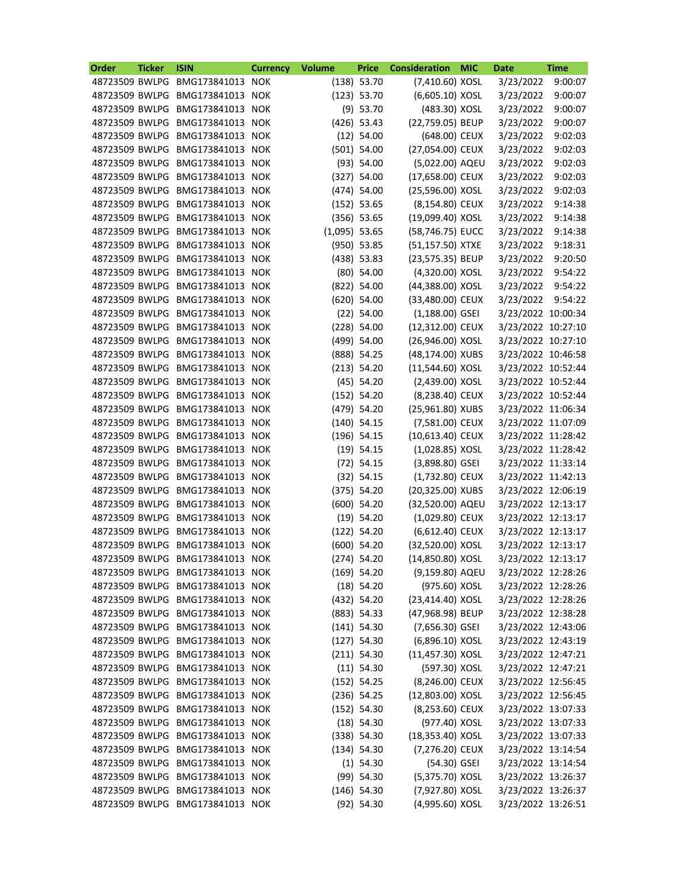| Order          | <b>Ticker</b> | <b>ISIN</b>                     | <b>Currency</b> | <b>Volume</b>   | <b>Price</b>  | <b>Consideration</b> | <b>MIC</b> | <b>Date</b>        | <b>Time</b> |
|----------------|---------------|---------------------------------|-----------------|-----------------|---------------|----------------------|------------|--------------------|-------------|
| 48723509 BWLPG |               | BMG173841013 NOK                |                 |                 | $(138)$ 53.70 | (7,410.60) XOSL      |            | 3/23/2022          | 9:00:07     |
| 48723509 BWLPG |               | BMG173841013 NOK                |                 |                 | (123) 53.70   | (6,605.10) XOSL      |            | 3/23/2022          | 9:00:07     |
| 48723509 BWLPG |               | BMG173841013                    | <b>NOK</b>      |                 | $(9)$ 53.70   | (483.30) XOSL        |            | 3/23/2022          | 9:00:07     |
| 48723509 BWLPG |               | BMG173841013                    | <b>NOK</b>      |                 | $(426)$ 53.43 | (22,759.05) BEUP     |            | 3/23/2022          | 9:00:07     |
| 48723509 BWLPG |               | BMG173841013                    | <b>NOK</b>      |                 | $(12)$ 54.00  | (648.00) CEUX        |            | 3/23/2022          | 9:02:03     |
| 48723509 BWLPG |               | BMG173841013                    | <b>NOK</b>      |                 | $(501)$ 54.00 | (27,054.00) CEUX     |            | 3/23/2022          | 9:02:03     |
| 48723509 BWLPG |               | BMG173841013 NOK                |                 |                 | (93) 54.00    | (5,022.00) AQEU      |            | 3/23/2022          | 9:02:03     |
| 48723509 BWLPG |               | BMG173841013                    | <b>NOK</b>      |                 | $(327)$ 54.00 | (17,658.00) CEUX     |            | 3/23/2022          | 9:02:03     |
| 48723509 BWLPG |               | BMG173841013                    | <b>NOK</b>      |                 | $(474)$ 54.00 | (25,596.00) XOSL     |            | 3/23/2022          | 9:02:03     |
| 48723509 BWLPG |               | BMG173841013                    | <b>NOK</b>      |                 | $(152)$ 53.65 | (8,154.80) CEUX      |            | 3/23/2022          | 9:14:38     |
| 48723509 BWLPG |               | BMG173841013                    | <b>NOK</b>      |                 | $(356)$ 53.65 | (19,099.40) XOSL     |            | 3/23/2022          | 9:14:38     |
| 48723509 BWLPG |               | BMG173841013 NOK                |                 | $(1,095)$ 53.65 |               | (58,746.75) EUCC     |            | 3/23/2022          | 9:14:38     |
| 48723509 BWLPG |               | BMG173841013                    | <b>NOK</b>      |                 | $(950)$ 53.85 | (51,157.50) XTXE     |            | 3/23/2022          | 9:18:31     |
| 48723509 BWLPG |               | BMG173841013                    | <b>NOK</b>      |                 | $(438)$ 53.83 | (23,575.35) BEUP     |            | 3/23/2022          | 9:20:50     |
| 48723509 BWLPG |               | BMG173841013                    | <b>NOK</b>      |                 | $(80)$ 54.00  | (4,320.00) XOSL      |            | 3/23/2022          | 9:54:22     |
| 48723509 BWLPG |               | BMG173841013                    | <b>NOK</b>      |                 | (822) 54.00   | (44,388.00) XOSL     |            | 3/23/2022          | 9:54:22     |
| 48723509 BWLPG |               | BMG173841013 NOK                |                 |                 | $(620)$ 54.00 | (33,480.00) CEUX     |            | 3/23/2022          | 9:54:22     |
| 48723509 BWLPG |               | BMG173841013                    | <b>NOK</b>      |                 | $(22)$ 54.00  | $(1,188.00)$ GSEI    |            | 3/23/2022 10:00:34 |             |
| 48723509 BWLPG |               | BMG173841013                    | <b>NOK</b>      |                 | $(228)$ 54.00 | (12,312.00) CEUX     |            | 3/23/2022 10:27:10 |             |
| 48723509 BWLPG |               | BMG173841013                    | <b>NOK</b>      |                 | (499) 54.00   | (26,946.00) XOSL     |            | 3/23/2022 10:27:10 |             |
| 48723509 BWLPG |               | BMG173841013                    | <b>NOK</b>      |                 | (888) 54.25   | (48,174.00) XUBS     |            | 3/23/2022 10:46:58 |             |
| 48723509 BWLPG |               | BMG173841013 NOK                |                 |                 | (213) 54.20   | (11,544.60) XOSL     |            | 3/23/2022 10:52:44 |             |
| 48723509 BWLPG |               | BMG173841013                    | <b>NOK</b>      |                 | $(45)$ 54.20  | (2,439.00) XOSL      |            | 3/23/2022 10:52:44 |             |
| 48723509 BWLPG |               | BMG173841013                    | <b>NOK</b>      |                 | (152) 54.20   | (8,238.40) CEUX      |            | 3/23/2022 10:52:44 |             |
|                |               |                                 |                 |                 |               |                      |            |                    |             |
| 48723509 BWLPG |               | BMG173841013                    | <b>NOK</b>      |                 | (479) 54.20   | (25,961.80) XUBS     |            | 3/23/2022 11:06:34 |             |
| 48723509 BWLPG |               | BMG173841013                    | <b>NOK</b>      |                 | $(140)$ 54.15 | (7,581.00) CEUX      |            | 3/23/2022 11:07:09 |             |
| 48723509 BWLPG |               | BMG173841013                    | <b>NOK</b>      |                 | $(196)$ 54.15 | (10,613.40) CEUX     |            | 3/23/2022 11:28:42 |             |
| 48723509 BWLPG |               | BMG173841013                    | <b>NOK</b>      |                 | $(19)$ 54.15  | (1,028.85) XOSL      |            | 3/23/2022 11:28:42 |             |
| 48723509 BWLPG |               | BMG173841013                    | <b>NOK</b>      |                 | $(72)$ 54.15  | $(3,898.80)$ GSEI    |            | 3/23/2022 11:33:14 |             |
|                |               | 48723509 BWLPG BMG173841013 NOK |                 |                 | $(32)$ 54.15  | (1,732.80) CEUX      |            | 3/23/2022 11:42:13 |             |
|                |               | 48723509 BWLPG BMG173841013 NOK |                 |                 | (375) 54.20   | (20,325.00) XUBS     |            | 3/23/2022 12:06:19 |             |
|                |               | 48723509 BWLPG BMG173841013 NOK |                 |                 | $(600)$ 54.20 | (32,520.00) AQEU     |            | 3/23/2022 12:13:17 |             |
|                |               | 48723509 BWLPG BMG173841013 NOK |                 |                 | $(19)$ 54.20  | $(1,029.80)$ CEUX    |            | 3/23/2022 12:13:17 |             |
| 48723509 BWLPG |               | BMG173841013 NOK                |                 |                 | $(122)$ 54.20 | (6,612.40) CEUX      |            | 3/23/2022 12:13:17 |             |
| 48723509 BWLPG |               | BMG173841013 NOK                |                 |                 | $(600)$ 54.20 | (32,520.00) XOSL     |            | 3/23/2022 12:13:17 |             |
| 48723509 BWLPG |               | BMG173841013 NOK                |                 |                 | $(274)$ 54.20 | (14,850.80) XOSL     |            | 3/23/2022 12:13:17 |             |
| 48723509 BWLPG |               | BMG173841013 NOK                |                 |                 | $(169)$ 54.20 | (9,159.80) AQEU      |            | 3/23/2022 12:28:26 |             |
| 48723509 BWLPG |               | BMG173841013 NOK                |                 |                 | $(18)$ 54.20  | (975.60) XOSL        |            | 3/23/2022 12:28:26 |             |
| 48723509 BWLPG |               | BMG173841013 NOK                |                 |                 | $(432)$ 54.20 | (23,414.40) XOSL     |            | 3/23/2022 12:28:26 |             |
| 48723509 BWLPG |               | BMG173841013 NOK                |                 |                 | $(883)$ 54.33 | (47,968.98) BEUP     |            | 3/23/2022 12:38:28 |             |
| 48723509 BWLPG |               | BMG173841013 NOK                |                 |                 | $(141)$ 54.30 | $(7,656.30)$ GSEI    |            | 3/23/2022 12:43:06 |             |
| 48723509 BWLPG |               | BMG173841013 NOK                |                 |                 | $(127)$ 54.30 | (6,896.10) XOSL      |            | 3/23/2022 12:43:19 |             |
| 48723509 BWLPG |               | BMG173841013 NOK                |                 |                 | $(211)$ 54.30 | $(11,457.30)$ XOSL   |            | 3/23/2022 12:47:21 |             |
| 48723509 BWLPG |               | BMG173841013 NOK                |                 |                 | $(11)$ 54.30  | (597.30) XOSL        |            | 3/23/2022 12:47:21 |             |
| 48723509 BWLPG |               | BMG173841013 NOK                |                 |                 | (152) 54.25   | (8,246.00) CEUX      |            | 3/23/2022 12:56:45 |             |
| 48723509 BWLPG |               | BMG173841013 NOK                |                 |                 | $(236)$ 54.25 | (12,803.00) XOSL     |            | 3/23/2022 12:56:45 |             |
| 48723509 BWLPG |               | BMG173841013 NOK                |                 |                 | $(152)$ 54.30 | (8,253.60) CEUX      |            | 3/23/2022 13:07:33 |             |
| 48723509 BWLPG |               | BMG173841013 NOK                |                 |                 | $(18)$ 54.30  | (977.40) XOSL        |            | 3/23/2022 13:07:33 |             |
| 48723509 BWLPG |               | BMG173841013 NOK                |                 |                 | (338) 54.30   | (18,353.40) XOSL     |            | 3/23/2022 13:07:33 |             |
| 48723509 BWLPG |               | BMG173841013 NOK                |                 |                 | (134) 54.30   | (7,276.20) CEUX      |            | 3/23/2022 13:14:54 |             |
| 48723509 BWLPG |               | BMG173841013 NOK                |                 |                 | $(1)$ 54.30   | (54.30) GSEI         |            | 3/23/2022 13:14:54 |             |
| 48723509 BWLPG |               | BMG173841013 NOK                |                 |                 | $(99)$ 54.30  | (5,375.70) XOSL      |            | 3/23/2022 13:26:37 |             |
| 48723509 BWLPG |               | BMG173841013 NOK                |                 |                 | $(146)$ 54.30 | (7,927.80) XOSL      |            | 3/23/2022 13:26:37 |             |
|                |               | 48723509 BWLPG BMG173841013 NOK |                 |                 | $(92)$ 54.30  | (4,995.60) XOSL      |            | 3/23/2022 13:26:51 |             |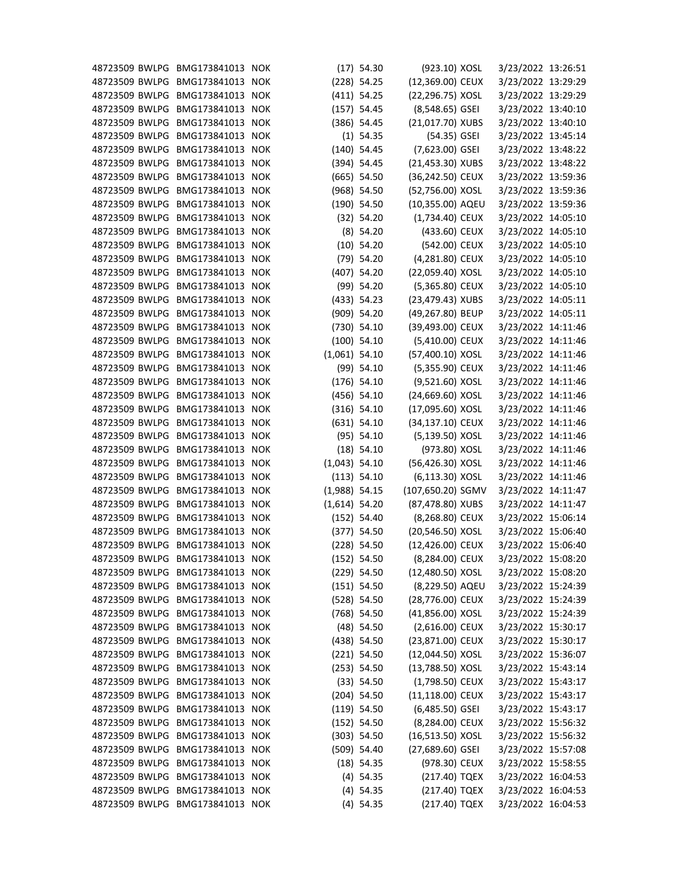| 48723509 BWLPG BMG173841013 NOK |                  |                 | $(17)$ 54.30                 | (923.10) XOSL                        | 3/23/2022 13:26:51 |  |
|---------------------------------|------------------|-----------------|------------------------------|--------------------------------------|--------------------|--|
| 48723509 BWLPG BMG173841013 NOK |                  |                 | $(228)$ 54.25                | (12,369.00) CEUX                     | 3/23/2022 13:29:29 |  |
| 48723509 BWLPG                  | BMG173841013 NOK |                 | $(411)$ 54.25                | (22,296.75) XOSL                     | 3/23/2022 13:29:29 |  |
| 48723509 BWLPG                  | BMG173841013 NOK |                 | (157) 54.45                  | (8,548.65) GSEI                      | 3/23/2022 13:40:10 |  |
| 48723509 BWLPG                  | BMG173841013 NOK |                 | $(386)$ 54.45                | (21,017.70) XUBS                     | 3/23/2022 13:40:10 |  |
| 48723509 BWLPG                  | BMG173841013 NOK |                 | $(1)$ 54.35                  | (54.35) GSEI                         | 3/23/2022 13:45:14 |  |
| 48723509 BWLPG                  | BMG173841013 NOK |                 | $(140)$ 54.45                | (7,623.00) GSEI                      | 3/23/2022 13:48:22 |  |
| 48723509 BWLPG                  | BMG173841013 NOK |                 | (394) 54.45                  | (21,453.30) XUBS                     | 3/23/2022 13:48:22 |  |
| 48723509 BWLPG                  | BMG173841013 NOK |                 | $(665)$ 54.50                | (36,242.50) CEUX                     | 3/23/2022 13:59:36 |  |
| 48723509 BWLPG                  | BMG173841013 NOK |                 | $(968)$ 54.50                | (52,756.00) XOSL                     | 3/23/2022 13:59:36 |  |
| 48723509 BWLPG                  | BMG173841013 NOK |                 | $(190)$ 54.50                | (10,355.00) AQEU                     | 3/23/2022 13:59:36 |  |
| 48723509 BWLPG                  | BMG173841013 NOK |                 | (32) 54.20                   | (1,734.40) CEUX                      | 3/23/2022 14:05:10 |  |
| 48723509 BWLPG                  | BMG173841013 NOK |                 | $(8)$ 54.20                  | (433.60) CEUX                        | 3/23/2022 14:05:10 |  |
| 48723509 BWLPG                  | BMG173841013 NOK |                 | $(10)$ 54.20                 | (542.00) CEUX                        | 3/23/2022 14:05:10 |  |
| 48723509 BWLPG                  | BMG173841013 NOK |                 | $(79)$ 54.20                 | (4,281.80) CEUX                      | 3/23/2022 14:05:10 |  |
| 48723509 BWLPG                  | BMG173841013 NOK |                 | $(407)$ 54.20                | (22,059.40) XOSL                     | 3/23/2022 14:05:10 |  |
| 48723509 BWLPG                  | BMG173841013 NOK |                 | $(99)$ 54.20                 | (5,365.80) CEUX                      | 3/23/2022 14:05:10 |  |
| 48723509 BWLPG                  | BMG173841013 NOK |                 | (433) 54.23                  | (23,479.43) XUBS                     | 3/23/2022 14:05:11 |  |
| 48723509 BWLPG                  | BMG173841013 NOK |                 | $(909)$ 54.20                | (49,267.80) BEUP                     | 3/23/2022 14:05:11 |  |
| 48723509 BWLPG                  | BMG173841013 NOK |                 | $(730)$ 54.10                | (39,493.00) CEUX                     | 3/23/2022 14:11:46 |  |
| 48723509 BWLPG                  | BMG173841013 NOK |                 | $(100)$ 54.10                | (5,410.00) CEUX                      | 3/23/2022 14:11:46 |  |
| 48723509 BWLPG                  | BMG173841013 NOK | $(1,061)$ 54.10 |                              | (57,400.10) XOSL                     | 3/23/2022 14:11:46 |  |
| 48723509 BWLPG                  | BMG173841013 NOK |                 | $(99)$ 54.10                 | (5,355.90) CEUX                      | 3/23/2022 14:11:46 |  |
| 48723509 BWLPG                  | BMG173841013 NOK |                 | $(176)$ 54.10                | (9,521.60) XOSL                      | 3/23/2022 14:11:46 |  |
| 48723509 BWLPG                  | BMG173841013 NOK |                 | $(456)$ 54.10                | (24,669.60) XOSL                     | 3/23/2022 14:11:46 |  |
| 48723509 BWLPG                  | BMG173841013 NOK |                 | $(316)$ 54.10                | (17,095.60) XOSL                     | 3/23/2022 14:11:46 |  |
| 48723509 BWLPG                  | BMG173841013 NOK |                 | $(631)$ 54.10                | (34,137.10) CEUX                     | 3/23/2022 14:11:46 |  |
| 48723509 BWLPG                  | BMG173841013 NOK |                 | (95) 54.10                   | (5,139.50) XOSL                      | 3/23/2022 14:11:46 |  |
| 48723509 BWLPG                  | BMG173841013 NOK |                 | $(18)$ 54.10                 | (973.80) XOSL                        | 3/23/2022 14:11:46 |  |
| 48723509 BWLPG                  | BMG173841013 NOK | $(1,043)$ 54.10 |                              | (56,426.30) XOSL                     | 3/23/2022 14:11:46 |  |
| 48723509 BWLPG BMG173841013 NOK |                  |                 | (113) 54.10                  | (6,113.30) XOSL                      | 3/23/2022 14:11:46 |  |
| 48723509 BWLPG BMG173841013 NOK |                  | $(1,988)$ 54.15 |                              | (107,650.20) SGMV                    | 3/23/2022 14:11:47 |  |
| 48723509 BWLPG BMG173841013 NOK |                  | $(1,614)$ 54.20 |                              | (87,478.80) XUBS                     | 3/23/2022 14:11:47 |  |
| 48723509 BWLPG BMG173841013 NOK |                  |                 |                              | (8,268.80) CEUX                      | 3/23/2022 15:06:14 |  |
| 48723509 BWLPG BMG173841013 NOK |                  |                 | $(152)$ 54.40<br>(377) 54.50 |                                      | 3/23/2022 15:06:40 |  |
|                                 |                  |                 | $(228)$ 54.50                | (20,546.50) XOSL<br>(12,426.00) CEUX |                    |  |
| 48723509 BWLPG BMG173841013 NOK |                  |                 |                              |                                      | 3/23/2022 15:06:40 |  |
| 48723509 BWLPG BMG173841013 NOK |                  |                 | $(152)$ 54.50                | (8,284.00) CEUX                      | 3/23/2022 15:08:20 |  |
| 48723509 BWLPG BMG173841013 NOK |                  |                 | $(229)$ 54.50                | (12,480.50) XOSL                     | 3/23/2022 15:08:20 |  |
| 48723509 BWLPG BMG173841013 NOK |                  |                 | $(151)$ 54.50                | (8,229.50) AQEU                      | 3/23/2022 15:24:39 |  |
| 48723509 BWLPG                  | BMG173841013 NOK |                 | (528) 54.50                  | (28,776.00) CEUX                     | 3/23/2022 15:24:39 |  |
| 48723509 BWLPG BMG173841013 NOK |                  |                 | $(768)$ 54.50                | (41,856.00) XOSL                     | 3/23/2022 15:24:39 |  |
| 48723509 BWLPG                  | BMG173841013 NOK |                 | $(48)$ 54.50                 | (2,616.00) CEUX                      | 3/23/2022 15:30:17 |  |
| 48723509 BWLPG BMG173841013 NOK |                  |                 | $(438)$ 54.50                | (23,871.00) CEUX                     | 3/23/2022 15:30:17 |  |
| 48723509 BWLPG BMG173841013 NOK |                  |                 | $(221)$ 54.50                | (12,044.50) XOSL                     | 3/23/2022 15:36:07 |  |
| 48723509 BWLPG                  | BMG173841013 NOK |                 | (253) 54.50                  | (13,788.50) XOSL                     | 3/23/2022 15:43:14 |  |
| 48723509 BWLPG                  | BMG173841013 NOK |                 | (33) 54.50                   | (1,798.50) CEUX                      | 3/23/2022 15:43:17 |  |
| 48723509 BWLPG                  | BMG173841013 NOK |                 | $(204)$ 54.50                | (11,118.00) CEUX                     | 3/23/2022 15:43:17 |  |
| 48723509 BWLPG BMG173841013 NOK |                  |                 | $(119)$ 54.50                | $(6,485.50)$ GSEI                    | 3/23/2022 15:43:17 |  |
| 48723509 BWLPG BMG173841013 NOK |                  |                 | $(152)$ 54.50                | (8,284.00) CEUX                      | 3/23/2022 15:56:32 |  |
| 48723509 BWLPG                  | BMG173841013 NOK |                 | $(303)$ 54.50                | (16,513.50) XOSL                     | 3/23/2022 15:56:32 |  |
| 48723509 BWLPG                  | BMG173841013 NOK |                 | $(509)$ 54.40                | (27,689.60) GSEI                     | 3/23/2022 15:57:08 |  |
| 48723509 BWLPG                  | BMG173841013 NOK |                 | $(18)$ 54.35                 | (978.30) CEUX                        | 3/23/2022 15:58:55 |  |
| 48723509 BWLPG BMG173841013 NOK |                  |                 | $(4)$ 54.35                  | (217.40) TQEX                        | 3/23/2022 16:04:53 |  |
| 48723509 BWLPG BMG173841013 NOK |                  |                 | $(4)$ 54.35                  | (217.40) TQEX                        | 3/23/2022 16:04:53 |  |
| 48723509 BWLPG BMG173841013 NOK |                  |                 | $(4)$ 54.35                  | (217.40) TQEX                        | 3/23/2022 16:04:53 |  |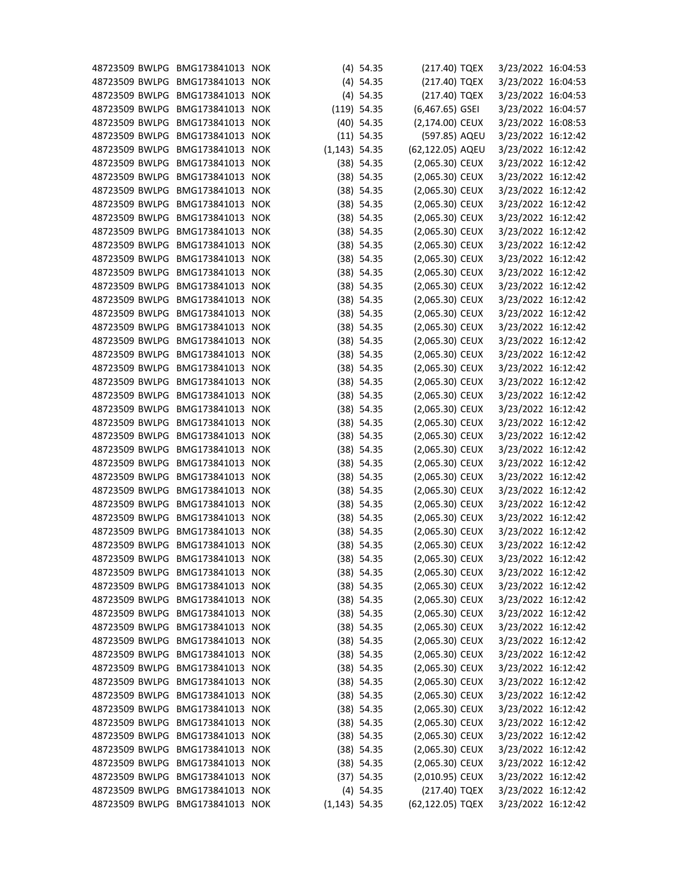| 48723509 BWLPG BMG173841013 NOK |                  |                  | $(4)$ 54.35   | (217.40) TQEX     | 3/23/2022 16:04:53 |  |
|---------------------------------|------------------|------------------|---------------|-------------------|--------------------|--|
| 48723509 BWLPG BMG173841013 NOK |                  |                  | $(4)$ 54.35   | (217.40) TQEX     | 3/23/2022 16:04:53 |  |
| 48723509 BWLPG                  | BMG173841013 NOK |                  | $(4)$ 54.35   | (217.40) TQEX     | 3/23/2022 16:04:53 |  |
| 48723509 BWLPG                  | BMG173841013 NOK |                  | $(119)$ 54.35 | $(6,467.65)$ GSEI | 3/23/2022 16:04:57 |  |
| 48723509 BWLPG                  | BMG173841013 NOK |                  | $(40)$ 54.35  | (2,174.00) CEUX   | 3/23/2022 16:08:53 |  |
| 48723509 BWLPG                  | BMG173841013 NOK |                  | $(11)$ 54.35  | (597.85) AQEU     | 3/23/2022 16:12:42 |  |
| 48723509 BWLPG                  | BMG173841013 NOK | $(1, 143)$ 54.35 |               | (62,122.05) AQEU  | 3/23/2022 16:12:42 |  |
| 48723509 BWLPG                  | BMG173841013 NOK |                  | $(38)$ 54.35  | (2,065.30) CEUX   | 3/23/2022 16:12:42 |  |
| 48723509 BWLPG                  | BMG173841013 NOK |                  | $(38)$ 54.35  | (2,065.30) CEUX   | 3/23/2022 16:12:42 |  |
| 48723509 BWLPG                  | BMG173841013 NOK |                  | $(38)$ 54.35  | (2,065.30) CEUX   | 3/23/2022 16:12:42 |  |
| 48723509 BWLPG                  | BMG173841013 NOK |                  | $(38)$ 54.35  | (2,065.30) CEUX   | 3/23/2022 16:12:42 |  |
| 48723509 BWLPG                  | BMG173841013 NOK |                  | $(38)$ 54.35  | (2,065.30) CEUX   | 3/23/2022 16:12:42 |  |
| 48723509 BWLPG                  | BMG173841013 NOK |                  | $(38)$ 54.35  | (2,065.30) CEUX   | 3/23/2022 16:12:42 |  |
| 48723509 BWLPG                  | BMG173841013 NOK |                  | $(38)$ 54.35  | (2,065.30) CEUX   | 3/23/2022 16:12:42 |  |
| 48723509 BWLPG                  | BMG173841013 NOK |                  | $(38)$ 54.35  | (2,065.30) CEUX   | 3/23/2022 16:12:42 |  |
| 48723509 BWLPG                  | BMG173841013 NOK |                  | $(38)$ 54.35  | (2,065.30) CEUX   | 3/23/2022 16:12:42 |  |
| 48723509 BWLPG                  | BMG173841013 NOK |                  | $(38)$ 54.35  | (2,065.30) CEUX   | 3/23/2022 16:12:42 |  |
| 48723509 BWLPG                  | BMG173841013 NOK |                  | $(38)$ 54.35  | (2,065.30) CEUX   | 3/23/2022 16:12:42 |  |
| 48723509 BWLPG                  | BMG173841013 NOK |                  | $(38)$ 54.35  | (2,065.30) CEUX   | 3/23/2022 16:12:42 |  |
| 48723509 BWLPG                  | BMG173841013 NOK |                  | $(38)$ 54.35  | (2,065.30) CEUX   | 3/23/2022 16:12:42 |  |
| 48723509 BWLPG                  | BMG173841013 NOK |                  | $(38)$ 54.35  | (2,065.30) CEUX   | 3/23/2022 16:12:42 |  |
| 48723509 BWLPG                  | BMG173841013 NOK |                  | $(38)$ 54.35  | (2,065.30) CEUX   | 3/23/2022 16:12:42 |  |
| 48723509 BWLPG                  | BMG173841013 NOK |                  | $(38)$ 54.35  | (2,065.30) CEUX   | 3/23/2022 16:12:42 |  |
|                                 |                  |                  |               |                   |                    |  |
| 48723509 BWLPG                  | BMG173841013 NOK |                  | $(38)$ 54.35  | (2,065.30) CEUX   | 3/23/2022 16:12:42 |  |
| 48723509 BWLPG                  | BMG173841013 NOK |                  | $(38)$ 54.35  | (2,065.30) CEUX   | 3/23/2022 16:12:42 |  |
| 48723509 BWLPG BMG173841013 NOK |                  |                  | $(38)$ 54.35  | (2,065.30) CEUX   | 3/23/2022 16:12:42 |  |
| 48723509 BWLPG                  | BMG173841013 NOK |                  | $(38)$ 54.35  | (2,065.30) CEUX   | 3/23/2022 16:12:42 |  |
| 48723509 BWLPG                  | BMG173841013 NOK |                  | $(38)$ 54.35  | (2,065.30) CEUX   | 3/23/2022 16:12:42 |  |
| 48723509 BWLPG                  | BMG173841013 NOK |                  | $(38)$ 54.35  | (2,065.30) CEUX   | 3/23/2022 16:12:42 |  |
| 48723509 BWLPG                  | BMG173841013 NOK |                  | $(38)$ 54.35  | (2,065.30) CEUX   | 3/23/2022 16:12:42 |  |
| 48723509 BWLPG BMG173841013 NOK |                  |                  | $(38)$ 54.35  | (2,065.30) CEUX   | 3/23/2022 16:12:42 |  |
| 48723509 BWLPG BMG173841013 NOK |                  |                  | $(38)$ 54.35  | $(2,065.30)$ CEUX | 3/23/2022 16:12:42 |  |
| 48723509 BWLPG BMG173841013 NOK |                  |                  | $(38)$ 54.35  | (2,065.30) CEUX   | 3/23/2022 16:12:42 |  |
| 48723509 BWLPG BMG173841013 NOK |                  |                  | $(38)$ 54.35  | (2,065.30) CEUX   | 3/23/2022 16:12:42 |  |
| 48723509 BWLPG                  | BMG173841013 NOK |                  | $(38)$ 54.35  | (2,065.30) CEUX   | 3/23/2022 16:12:42 |  |
| 48723509 BWLPG                  | BMG173841013 NOK |                  | $(38)$ 54.35  | (2,065.30) CEUX   | 3/23/2022 16:12:42 |  |
| 48723509 BWLPG                  | BMG173841013 NOK |                  | $(38)$ 54.35  | (2,065.30) CEUX   | 3/23/2022 16:12:42 |  |
| 48723509 BWLPG                  | BMG173841013 NOK |                  | $(38)$ 54.35  | (2,065.30) CEUX   | 3/23/2022 16:12:42 |  |
| 48723509 BWLPG                  | BMG173841013 NOK |                  | $(38)$ 54.35  | (2,065.30) CEUX   | 3/23/2022 16:12:42 |  |
| 48723509 BWLPG                  | BMG173841013 NOK |                  | $(38)$ 54.35  | (2,065.30) CEUX   | 3/23/2022 16:12:42 |  |
| 48723509 BWLPG                  | BMG173841013 NOK |                  | $(38)$ 54.35  | (2,065.30) CEUX   | 3/23/2022 16:12:42 |  |
| 48723509 BWLPG                  | BMG173841013 NOK |                  | $(38)$ 54.35  | (2,065.30) CEUX   | 3/23/2022 16:12:42 |  |
| 48723509 BWLPG                  | BMG173841013 NOK |                  | $(38)$ 54.35  | (2,065.30) CEUX   | 3/23/2022 16:12:42 |  |
| 48723509 BWLPG                  | BMG173841013 NOK |                  | $(38)$ 54.35  | (2,065.30) CEUX   | 3/23/2022 16:12:42 |  |
| 48723509 BWLPG                  | BMG173841013 NOK |                  | $(38)$ 54.35  | (2,065.30) CEUX   | 3/23/2022 16:12:42 |  |
| 48723509 BWLPG                  | BMG173841013 NOK |                  | $(38)$ 54.35  | (2,065.30) CEUX   | 3/23/2022 16:12:42 |  |
| 48723509 BWLPG                  | BMG173841013 NOK |                  | $(38)$ 54.35  | (2,065.30) CEUX   | 3/23/2022 16:12:42 |  |
| 48723509 BWLPG                  | BMG173841013 NOK |                  | $(38)$ 54.35  | (2,065.30) CEUX   | 3/23/2022 16:12:42 |  |
| 48723509 BWLPG                  | BMG173841013 NOK |                  | $(38)$ 54.35  | (2,065.30) CEUX   | 3/23/2022 16:12:42 |  |
| 48723509 BWLPG                  | BMG173841013 NOK |                  | $(38)$ 54.35  | (2,065.30) CEUX   | 3/23/2022 16:12:42 |  |
| 48723509 BWLPG                  | BMG173841013 NOK |                  | $(38)$ 54.35  | (2,065.30) CEUX   | 3/23/2022 16:12:42 |  |
| 48723509 BWLPG                  | BMG173841013 NOK |                  | $(38)$ 54.35  | (2,065.30) CEUX   | 3/23/2022 16:12:42 |  |
| 48723509 BWLPG                  | BMG173841013 NOK |                  | (37) 54.35    | (2,010.95) CEUX   | 3/23/2022 16:12:42 |  |
| 48723509 BWLPG                  | BMG173841013 NOK |                  | $(4)$ 54.35   | (217.40) TQEX     | 3/23/2022 16:12:42 |  |
| 48723509 BWLPG BMG173841013 NOK |                  | $(1, 143)$ 54.35 |               | (62,122.05) TQEX  | 3/23/2022 16:12:42 |  |
|                                 |                  |                  |               |                   |                    |  |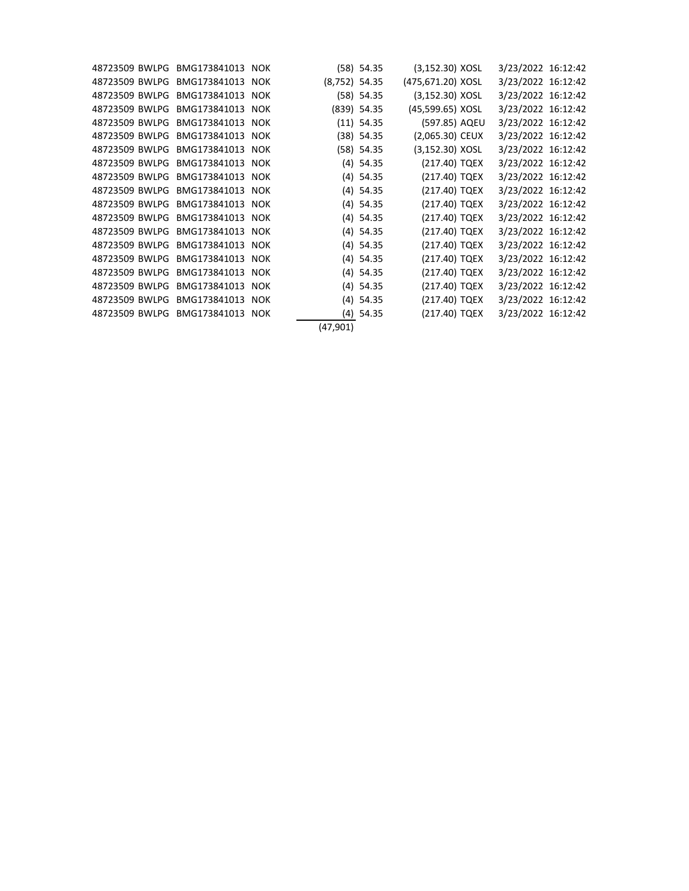| 48723509 BWLPG BMG173841013 NOK |              |            |                 | $(58)$ 54.35  | $(3, 152.30)$ XOSL | 3/23/2022 16:12:42 |  |
|---------------------------------|--------------|------------|-----------------|---------------|--------------------|--------------------|--|
| 48723509 BWLPG BMG173841013     |              | <b>NOK</b> | $(8,752)$ 54.35 |               | (475,671.20) XOSL  | 3/23/2022 16:12:42 |  |
| 48723509 BWLPG BMG173841013     |              | <b>NOK</b> |                 | $(58)$ 54.35  | $(3, 152.30)$ XOSL | 3/23/2022 16:12:42 |  |
| 48723509 BWLPG                  | BMG173841013 | <b>NOK</b> |                 | $(839)$ 54.35 | (45,599.65) XOSL   | 3/23/2022 16:12:42 |  |
| 48723509 BWLPG BMG173841013     |              | <b>NOK</b> |                 | $(11)$ 54.35  | (597.85) AQEU      | 3/23/2022 16:12:42 |  |
| 48723509 BWLPG BMG173841013 NOK |              |            |                 | $(38)$ 54.35  | $(2,065.30)$ CEUX  | 3/23/2022 16:12:42 |  |
| 48723509 BWLPG BMG173841013 NOK |              |            |                 | $(58)$ 54.35  | $(3, 152.30)$ XOSL | 3/23/2022 16:12:42 |  |
| 48723509 BWLPG BMG173841013     |              | <b>NOK</b> |                 | $(4)$ 54.35   | (217.40) TQEX      | 3/23/2022 16:12:42 |  |
| 48723509 BWLPG BMG173841013     |              | <b>NOK</b> |                 | $(4)$ 54.35   | (217.40) TQEX      | 3/23/2022 16:12:42 |  |
| 48723509 BWLPG BMG173841013 NOK |              |            |                 | $(4)$ 54.35   | (217.40) TQEX      | 3/23/2022 16:12:42 |  |
| 48723509 BWLPG BMG173841013 NOK |              |            |                 | $(4)$ 54.35   | (217.40) TQEX      | 3/23/2022 16:12:42 |  |
| 48723509 BWLPG BMG173841013 NOK |              |            |                 | $(4)$ 54.35   | (217.40) TQEX      | 3/23/2022 16:12:42 |  |
| 48723509 BWLPG                  | BMG173841013 | <b>NOK</b> |                 | $(4)$ 54.35   | (217.40) TQEX      | 3/23/2022 16:12:42 |  |
| 48723509 BWLPG BMG173841013     |              | <b>NOK</b> |                 | $(4)$ 54.35   | (217.40) TQEX      | 3/23/2022 16:12:42 |  |
| 48723509 BWLPG BMG173841013     |              | <b>NOK</b> |                 | $(4)$ 54.35   | (217.40) TQEX      | 3/23/2022 16:12:42 |  |
| 48723509 BWLPG BMG173841013     |              | <b>NOK</b> |                 | $(4)$ 54.35   | (217.40) TQEX      | 3/23/2022 16:12:42 |  |
| 48723509 BWLPG BMG173841013 NOK |              |            |                 | $(4)$ 54.35   | (217.40) TQEX      | 3/23/2022 16:12:42 |  |
| 48723509 BWLPG                  | BMG173841013 | <b>NOK</b> |                 | $(4)$ 54.35   | (217.40) TQEX      | 3/23/2022 16:12:42 |  |
| 48723509 BWLPG BMG173841013     |              | <b>NOK</b> |                 | $(4)$ 54.35   | (217.40) TQEX      | 3/23/2022 16:12:42 |  |
|                                 |              |            | (47, 901)       |               |                    |                    |  |
|                                 |              |            |                 |               |                    |                    |  |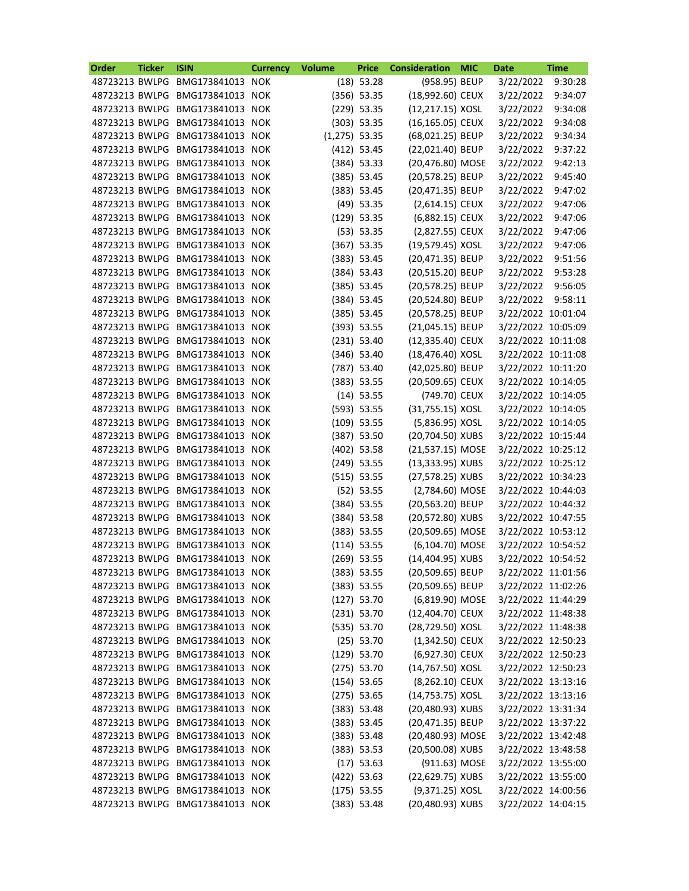| <b>Order</b>                     | <b>Ticker</b> | <b>ISIN</b>                     | <b>Currency</b> | <b>Volume</b>   | <b>Price</b>  | <b>Consideration</b> | <b>MIC</b> | <b>Date</b>        | <b>Time</b> |
|----------------------------------|---------------|---------------------------------|-----------------|-----------------|---------------|----------------------|------------|--------------------|-------------|
| 48723213 BWLPG                   |               | BMG173841013                    | <b>NOK</b>      |                 | $(18)$ 53.28  | (958.95) BEUP        |            | 3/22/2022          | 9:30:28     |
| 48723213 BWLPG                   |               | BMG173841013 NOK                |                 |                 | $(356)$ 53.35 | (18,992.60) CEUX     |            | 3/22/2022          | 9:34:07     |
| 48723213 BWLPG                   |               | BMG173841013                    | <b>NOK</b>      |                 | $(229)$ 53.35 | (12,217.15) XOSL     |            | 3/22/2022          | 9:34:08     |
| 48723213 BWLPG                   |               | BMG173841013                    | <b>NOK</b>      |                 | $(303)$ 53.35 | (16,165.05) CEUX     |            | 3/22/2022          | 9:34:08     |
| 48723213 BWLPG                   |               | BMG173841013                    | <b>NOK</b>      | $(1,275)$ 53.35 |               | (68,021.25) BEUP     |            | 3/22/2022          | 9:34:34     |
| 48723213 BWLPG                   |               | BMG173841013                    | <b>NOK</b>      |                 | $(412)$ 53.45 | (22,021.40) BEUP     |            | 3/22/2022          | 9:37:22     |
| 48723213 BWLPG                   |               | BMG173841013                    | <b>NOK</b>      |                 | $(384)$ 53.33 | (20,476.80) MOSE     |            | 3/22/2022          | 9:42:13     |
| 48723213 BWLPG                   |               | BMG173841013                    | <b>NOK</b>      |                 | $(385)$ 53.45 | (20,578.25) BEUP     |            | 3/22/2022          | 9:45:40     |
| 48723213 BWLPG                   |               | BMG173841013                    | <b>NOK</b>      |                 | (383) 53.45   | (20,471.35) BEUP     |            | 3/22/2022          | 9:47:02     |
| 48723213 BWLPG                   |               | BMG173841013                    | <b>NOK</b>      |                 | $(49)$ 53.35  | (2,614.15) CEUX      |            | 3/22/2022          | 9:47:06     |
| 48723213 BWLPG                   |               | BMG173841013                    | <b>NOK</b>      |                 | $(129)$ 53.35 | (6,882.15) CEUX      |            | 3/22/2022          | 9:47:06     |
| 48723213 BWLPG                   |               | BMG173841013                    | <b>NOK</b>      |                 | (53) 53.35    | (2,827.55) CEUX      |            | 3/22/2022          | 9:47:06     |
| 48723213 BWLPG                   |               | BMG173841013                    | <b>NOK</b>      |                 | $(367)$ 53.35 | (19,579.45) XOSL     |            | 3/22/2022          | 9:47:06     |
| 48723213 BWLPG                   |               | BMG173841013                    | <b>NOK</b>      |                 | $(383)$ 53.45 | (20,471.35) BEUP     |            | 3/22/2022          | 9:51:56     |
| 48723213 BWLPG                   |               | BMG173841013                    | <b>NOK</b>      |                 | (384) 53.43   | (20,515.20) BEUP     |            | 3/22/2022          | 9:53:28     |
| 48723213 BWLPG                   |               | BMG173841013                    | <b>NOK</b>      |                 | $(385)$ 53.45 | (20,578.25) BEUP     |            | 3/22/2022          | 9:56:05     |
| 48723213 BWLPG                   |               | BMG173841013                    | <b>NOK</b>      |                 | $(384)$ 53.45 | (20,524.80) BEUP     |            | 3/22/2022          | 9:58:11     |
| 48723213 BWLPG                   |               | BMG173841013                    | <b>NOK</b>      |                 | $(385)$ 53.45 | (20,578.25) BEUP     |            | 3/22/2022 10:01:04 |             |
| 48723213 BWLPG                   |               | BMG173841013                    | <b>NOK</b>      |                 | $(393)$ 53.55 | (21,045.15) BEUP     |            | 3/22/2022 10:05:09 |             |
| 48723213 BWLPG                   |               | BMG173841013                    | <b>NOK</b>      |                 | $(231)$ 53.40 | (12,335.40) CEUX     |            | 3/22/2022 10:11:08 |             |
| 48723213 BWLPG                   |               | BMG173841013                    | <b>NOK</b>      |                 | $(346)$ 53.40 | (18,476.40) XOSL     |            | 3/22/2022 10:11:08 |             |
| 48723213 BWLPG                   |               | BMG173841013                    | <b>NOK</b>      |                 | $(787)$ 53.40 | (42,025.80) BEUP     |            | 3/22/2022 10:11:20 |             |
|                                  |               |                                 |                 |                 |               |                      |            |                    |             |
| 48723213 BWLPG<br>48723213 BWLPG |               | BMG173841013                    | <b>NOK</b>      |                 | (383) 53.55   | (20,509.65) CEUX     |            | 3/22/2022 10:14:05 |             |
|                                  |               | BMG173841013                    | <b>NOK</b>      |                 | $(14)$ 53.55  | (749.70) CEUX        |            | 3/22/2022 10:14:05 |             |
| 48723213 BWLPG                   |               | BMG173841013                    | <b>NOK</b>      |                 | $(593)$ 53.55 | (31,755.15) XOSL     |            | 3/22/2022 10:14:05 |             |
| 48723213 BWLPG                   |               | BMG173841013                    | <b>NOK</b>      |                 | $(109)$ 53.55 | (5,836.95) XOSL      |            | 3/22/2022 10:14:05 |             |
| 48723213 BWLPG                   |               | BMG173841013                    | <b>NOK</b>      |                 | $(387)$ 53.50 | (20,704.50) XUBS     |            | 3/22/2022 10:15:44 |             |
| 48723213 BWLPG                   |               | BMG173841013                    | <b>NOK</b>      |                 | $(402)$ 53.58 | (21,537.15) MOSE     |            | 3/22/2022 10:25:12 |             |
| 48723213 BWLPG                   |               | BMG173841013                    | <b>NOK</b>      |                 | $(249)$ 53.55 | (13,333.95) XUBS     |            | 3/22/2022 10:25:12 |             |
|                                  |               | 48723213 BWLPG BMG173841013     | <b>NOK</b>      |                 | (515) 53.55   | (27,578.25) XUBS     |            | 3/22/2022 10:34:23 |             |
|                                  |               | 48723213 BWLPG BMG173841013     | <b>NOK</b>      |                 | $(52)$ 53.55  | (2,784.60) MOSE      |            | 3/22/2022 10:44:03 |             |
| 48723213 BWLPG                   |               | BMG173841013 NOK                |                 |                 | $(384)$ 53.55 | (20,563.20) BEUP     |            | 3/22/2022 10:44:32 |             |
| 48723213 BWLPG                   |               | BMG173841013 NOK                |                 |                 | $(384)$ 53.58 | (20,572.80) XUBS     |            | 3/22/2022 10:47:55 |             |
| 48723213 BWLPG                   |               | BMG173841013 NOK                |                 |                 | (383) 53.55   | (20,509.65) MOSE     |            | 3/22/2022 10:53:12 |             |
| 48723213 BWLPG                   |               | BMG173841013                    | <b>NOK</b>      |                 | $(114)$ 53.55 | (6,104.70) MOSE      |            | 3/22/2022 10:54:52 |             |
| 48723213 BWLPG                   |               | BMG173841013                    | <b>NOK</b>      |                 | $(269)$ 53.55 | (14,404.95) XUBS     |            | 3/22/2022 10:54:52 |             |
| 48723213 BWLPG                   |               | BMG173841013 NOK                |                 |                 | (383) 53.55   | (20,509.65) BEUP     |            | 3/22/2022 11:01:56 |             |
| 48723213 BWLPG                   |               | BMG173841013 NOK                |                 |                 | (383) 53.55   | (20,509.65) BEUP     |            | 3/22/2022 11:02:26 |             |
| 48723213 BWLPG                   |               | BMG173841013 NOK                |                 |                 | $(127)$ 53.70 | (6,819.90) MOSE      |            | 3/22/2022 11:44:29 |             |
| 48723213 BWLPG                   |               | BMG173841013                    | <b>NOK</b>      |                 | $(231)$ 53.70 | (12,404.70) CEUX     |            | 3/22/2022 11:48:38 |             |
| 48723213 BWLPG                   |               | BMG173841013                    | <b>NOK</b>      |                 | (535) 53.70   | (28,729.50) XOSL     |            | 3/22/2022 11:48:38 |             |
| 48723213 BWLPG                   |               | BMG173841013 NOK                |                 |                 | $(25)$ 53.70  | $(1,342.50)$ CEUX    |            | 3/22/2022 12:50:23 |             |
| 48723213 BWLPG                   |               | BMG173841013 NOK                |                 |                 | $(129)$ 53.70 | (6,927.30) CEUX      |            | 3/22/2022 12:50:23 |             |
| 48723213 BWLPG                   |               | BMG173841013 NOK                |                 |                 | $(275)$ 53.70 | (14,767.50) XOSL     |            | 3/22/2022 12:50:23 |             |
| 48723213 BWLPG                   |               | BMG173841013                    | <b>NOK</b>      |                 | $(154)$ 53.65 | (8,262.10) CEUX      |            | 3/22/2022 13:13:16 |             |
| 48723213 BWLPG                   |               | BMG173841013                    | <b>NOK</b>      |                 | $(275)$ 53.65 | (14,753.75) XOSL     |            | 3/22/2022 13:13:16 |             |
| 48723213 BWLPG                   |               | BMG173841013 NOK                |                 |                 | (383) 53.48   | (20,480.93) XUBS     |            | 3/22/2022 13:31:34 |             |
| 48723213 BWLPG                   |               | BMG173841013 NOK                |                 |                 | (383) 53.45   | (20,471.35) BEUP     |            | 3/22/2022 13:37:22 |             |
| 48723213 BWLPG                   |               | BMG173841013 NOK                |                 |                 | (383) 53.48   | (20,480.93) MOSE     |            | 3/22/2022 13:42:48 |             |
| 48723213 BWLPG                   |               | BMG173841013                    | <b>NOK</b>      |                 | (383) 53.53   | (20,500.08) XUBS     |            | 3/22/2022 13:48:58 |             |
| 48723213 BWLPG                   |               | BMG173841013 NOK                |                 |                 | $(17)$ 53.63  | (911.63) MOSE        |            | 3/22/2022 13:55:00 |             |
| 48723213 BWLPG                   |               | BMG173841013 NOK                |                 |                 | $(422)$ 53.63 | (22,629.75) XUBS     |            | 3/22/2022 13:55:00 |             |
| 48723213 BWLPG                   |               | BMG173841013 NOK                |                 |                 | $(175)$ 53.55 | (9,371.25) XOSL      |            | 3/22/2022 14:00:56 |             |
|                                  |               | 48723213 BWLPG BMG173841013 NOK |                 |                 | (383) 53.48   | (20,480.93) XUBS     |            | 3/22/2022 14:04:15 |             |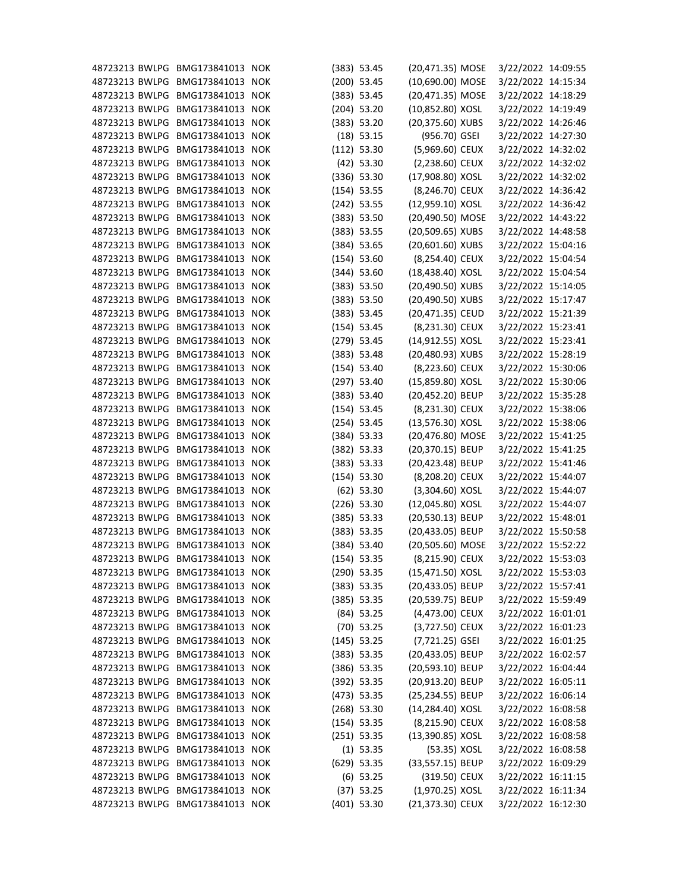| 48723213 BWLPG BMG173841013                                        |                  | <b>NOK</b> | (383) 53.45                    | (20,471.35) MOSE                    | 3/22/2022 14:09:55 |  |
|--------------------------------------------------------------------|------------------|------------|--------------------------------|-------------------------------------|--------------------|--|
| 48723213 BWLPG BMG173841013 NOK                                    |                  |            | $(200)$ 53.45                  | (10,690.00) MOSE                    | 3/22/2022 14:15:34 |  |
| 48723213 BWLPG                                                     | BMG173841013     | <b>NOK</b> | (383) 53.45                    | (20,471.35) MOSE                    | 3/22/2022 14:18:29 |  |
| 48723213 BWLPG                                                     | BMG173841013     | <b>NOK</b> | $(204)$ 53.20                  | (10,852.80) XOSL                    | 3/22/2022 14:19:49 |  |
| 48723213 BWLPG                                                     | BMG173841013     | <b>NOK</b> | (383) 53.20                    | (20,375.60) XUBS                    | 3/22/2022 14:26:46 |  |
| 48723213 BWLPG                                                     | BMG173841013 NOK |            | $(18)$ 53.15                   | (956.70) GSEI                       | 3/22/2022 14:27:30 |  |
| 48723213 BWLPG                                                     | BMG173841013 NOK |            | (112) 53.30                    | (5,969.60) CEUX                     | 3/22/2022 14:32:02 |  |
| 48723213 BWLPG                                                     | BMG173841013     | <b>NOK</b> | $(42)$ 53.30                   | (2,238.60) CEUX                     | 3/22/2022 14:32:02 |  |
| 48723213 BWLPG                                                     | BMG173841013     | <b>NOK</b> | (336) 53.30                    | (17,908.80) XOSL                    | 3/22/2022 14:32:02 |  |
| 48723213 BWLPG                                                     | BMG173841013     | <b>NOK</b> | $(154)$ 53.55                  | (8,246.70) CEUX                     | 3/22/2022 14:36:42 |  |
| 48723213 BWLPG                                                     | BMG173841013 NOK |            | $(242)$ 53.55                  | (12,959.10) XOSL                    | 3/22/2022 14:36:42 |  |
| 48723213 BWLPG BMG173841013 NOK                                    |                  |            | (383) 53.50                    | (20,490.50) MOSE                    | 3/22/2022 14:43:22 |  |
| 48723213 BWLPG                                                     | BMG173841013 NOK |            | (383) 53.55                    | (20,509.65) XUBS                    | 3/22/2022 14:48:58 |  |
| 48723213 BWLPG                                                     | BMG173841013 NOK |            | $(384)$ 53.65                  | (20,601.60) XUBS                    | 3/22/2022 15:04:16 |  |
| 48723213 BWLPG                                                     | BMG173841013     | <b>NOK</b> | $(154)$ 53.60                  | (8,254.40) CEUX                     | 3/22/2022 15:04:54 |  |
| 48723213 BWLPG BMG173841013 NOK                                    |                  |            | $(344)$ 53.60                  | (18,438.40) XOSL                    | 3/22/2022 15:04:54 |  |
| 48723213 BWLPG                                                     | BMG173841013     | <b>NOK</b> | (383) 53.50                    | (20,490.50) XUBS                    | 3/22/2022 15:14:05 |  |
| 48723213 BWLPG                                                     | BMG173841013     | <b>NOK</b> | (383) 53.50                    | (20,490.50) XUBS                    | 3/22/2022 15:17:47 |  |
| 48723213 BWLPG                                                     | BMG173841013 NOK |            | (383) 53.45                    | (20,471.35) CEUD                    | 3/22/2022 15:21:39 |  |
| 48723213 BWLPG                                                     | BMG173841013     | <b>NOK</b> | $(154)$ 53.45                  | (8,231.30) CEUX                     | 3/22/2022 15:23:41 |  |
| 48723213 BWLPG BMG173841013 NOK                                    |                  |            | $(279)$ 53.45                  | (14,912.55) XOSL                    | 3/22/2022 15:23:41 |  |
| 48723213 BWLPG                                                     | BMG173841013     | <b>NOK</b> | (383) 53.48                    | (20,480.93) XUBS                    | 3/22/2022 15:28:19 |  |
| 48723213 BWLPG                                                     | BMG173841013     | <b>NOK</b> | $(154)$ 53.40                  | (8,223.60) CEUX                     | 3/22/2022 15:30:06 |  |
| 48723213 BWLPG                                                     | BMG173841013 NOK |            | (297) 53.40                    | (15,859.80) XOSL                    | 3/22/2022 15:30:06 |  |
| 48723213 BWLPG                                                     | BMG173841013     | <b>NOK</b> | (383) 53.40                    | (20,452.20) BEUP                    | 3/22/2022 15:35:28 |  |
| 48723213 BWLPG BMG173841013 NOK                                    |                  |            | $(154)$ 53.45                  | (8,231.30) CEUX                     | 3/22/2022 15:38:06 |  |
| 48723213 BWLPG                                                     | BMG173841013     | <b>NOK</b> | $(254)$ 53.45                  | (13,576.30) XOSL                    | 3/22/2022 15:38:06 |  |
| 48723213 BWLPG                                                     | BMG173841013     | <b>NOK</b> | $(384)$ 53.33                  | (20,476.80) MOSE                    | 3/22/2022 15:41:25 |  |
| 48723213 BWLPG                                                     | BMG173841013 NOK |            | $(382)$ 53.33                  | (20,370.15) BEUP                    | 3/22/2022 15:41:25 |  |
| 48723213 BWLPG                                                     | BMG173841013 NOK |            | $(383)$ 53.33                  | (20,423.48) BEUP                    | 3/22/2022 15:41:46 |  |
| 48723213 BWLPG BMG173841013 NOK                                    |                  |            | $(154)$ 53.30                  | (8,208.20) CEUX                     | 3/22/2022 15:44:07 |  |
| 48723213 BWLPG BMG173841013 NOK                                    |                  |            | $(62)$ 53.30                   | (3,304.60) XOSL                     | 3/22/2022 15:44:07 |  |
| 48723213 BWLPG BMG173841013 NOK                                    |                  |            | $(226)$ 53.30                  | (12,045.80) XOSL                    | 3/22/2022 15:44:07 |  |
| 48723213 BWLPG BMG173841013 NOK                                    |                  |            | (385) 53.33                    | (20,530.13) BEUP                    | 3/22/2022 15:48:01 |  |
| 48723213 BWLPG BMG173841013 NOK                                    |                  |            | (383) 53.35                    | (20,433.05) BEUP                    | 3/22/2022 15:50:58 |  |
| 48723213 BWLPG BMG173841013 NOK                                    |                  |            |                                | (20,505.60) MOSE                    | 3/22/2022 15:52:22 |  |
| 48723213 BWLPG BMG173841013 NOK                                    |                  |            | (384) 53.40                    |                                     |                    |  |
|                                                                    |                  |            | $(154)$ 53.35<br>$(290)$ 53.35 | (8,215.90) CEUX<br>(15,471.50) XOSL | 3/22/2022 15:53:03 |  |
| 48723213 BWLPG BMG173841013 NOK<br>48723213 BWLPG BMG173841013 NOK |                  |            | (383) 53.35                    |                                     | 3/22/2022 15:53:03 |  |
| 48723213 BWLPG                                                     |                  |            |                                | (20,433.05) BEUP                    | 3/22/2022 15:57:41 |  |
|                                                                    | BMG173841013 NOK |            | $(385)$ 53.35                  | (20,539.75) BEUP                    | 3/22/2022 15:59:49 |  |
| 48723213 BWLPG BMG173841013 NOK                                    |                  |            | $(84)$ 53.25                   | (4,473.00) CEUX                     | 3/22/2022 16:01:01 |  |
| 48723213 BWLPG                                                     | BMG173841013 NOK |            | $(70)$ 53.25                   | (3,727.50) CEUX                     | 3/22/2022 16:01:23 |  |
| 48723213 BWLPG BMG173841013 NOK                                    |                  |            | $(145)$ 53.25                  | $(7, 721.25)$ GSEI                  | 3/22/2022 16:01:25 |  |
| 48723213 BWLPG BMG173841013 NOK                                    |                  |            | (383) 53.35                    | (20,433.05) BEUP                    | 3/22/2022 16:02:57 |  |
| 48723213 BWLPG                                                     | BMG173841013 NOK |            | $(386)$ 53.35                  | (20,593.10) BEUP                    | 3/22/2022 16:04:44 |  |
| 48723213 BWLPG                                                     | BMG173841013 NOK |            | $(392)$ 53.35                  | (20,913.20) BEUP                    | 3/22/2022 16:05:11 |  |
| 48723213 BWLPG                                                     | BMG173841013 NOK |            | $(473)$ 53.35                  | (25,234.55) BEUP                    | 3/22/2022 16:06:14 |  |
| 48723213 BWLPG BMG173841013 NOK                                    |                  |            | $(268)$ 53.30                  | (14,284.40) XOSL                    | 3/22/2022 16:08:58 |  |
| 48723213 BWLPG BMG173841013 NOK                                    |                  |            | $(154)$ 53.35                  | (8,215.90) CEUX                     | 3/22/2022 16:08:58 |  |
| 48723213 BWLPG                                                     | BMG173841013 NOK |            | $(251)$ 53.35                  | (13,390.85) XOSL                    | 3/22/2022 16:08:58 |  |
| 48723213 BWLPG                                                     | BMG173841013 NOK |            | $(1)$ 53.35                    | (53.35) XOSL                        | 3/22/2022 16:08:58 |  |
| 48723213 BWLPG                                                     | BMG173841013 NOK |            | $(629)$ 53.35                  | (33,557.15) BEUP                    | 3/22/2022 16:09:29 |  |
| 48723213 BWLPG BMG173841013 NOK                                    |                  |            | $(6)$ 53.25                    | (319.50) CEUX                       | 3/22/2022 16:11:15 |  |
| 48723213 BWLPG BMG173841013 NOK                                    |                  |            | $(37)$ 53.25                   | (1,970.25) XOSL                     | 3/22/2022 16:11:34 |  |
| 48723213 BWLPG BMG173841013 NOK                                    |                  |            | $(401)$ 53.30                  | (21,373.30) CEUX                    | 3/22/2022 16:12:30 |  |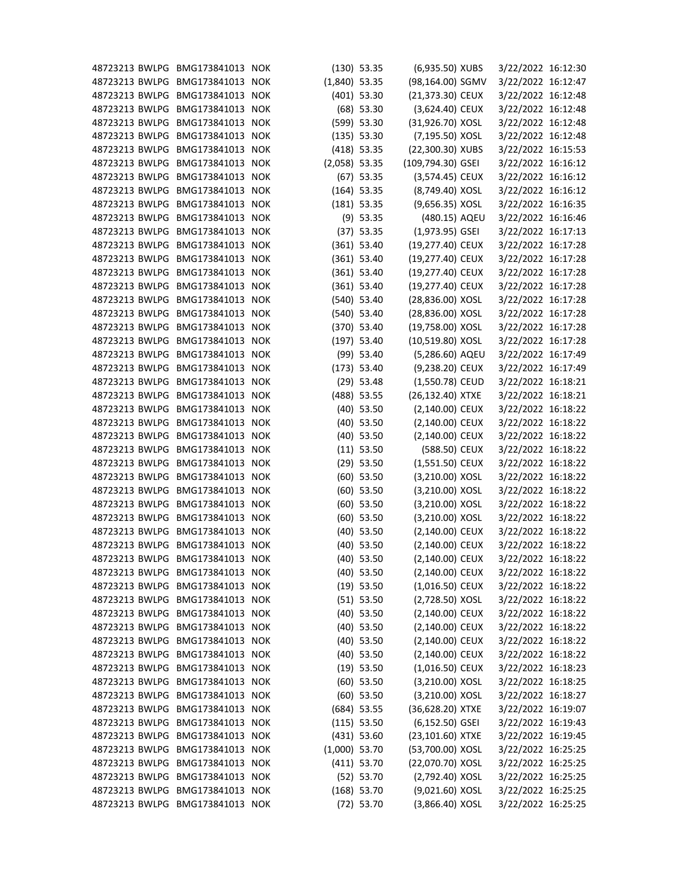| 48723213 BWLPG BMG173841013     |                  | <b>NOK</b> |                 | $(130)$ 53.35 | (6,935.50) XUBS    | 3/22/2022 16:12:30 |  |
|---------------------------------|------------------|------------|-----------------|---------------|--------------------|--------------------|--|
| 48723213 BWLPG                  | BMG173841013     | <b>NOK</b> | $(1,840)$ 53.35 |               | (98,164.00) SGMV   | 3/22/2022 16:12:47 |  |
| 48723213 BWLPG                  | BMG173841013 NOK |            |                 | $(401)$ 53.30 | (21,373.30) CEUX   | 3/22/2022 16:12:48 |  |
| 48723213 BWLPG                  | BMG173841013 NOK |            |                 | $(68)$ 53.30  | (3,624.40) CEUX    | 3/22/2022 16:12:48 |  |
| 48723213 BWLPG                  | BMG173841013 NOK |            |                 | (599) 53.30   | (31,926.70) XOSL   | 3/22/2022 16:12:48 |  |
| 48723213 BWLPG                  | BMG173841013     | <b>NOK</b> |                 | (135) 53.30   | (7,195.50) XOSL    | 3/22/2022 16:12:48 |  |
| 48723213 BWLPG                  | BMG173841013     | <b>NOK</b> |                 | $(418)$ 53.35 | (22,300.30) XUBS   | 3/22/2022 16:15:53 |  |
| 48723213 BWLPG                  | BMG173841013 NOK |            | $(2,058)$ 53.35 |               | (109,794.30) GSEI  | 3/22/2022 16:16:12 |  |
| 48723213 BWLPG                  | BMG173841013 NOK |            |                 | $(67)$ 53.35  | (3,574.45) CEUX    | 3/22/2022 16:16:12 |  |
| 48723213 BWLPG                  | BMG173841013     | <b>NOK</b> |                 | $(164)$ 53.35 | (8,749.40) XOSL    | 3/22/2022 16:16:12 |  |
| 48723213 BWLPG                  | BMG173841013     | <b>NOK</b> |                 | $(181)$ 53.35 | (9,656.35) XOSL    | 3/22/2022 16:16:35 |  |
| 48723213 BWLPG                  | BMG173841013     | <b>NOK</b> |                 | $(9)$ 53.35   | (480.15) AQEU      | 3/22/2022 16:16:46 |  |
| 48723213 BWLPG                  | BMG173841013 NOK |            |                 | $(37)$ 53.35  | $(1,973.95)$ GSEI  | 3/22/2022 16:17:13 |  |
| 48723213 BWLPG                  | BMG173841013 NOK |            |                 | $(361)$ 53.40 | (19,277.40) CEUX   | 3/22/2022 16:17:28 |  |
| 48723213 BWLPG                  | BMG173841013     | <b>NOK</b> |                 | $(361)$ 53.40 | (19,277.40) CEUX   | 3/22/2022 16:17:28 |  |
| 48723213 BWLPG                  | BMG173841013 NOK |            |                 | $(361)$ 53.40 | (19,277.40) CEUX   | 3/22/2022 16:17:28 |  |
| 48723213 BWLPG                  | BMG173841013     | <b>NOK</b> |                 | $(361)$ 53.40 | (19,277.40) CEUX   | 3/22/2022 16:17:28 |  |
| 48723213 BWLPG                  | BMG173841013     | <b>NOK</b> |                 | $(540)$ 53.40 | (28,836.00) XOSL   | 3/22/2022 16:17:28 |  |
| 48723213 BWLPG                  | BMG173841013 NOK |            |                 | $(540)$ 53.40 | (28,836.00) XOSL   | 3/22/2022 16:17:28 |  |
| 48723213 BWLPG                  | BMG173841013     | <b>NOK</b> |                 | $(370)$ 53.40 | (19,758.00) XOSL   | 3/22/2022 16:17:28 |  |
| 48723213 BWLPG                  | BMG173841013 NOK |            |                 | $(197)$ 53.40 | (10,519.80) XOSL   | 3/22/2022 16:17:28 |  |
| 48723213 BWLPG                  | BMG173841013     | <b>NOK</b> |                 | $(99)$ 53.40  | (5,286.60) AQEU    | 3/22/2022 16:17:49 |  |
| 48723213 BWLPG                  | BMG173841013     | <b>NOK</b> |                 | (173) 53.40   | (9,238.20) CEUX    | 3/22/2022 16:17:49 |  |
| 48723213 BWLPG                  | BMG173841013     | <b>NOK</b> |                 | $(29)$ 53.48  | (1,550.78) CEUD    | 3/22/2022 16:18:21 |  |
| 48723213 BWLPG                  | BMG173841013     | <b>NOK</b> |                 | $(488)$ 53.55 | (26,132.40) XTXE   | 3/22/2022 16:18:21 |  |
| 48723213 BWLPG                  | BMG173841013 NOK |            |                 | $(40)$ 53.50  | (2,140.00) CEUX    | 3/22/2022 16:18:22 |  |
| 48723213 BWLPG                  | BMG173841013     | <b>NOK</b> |                 | $(40)$ 53.50  | (2,140.00) CEUX    | 3/22/2022 16:18:22 |  |
| 48723213 BWLPG                  | BMG173841013     | <b>NOK</b> |                 | $(40)$ 53.50  | (2,140.00) CEUX    | 3/22/2022 16:18:22 |  |
| 48723213 BWLPG                  | BMG173841013     | <b>NOK</b> |                 | $(11)$ 53.50  | (588.50) CEUX      | 3/22/2022 16:18:22 |  |
| 48723213 BWLPG                  | BMG173841013 NOK |            |                 | $(29)$ 53.50  | $(1,551.50)$ CEUX  | 3/22/2022 16:18:22 |  |
| 48723213 BWLPG BMG173841013 NOK |                  |            |                 | $(60)$ 53.50  | (3,210.00) XOSL    | 3/22/2022 16:18:22 |  |
| 48723213 BWLPG BMG173841013 NOK |                  |            |                 | $(60)$ 53.50  | (3,210.00) XOSL    | 3/22/2022 16:18:22 |  |
| 48723213 BWLPG BMG173841013     |                  | <b>NOK</b> |                 | $(60)$ 53.50  | (3,210.00) XOSL    | 3/22/2022 16:18:22 |  |
| 48723213 BWLPG BMG173841013 NOK |                  |            |                 | $(60)$ 53.50  | (3,210.00) XOSL    | 3/22/2022 16:18:22 |  |
| 48723213 BWLPG                  | BMG173841013 NOK |            |                 | $(40)$ 53.50  | (2,140.00) CEUX    | 3/22/2022 16:18:22 |  |
| 48723213 BWLPG                  | BMG173841013 NOK |            |                 | $(40)$ 53.50  | (2,140.00) CEUX    | 3/22/2022 16:18:22 |  |
| 48723213 BWLPG                  | BMG173841013     | <b>NOK</b> |                 | $(40)$ 53.50  | (2,140.00) CEUX    | 3/22/2022 16:18:22 |  |
| 48723213 BWLPG                  | BMG173841013 NOK |            |                 | $(40)$ 53.50  | (2,140.00) CEUX    | 3/22/2022 16:18:22 |  |
| 48723213 BWLPG                  | BMG173841013 NOK |            |                 | $(19)$ 53.50  | $(1,016.50)$ CEUX  | 3/22/2022 16:18:22 |  |
| 48723213 BWLPG                  | BMG173841013 NOK |            |                 |               | (2,728.50) XOSL    |                    |  |
| 48723213 BWLPG                  | BMG173841013 NOK |            |                 | $(51)$ 53.50  |                    | 3/22/2022 16:18:22 |  |
|                                 |                  |            |                 | $(40)$ 53.50  | (2,140.00) CEUX    | 3/22/2022 16:18:22 |  |
| 48723213 BWLPG                  | BMG173841013 NOK |            |                 | $(40)$ 53.50  | (2,140.00) CEUX    | 3/22/2022 16:18:22 |  |
| 48723213 BWLPG                  | BMG173841013 NOK |            |                 | $(40)$ 53.50  | (2,140.00) CEUX    | 3/22/2022 16:18:22 |  |
| 48723213 BWLPG                  | BMG173841013 NOK |            |                 | $(40)$ 53.50  | (2,140.00) CEUX    | 3/22/2022 16:18:22 |  |
| 48723213 BWLPG                  | BMG173841013 NOK |            |                 | $(19)$ 53.50  | $(1,016.50)$ CEUX  | 3/22/2022 16:18:23 |  |
| 48723213 BWLPG                  | BMG173841013 NOK |            |                 | $(60)$ 53.50  | (3,210.00) XOSL    | 3/22/2022 16:18:25 |  |
| 48723213 BWLPG                  | BMG173841013 NOK |            |                 | $(60)$ 53.50  | (3,210.00) XOSL    | 3/22/2022 16:18:27 |  |
| 48723213 BWLPG                  | BMG173841013 NOK |            |                 | $(684)$ 53.55 | (36,628.20) XTXE   | 3/22/2022 16:19:07 |  |
| 48723213 BWLPG                  | BMG173841013 NOK |            |                 | $(115)$ 53.50 | $(6, 152.50)$ GSEI | 3/22/2022 16:19:43 |  |
| 48723213 BWLPG                  | BMG173841013 NOK |            |                 | $(431)$ 53.60 | (23,101.60) XTXE   | 3/22/2022 16:19:45 |  |
| 48723213 BWLPG                  | BMG173841013 NOK |            | $(1,000)$ 53.70 |               | (53,700.00) XOSL   | 3/22/2022 16:25:25 |  |
| 48723213 BWLPG                  | BMG173841013 NOK |            |                 | $(411)$ 53.70 | (22,070.70) XOSL   | 3/22/2022 16:25:25 |  |
| 48723213 BWLPG                  | BMG173841013 NOK |            |                 | $(52)$ 53.70  | (2,792.40) XOSL    | 3/22/2022 16:25:25 |  |
| 48723213 BWLPG                  | BMG173841013 NOK |            |                 | $(168)$ 53.70 | (9,021.60) XOSL    | 3/22/2022 16:25:25 |  |
| 48723213 BWLPG BMG173841013 NOK |                  |            |                 | $(72)$ 53.70  | (3,866.40) XOSL    | 3/22/2022 16:25:25 |  |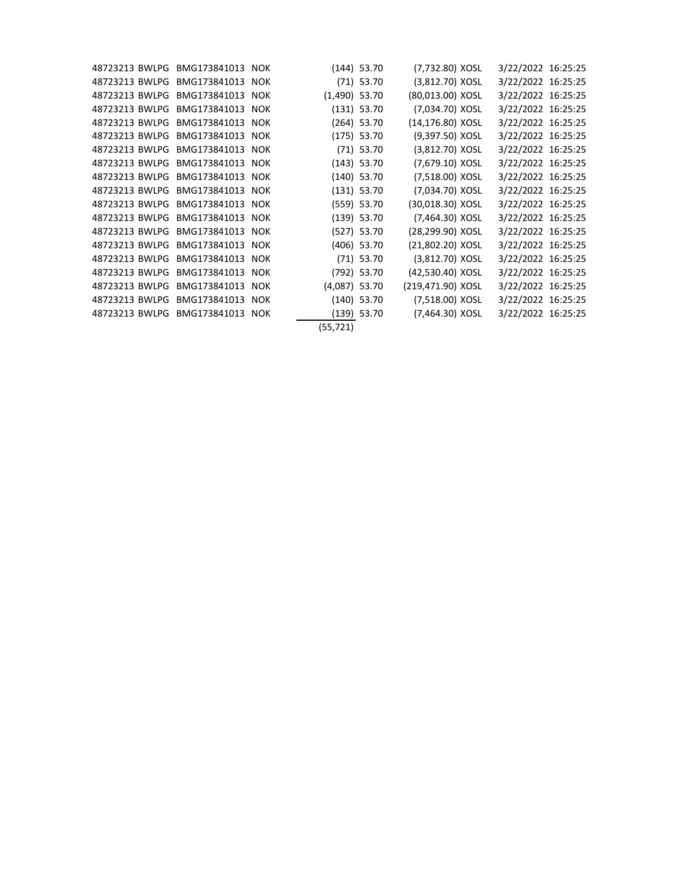|  | 48723213 BWLPG BMG173841013 NOK |            |                 | $(144)$ 53.70 | (7,732.80) XOSL   | 3/22/2022 16:25:25 |  |
|--|---------------------------------|------------|-----------------|---------------|-------------------|--------------------|--|
|  | 48723213 BWLPG BMG173841013 NOK |            |                 | $(71)$ 53.70  | (3,812.70) XOSL   | 3/22/2022 16:25:25 |  |
|  | 48723213 BWLPG BMG173841013     | <b>NOK</b> | $(1,490)$ 53.70 |               | (80,013.00) XOSL  | 3/22/2022 16:25:25 |  |
|  | 48723213 BWLPG BMG173841013 NOK |            |                 | $(131)$ 53.70 | (7,034.70) XOSL   | 3/22/2022 16:25:25 |  |
|  | 48723213 BWLPG BMG173841013 NOK |            |                 | $(264)$ 53.70 | (14,176.80) XOSL  | 3/22/2022 16:25:25 |  |
|  | 48723213 BWLPG BMG173841013 NOK |            |                 | $(175)$ 53.70 | (9,397.50) XOSL   | 3/22/2022 16:25:25 |  |
|  | 48723213 BWLPG BMG173841013 NOK |            |                 | $(71)$ 53.70  | (3,812.70) XOSL   | 3/22/2022 16:25:25 |  |
|  | 48723213 BWLPG BMG173841013 NOK |            |                 | $(143)$ 53.70 | (7,679.10) XOSL   | 3/22/2022 16:25:25 |  |
|  | 48723213 BWLPG BMG173841013 NOK |            |                 | $(140)$ 53.70 | (7,518.00) XOSL   | 3/22/2022 16:25:25 |  |
|  | 48723213 BWLPG BMG173841013 NOK |            |                 | $(131)$ 53.70 | (7,034.70) XOSL   | 3/22/2022 16:25:25 |  |
|  | 48723213 BWLPG BMG173841013 NOK |            |                 | $(559)$ 53.70 | (30,018.30) XOSL  | 3/22/2022 16:25:25 |  |
|  | 48723213 BWLPG BMG173841013 NOK |            |                 | $(139)$ 53.70 | (7,464.30) XOSL   | 3/22/2022 16:25:25 |  |
|  | 48723213 BWLPG BMG173841013 NOK |            |                 | $(527)$ 53.70 | (28,299.90) XOSL  | 3/22/2022 16:25:25 |  |
|  | 48723213 BWLPG BMG173841013 NOK |            |                 | $(406)$ 53.70 | (21,802.20) XOSL  | 3/22/2022 16:25:25 |  |
|  | 48723213 BWLPG BMG173841013 NOK |            |                 | $(71)$ 53.70  | (3,812.70) XOSL   | 3/22/2022 16:25:25 |  |
|  | 48723213 BWLPG BMG173841013 NOK |            |                 | (792) 53.70   | (42,530.40) XOSL  | 3/22/2022 16:25:25 |  |
|  | 48723213 BWLPG BMG173841013 NOK |            | $(4,087)$ 53.70 |               | (219,471.90) XOSL | 3/22/2022 16:25:25 |  |
|  | 48723213 BWLPG BMG173841013 NOK |            |                 | $(140)$ 53.70 | (7,518.00) XOSL   | 3/22/2022 16:25:25 |  |
|  | 48723213 BWLPG BMG173841013 NOK |            |                 | $(139)$ 53.70 | (7,464.30) XOSL   | 3/22/2022 16:25:25 |  |
|  |                                 |            | (55,721)        |               |                   |                    |  |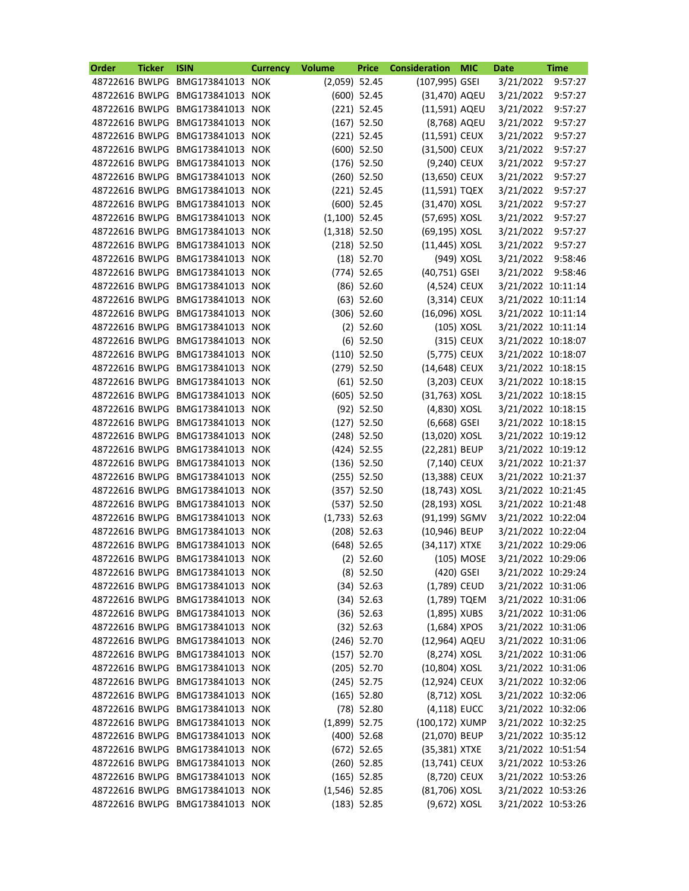| Order          | <b>Ticker</b> | <b>ISIN</b>                     | <b>Currency</b> | <b>Volume</b>   | <b>Price</b>  | <b>Consideration</b> | <b>MIC</b> | <b>Date</b>        | <b>Time</b> |
|----------------|---------------|---------------------------------|-----------------|-----------------|---------------|----------------------|------------|--------------------|-------------|
| 48722616 BWLPG |               | BMG173841013 NOK                |                 | $(2,059)$ 52.45 |               | (107,995) GSEI       |            | 3/21/2022          | 9:57:27     |
|                |               | 48722616 BWLPG BMG173841013     | <b>NOK</b>      |                 | $(600)$ 52.45 | (31,470) AQEU        |            | 3/21/2022          | 9:57:27     |
| 48722616 BWLPG |               | BMG173841013                    | <b>NOK</b>      |                 | $(221)$ 52.45 | (11,591) AQEU        |            | 3/21/2022          | 9:57:27     |
| 48722616 BWLPG |               | BMG173841013                    | <b>NOK</b>      |                 | $(167)$ 52.50 | (8,768) AQEU         |            | 3/21/2022          | 9:57:27     |
|                |               | 48722616 BWLPG BMG173841013     | <b>NOK</b>      |                 | $(221)$ 52.45 | (11,591) CEUX        |            | 3/21/2022          | 9:57:27     |
| 48722616 BWLPG |               | BMG173841013                    | <b>NOK</b>      |                 | $(600)$ 52.50 | (31,500) CEUX        |            | 3/21/2022          | 9:57:27     |
| 48722616 BWLPG |               | BMG173841013                    | <b>NOK</b>      |                 | $(176)$ 52.50 | (9,240) CEUX         |            | 3/21/2022          | 9:57:27     |
| 48722616 BWLPG |               | BMG173841013                    | <b>NOK</b>      |                 | $(260)$ 52.50 | (13,650) CEUX        |            | 3/21/2022          | 9:57:27     |
| 48722616 BWLPG |               | BMG173841013                    | <b>NOK</b>      |                 | $(221)$ 52.45 | (11,591) TQEX        |            | 3/21/2022          | 9:57:27     |
|                |               | 48722616 BWLPG BMG173841013     | <b>NOK</b>      |                 | $(600)$ 52.45 | (31,470) XOSL        |            | 3/21/2022          | 9:57:27     |
| 48722616 BWLPG |               | BMG173841013                    | <b>NOK</b>      | $(1,100)$ 52.45 |               | (57,695) XOSL        |            | 3/21/2022          | 9:57:27     |
| 48722616 BWLPG |               | BMG173841013                    | <b>NOK</b>      | $(1,318)$ 52.50 |               | (69,195) XOSL        |            | 3/21/2022          | 9:57:27     |
| 48722616 BWLPG |               | BMG173841013                    | <b>NOK</b>      |                 | $(218)$ 52.50 | (11,445) XOSL        |            | 3/21/2022          | 9:57:27     |
| 48722616 BWLPG |               | BMG173841013                    | <b>NOK</b>      |                 | $(18)$ 52.70  |                      | (949) XOSL | 3/21/2022          | 9:58:46     |
|                |               | 48722616 BWLPG BMG173841013     | <b>NOK</b>      |                 | $(774)$ 52.65 | (40,751) GSEI        |            | 3/21/2022          | 9:58:46     |
| 48722616 BWLPG |               | BMG173841013                    | <b>NOK</b>      |                 | $(86)$ 52.60  | (4,524) CEUX         |            | 3/21/2022 10:11:14 |             |
| 48722616 BWLPG |               | BMG173841013                    | <b>NOK</b>      |                 | $(63)$ 52.60  | (3,314) CEUX         |            | 3/21/2022 10:11:14 |             |
|                |               | 48722616 BWLPG BMG173841013     | <b>NOK</b>      |                 | $(306)$ 52.60 | (16,096) XOSL        |            | 3/21/2022 10:11:14 |             |
|                |               | 48722616 BWLPG BMG173841013     | <b>NOK</b>      |                 | $(2)$ 52.60   |                      | (105) XOSL | 3/21/2022 10:11:14 |             |
|                |               | 48722616 BWLPG BMG173841013     | <b>NOK</b>      |                 | $(6)$ 52.50   |                      | (315) CEUX | 3/21/2022 10:18:07 |             |
| 48722616 BWLPG |               | BMG173841013                    | <b>NOK</b>      |                 | $(110)$ 52.50 | (5,775) CEUX         |            | 3/21/2022 10:18:07 |             |
| 48722616 BWLPG |               | BMG173841013                    | <b>NOK</b>      |                 | $(279)$ 52.50 | (14,648) CEUX        |            | 3/21/2022 10:18:15 |             |
| 48722616 BWLPG |               | BMG173841013                    | <b>NOK</b>      |                 | $(61)$ 52.50  | (3,203) CEUX         |            | 3/21/2022 10:18:15 |             |
| 48722616 BWLPG |               | BMG173841013                    | <b>NOK</b>      |                 | $(605)$ 52.50 |                      |            |                    |             |
|                |               |                                 |                 |                 |               | (31,763) XOSL        |            | 3/21/2022 10:18:15 |             |
| 48722616 BWLPG |               | BMG173841013                    | <b>NOK</b>      |                 | $(92)$ 52.50  | (4,830) XOSL         |            | 3/21/2022 10:18:15 |             |
| 48722616 BWLPG |               | BMG173841013                    | <b>NOK</b>      |                 | $(127)$ 52.50 | $(6,668)$ GSEI       |            | 3/21/2022 10:18:15 |             |
| 48722616 BWLPG |               | BMG173841013                    | <b>NOK</b>      |                 | $(248)$ 52.50 | (13,020) XOSL        |            | 3/21/2022 10:19:12 |             |
| 48722616 BWLPG |               | BMG173841013                    | <b>NOK</b>      |                 | $(424)$ 52.55 | (22,281) BEUP        |            | 3/21/2022 10:19:12 |             |
|                |               | 48722616 BWLPG BMG173841013     | <b>NOK</b>      |                 | $(136)$ 52.50 | (7,140) CEUX         |            | 3/21/2022 10:21:37 |             |
|                |               | 48722616 BWLPG BMG173841013     | <b>NOK</b>      |                 | $(255)$ 52.50 | (13,388) CEUX        |            | 3/21/2022 10:21:37 |             |
|                |               | 48722616 BWLPG BMG173841013 NOK |                 |                 | (357) 52.50   | (18,743) XOSL        |            | 3/21/2022 10:21:45 |             |
|                |               | 48722616 BWLPG BMG173841013 NOK |                 |                 | $(537)$ 52.50 | (28,193) XOSL        |            | 3/21/2022 10:21:48 |             |
|                |               | 48722616 BWLPG BMG173841013 NOK |                 | $(1,733)$ 52.63 |               | (91,199) SGMV        |            | 3/21/2022 10:22:04 |             |
|                |               | 48722616 BWLPG BMG173841013 NOK |                 |                 | $(208)$ 52.63 | (10,946) BEUP        |            | 3/21/2022 10:22:04 |             |
|                |               | 48722616 BWLPG BMG173841013 NOK |                 |                 | $(648)$ 52.65 | (34,117) XTXE        |            | 3/21/2022 10:29:06 |             |
|                |               | 48722616 BWLPG BMG173841013 NOK |                 |                 | $(2)$ 52.60   |                      | (105) MOSE | 3/21/2022 10:29:06 |             |
|                |               | 48722616 BWLPG BMG173841013 NOK |                 |                 | $(8)$ 52.50   |                      | (420) GSEI | 3/21/2022 10:29:24 |             |
|                |               | 48722616 BWLPG BMG173841013 NOK |                 |                 | $(34)$ 52.63  | (1,789) CEUD         |            | 3/21/2022 10:31:06 |             |
|                |               | 48722616 BWLPG BMG173841013 NOK |                 |                 | $(34)$ 52.63  | (1,789) TQEM         |            | 3/21/2022 10:31:06 |             |
|                |               | 48722616 BWLPG BMG173841013     | <b>NOK</b>      |                 | $(36)$ 52.63  | $(1,895)$ XUBS       |            | 3/21/2022 10:31:06 |             |
|                |               | 48722616 BWLPG BMG173841013     | <b>NOK</b>      |                 | $(32)$ 52.63  | $(1,684)$ XPOS       |            | 3/21/2022 10:31:06 |             |
|                |               | 48722616 BWLPG BMG173841013 NOK |                 |                 | $(246)$ 52.70 | (12,964) AQEU        |            | 3/21/2022 10:31:06 |             |
|                |               | 48722616 BWLPG BMG173841013 NOK |                 |                 | $(157)$ 52.70 | (8,274) XOSL         |            | 3/21/2022 10:31:06 |             |
|                |               | 48722616 BWLPG BMG173841013 NOK |                 |                 | $(205)$ 52.70 | (10,804) XOSL        |            | 3/21/2022 10:31:06 |             |
|                |               | 48722616 BWLPG BMG173841013     | <b>NOK</b>      |                 | $(245)$ 52.75 | (12,924) CEUX        |            | 3/21/2022 10:32:06 |             |
|                |               | 48722616 BWLPG BMG173841013     | <b>NOK</b>      |                 | $(165)$ 52.80 | (8,712) XOSL         |            | 3/21/2022 10:32:06 |             |
|                |               | 48722616 BWLPG BMG173841013 NOK |                 |                 | $(78)$ 52.80  | $(4, 118)$ EUCC      |            | 3/21/2022 10:32:06 |             |
|                |               | 48722616 BWLPG BMG173841013 NOK |                 | $(1,899)$ 52.75 |               | (100,172) XUMP       |            | 3/21/2022 10:32:25 |             |
|                |               | 48722616 BWLPG BMG173841013 NOK |                 |                 | $(400)$ 52.68 | (21,070) BEUP        |            | 3/21/2022 10:35:12 |             |
|                |               | 48722616 BWLPG BMG173841013     | <b>NOK</b>      |                 | $(672)$ 52.65 | (35,381) XTXE        |            | 3/21/2022 10:51:54 |             |
|                |               | 48722616 BWLPG BMG173841013 NOK |                 |                 | $(260)$ 52.85 | (13,741) CEUX        |            | 3/21/2022 10:53:26 |             |
|                |               | 48722616 BWLPG BMG173841013 NOK |                 |                 | $(165)$ 52.85 | (8,720) CEUX         |            | 3/21/2022 10:53:26 |             |
|                |               | 48722616 BWLPG BMG173841013 NOK |                 | $(1,546)$ 52.85 |               | (81,706) XOSL        |            | 3/21/2022 10:53:26 |             |
|                |               | 48722616 BWLPG BMG173841013 NOK |                 |                 | $(183)$ 52.85 | (9,672) XOSL         |            | 3/21/2022 10:53:26 |             |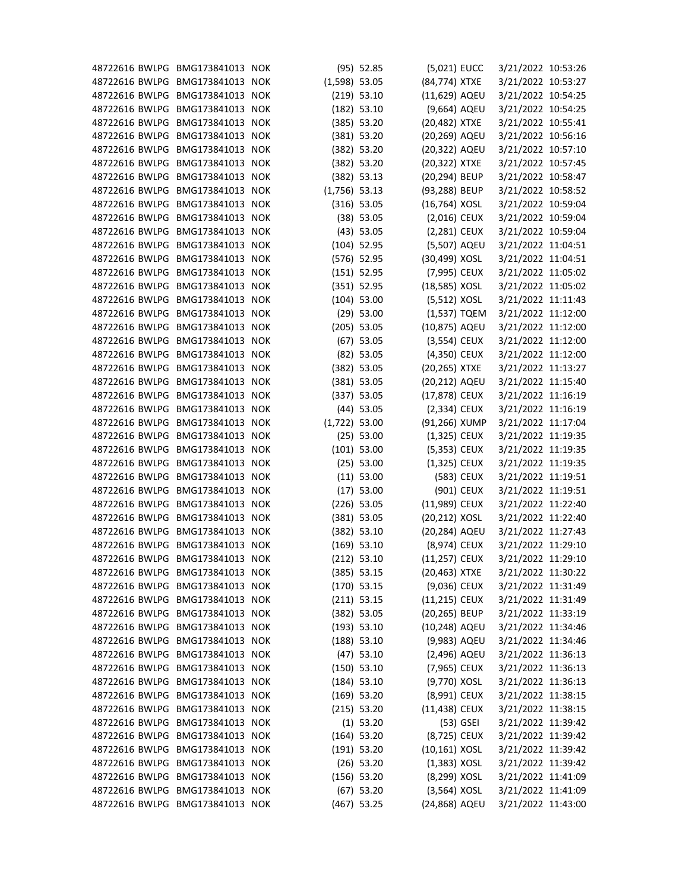| 48722616 BWLPG BMG173841013 NOK |                  |                 | $(95)$ 52.85  | (5,021) EUCC     |            | 3/21/2022 10:53:26 |  |
|---------------------------------|------------------|-----------------|---------------|------------------|------------|--------------------|--|
| 48722616 BWLPG BMG173841013 NOK |                  | $(1,598)$ 53.05 |               | (84,774) XTXE    |            | 3/21/2022 10:53:27 |  |
| 48722616 BWLPG                  | BMG173841013 NOK |                 | $(219)$ 53.10 | (11,629) AQEU    |            | 3/21/2022 10:54:25 |  |
| 48722616 BWLPG                  | BMG173841013 NOK |                 | $(182)$ 53.10 | (9,664) AQEU     |            | 3/21/2022 10:54:25 |  |
| 48722616 BWLPG                  | BMG173841013 NOK |                 | (385) 53.20   | (20,482) XTXE    |            | 3/21/2022 10:55:41 |  |
| 48722616 BWLPG                  | BMG173841013 NOK |                 | $(381)$ 53.20 | (20,269) AQEU    |            | 3/21/2022 10:56:16 |  |
| 48722616 BWLPG                  | BMG173841013 NOK |                 | (382) 53.20   | (20,322) AQEU    |            | 3/21/2022 10:57:10 |  |
| 48722616 BWLPG                  | BMG173841013 NOK |                 | (382) 53.20   | (20,322) XTXE    |            | 3/21/2022 10:57:45 |  |
| 48722616 BWLPG                  | BMG173841013 NOK |                 | (382) 53.13   | (20,294) BEUP    |            | 3/21/2022 10:58:47 |  |
| 48722616 BWLPG                  | BMG173841013 NOK | $(1,756)$ 53.13 |               | (93,288) BEUP    |            | 3/21/2022 10:58:52 |  |
| 48722616 BWLPG                  | BMG173841013 NOK |                 | $(316)$ 53.05 | (16,764) XOSL    |            | 3/21/2022 10:59:04 |  |
| 48722616 BWLPG                  | BMG173841013 NOK |                 | $(38)$ 53.05  | $(2,016)$ CEUX   |            | 3/21/2022 10:59:04 |  |
| 48722616 BWLPG                  | BMG173841013 NOK |                 | $(43)$ 53.05  | $(2,281)$ CEUX   |            | 3/21/2022 10:59:04 |  |
| 48722616 BWLPG                  | BMG173841013 NOK |                 | $(104)$ 52.95 | (5,507) AQEU     |            | 3/21/2022 11:04:51 |  |
| 48722616 BWLPG                  | BMG173841013 NOK |                 | $(576)$ 52.95 | (30,499) XOSL    |            | 3/21/2022 11:04:51 |  |
| 48722616 BWLPG                  | BMG173841013 NOK |                 | $(151)$ 52.95 | (7,995) CEUX     |            | 3/21/2022 11:05:02 |  |
| 48722616 BWLPG                  | BMG173841013 NOK |                 | $(351)$ 52.95 | (18,585) XOSL    |            | 3/21/2022 11:05:02 |  |
| 48722616 BWLPG                  | BMG173841013 NOK |                 | $(104)$ 53.00 | $(5,512)$ XOSL   |            | 3/21/2022 11:11:43 |  |
| 48722616 BWLPG                  | BMG173841013 NOK |                 | $(29)$ 53.00  | (1,537) TQEM     |            | 3/21/2022 11:12:00 |  |
| 48722616 BWLPG                  | BMG173841013 NOK |                 | $(205)$ 53.05 | (10,875) AQEU    |            | 3/21/2022 11:12:00 |  |
| 48722616 BWLPG                  | BMG173841013 NOK |                 | $(67)$ 53.05  | $(3,554)$ CEUX   |            | 3/21/2022 11:12:00 |  |
| 48722616 BWLPG                  | BMG173841013 NOK |                 | $(82)$ 53.05  | (4,350) CEUX     |            | 3/21/2022 11:12:00 |  |
| 48722616 BWLPG                  | BMG173841013 NOK |                 | $(382)$ 53.05 | (20,265) XTXE    |            | 3/21/2022 11:13:27 |  |
| 48722616 BWLPG                  | BMG173841013 NOK |                 | $(381)$ 53.05 | (20,212) AQEU    |            | 3/21/2022 11:15:40 |  |
| 48722616 BWLPG                  | BMG173841013 NOK |                 | (337) 53.05   | (17,878) CEUX    |            | 3/21/2022 11:16:19 |  |
| 48722616 BWLPG BMG173841013 NOK |                  |                 | $(44)$ 53.05  | $(2,334)$ CEUX   |            | 3/21/2022 11:16:19 |  |
| 48722616 BWLPG                  | BMG173841013 NOK | $(1,722)$ 53.00 |               | (91,266) XUMP    |            | 3/21/2022 11:17:04 |  |
| 48722616 BWLPG                  | BMG173841013 NOK |                 | $(25)$ 53.00  | $(1,325)$ CEUX   |            | 3/21/2022 11:19:35 |  |
| 48722616 BWLPG                  | BMG173841013 NOK |                 | $(101)$ 53.00 | (5,353) CEUX     |            | 3/21/2022 11:19:35 |  |
| 48722616 BWLPG                  | BMG173841013 NOK |                 | $(25)$ 53.00  | (1,325) CEUX     |            | 3/21/2022 11:19:35 |  |
| 48722616 BWLPG BMG173841013 NOK |                  |                 | $(11)$ 53.00  |                  | (583) CEUX | 3/21/2022 11:19:51 |  |
| 48722616 BWLPG BMG173841013 NOK |                  |                 | $(17)$ 53.00  |                  | (901) CEUX | 3/21/2022 11:19:51 |  |
| 48722616 BWLPG BMG173841013 NOK |                  |                 | $(226)$ 53.05 | (11,989) CEUX    |            | 3/21/2022 11:22:40 |  |
| 48722616 BWLPG BMG173841013 NOK |                  |                 | $(381)$ 53.05 | (20,212) XOSL    |            | 3/21/2022 11:22:40 |  |
| 48722616 BWLPG                  | BMG173841013 NOK |                 | $(382)$ 53.10 | (20,284) AQEU    |            | 3/21/2022 11:27:43 |  |
| 48722616 BWLPG                  | BMG173841013 NOK |                 | $(169)$ 53.10 | (8,974) CEUX     |            | 3/21/2022 11:29:10 |  |
| 48722616 BWLPG                  | BMG173841013 NOK |                 | $(212)$ 53.10 | (11,257) CEUX    |            | 3/21/2022 11:29:10 |  |
| 48722616 BWLPG                  | BMG173841013 NOK |                 | $(385)$ 53.15 | (20,463) XTXE    |            | 3/21/2022 11:30:22 |  |
| 48722616 BWLPG                  | BMG173841013 NOK |                 | $(170)$ 53.15 | (9,036) CEUX     |            | 3/21/2022 11:31:49 |  |
| 48722616 BWLPG                  | BMG173841013 NOK |                 | $(211)$ 53.15 | $(11,215)$ CEUX  |            | 3/21/2022 11:31:49 |  |
| 48722616 BWLPG                  | BMG173841013 NOK |                 | $(382)$ 53.05 | (20,265) BEUP    |            | 3/21/2022 11:33:19 |  |
| 48722616 BWLPG                  | BMG173841013 NOK |                 |               | (10,248) AQEU    |            | 3/21/2022 11:34:46 |  |
| 48722616 BWLPG                  | BMG173841013 NOK |                 | (193) 53.10   | (9,983) AQEU     |            |                    |  |
| 48722616 BWLPG                  | BMG173841013 NOK |                 | $(188)$ 53.10 |                  |            | 3/21/2022 11:34:46 |  |
|                                 | BMG173841013 NOK |                 | $(47)$ 53.10  | (2,496) AQEU     |            | 3/21/2022 11:36:13 |  |
| 48722616 BWLPG                  |                  |                 | $(150)$ 53.10 | (7,965) CEUX     |            | 3/21/2022 11:36:13 |  |
| 48722616 BWLPG                  | BMG173841013 NOK |                 | $(184)$ 53.10 | (9,770) XOSL     |            | 3/21/2022 11:36:13 |  |
| 48722616 BWLPG                  | BMG173841013 NOK |                 | $(169)$ 53.20 | (8,991) CEUX     |            | 3/21/2022 11:38:15 |  |
| 48722616 BWLPG                  | BMG173841013 NOK |                 | $(215)$ 53.20 | (11,438) CEUX    |            | 3/21/2022 11:38:15 |  |
| 48722616 BWLPG                  | BMG173841013 NOK |                 | $(1)$ 53.20   |                  | (53) GSEI  | 3/21/2022 11:39:42 |  |
| 48722616 BWLPG                  | BMG173841013 NOK |                 | $(164)$ 53.20 | (8,725) CEUX     |            | 3/21/2022 11:39:42 |  |
| 48722616 BWLPG                  | BMG173841013 NOK |                 | $(191)$ 53.20 | $(10, 161)$ XOSL |            | 3/21/2022 11:39:42 |  |
| 48722616 BWLPG                  | BMG173841013 NOK |                 | $(26)$ 53.20  | $(1,383)$ XOSL   |            | 3/21/2022 11:39:42 |  |
| 48722616 BWLPG                  | BMG173841013 NOK |                 | $(156)$ 53.20 | (8,299) XOSL     |            | 3/21/2022 11:41:09 |  |
| 48722616 BWLPG                  | BMG173841013 NOK |                 | $(67)$ 53.20  | $(3,564)$ XOSL   |            | 3/21/2022 11:41:09 |  |
| 48722616 BWLPG BMG173841013 NOK |                  |                 | $(467)$ 53.25 | (24,868) AQEU    |            | 3/21/2022 11:43:00 |  |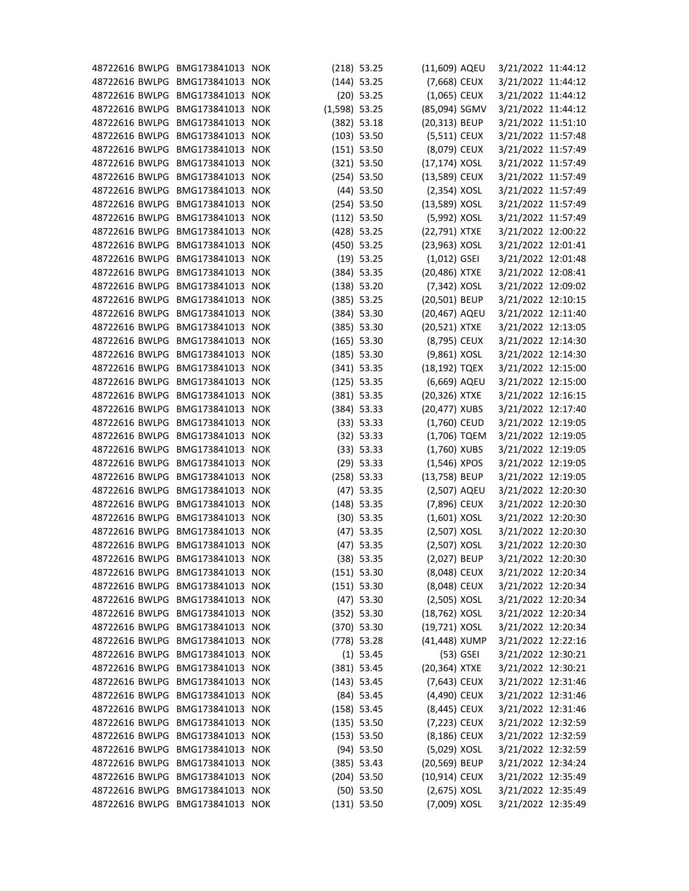| 48722616 BWLPG BMG173841013 NOK |                  |            |                 | $(218)$ 53.25 | (11,609) AQEU    |           | 3/21/2022 11:44:12 |  |
|---------------------------------|------------------|------------|-----------------|---------------|------------------|-----------|--------------------|--|
| 48722616 BWLPG BMG173841013 NOK |                  |            |                 | $(144)$ 53.25 | (7,668) CEUX     |           | 3/21/2022 11:44:12 |  |
| 48722616 BWLPG                  | BMG173841013     | <b>NOK</b> |                 | $(20)$ 53.25  | $(1,065)$ CEUX   |           | 3/21/2022 11:44:12 |  |
| 48722616 BWLPG BMG173841013 NOK |                  |            | $(1,598)$ 53.25 |               | (85,094) SGMV    |           | 3/21/2022 11:44:12 |  |
| 48722616 BWLPG                  | BMG173841013 NOK |            |                 | $(382)$ 53.18 | (20,313) BEUP    |           | 3/21/2022 11:51:10 |  |
| 48722616 BWLPG BMG173841013 NOK |                  |            |                 | $(103)$ 53.50 | $(5,511)$ CEUX   |           | 3/21/2022 11:57:48 |  |
| 48722616 BWLPG BMG173841013 NOK |                  |            |                 | $(151)$ 53.50 | (8,079) CEUX     |           | 3/21/2022 11:57:49 |  |
| 48722616 BWLPG                  | BMG173841013 NOK |            |                 | $(321)$ 53.50 | $(17, 174)$ XOSL |           | 3/21/2022 11:57:49 |  |
| 48722616 BWLPG                  | BMG173841013 NOK |            |                 | $(254)$ 53.50 | (13,589) CEUX    |           | 3/21/2022 11:57:49 |  |
| 48722616 BWLPG                  | BMG173841013 NOK |            |                 | $(44)$ 53.50  | (2,354) XOSL     |           | 3/21/2022 11:57:49 |  |
| 48722616 BWLPG BMG173841013 NOK |                  |            |                 | $(254)$ 53.50 | (13,589) XOSL    |           | 3/21/2022 11:57:49 |  |
| 48722616 BWLPG BMG173841013 NOK |                  |            |                 | $(112)$ 53.50 | (5,992) XOSL     |           | 3/21/2022 11:57:49 |  |
| 48722616 BWLPG                  | BMG173841013 NOK |            |                 | $(428)$ 53.25 | (22,791) XTXE    |           | 3/21/2022 12:00:22 |  |
| 48722616 BWLPG                  | BMG173841013 NOK |            |                 | $(450)$ 53.25 | (23,963) XOSL    |           | 3/21/2022 12:01:41 |  |
| 48722616 BWLPG                  | BMG173841013 NOK |            |                 | $(19)$ 53.25  | $(1,012)$ GSEI   |           | 3/21/2022 12:01:48 |  |
| 48722616 BWLPG BMG173841013 NOK |                  |            |                 | $(384)$ 53.35 | (20,486) XTXE    |           | 3/21/2022 12:08:41 |  |
| 48722616 BWLPG BMG173841013 NOK |                  |            |                 | $(138)$ 53.20 | (7,342) XOSL     |           | 3/21/2022 12:09:02 |  |
| 48722616 BWLPG                  | BMG173841013 NOK |            |                 | $(385)$ 53.25 | (20,501) BEUP    |           | 3/21/2022 12:10:15 |  |
| 48722616 BWLPG                  | BMG173841013 NOK |            |                 | $(384)$ 53.30 | (20,467) AQEU    |           | 3/21/2022 12:11:40 |  |
| 48722616 BWLPG                  | BMG173841013     | <b>NOK</b> |                 | (385) 53.30   | (20,521) XTXE    |           | 3/21/2022 12:13:05 |  |
| 48722616 BWLPG BMG173841013 NOK |                  |            |                 | $(165)$ 53.30 | (8,795) CEUX     |           | 3/21/2022 12:14:30 |  |
| 48722616 BWLPG BMG173841013     |                  | <b>NOK</b> |                 | $(185)$ 53.30 | (9,861) XOSL     |           | 3/21/2022 12:14:30 |  |
| 48722616 BWLPG                  | BMG173841013 NOK |            |                 | $(341)$ 53.35 | (18,192) TQEX    |           | 3/21/2022 12:15:00 |  |
| 48722616 BWLPG                  | BMG173841013 NOK |            |                 | $(125)$ 53.35 | (6,669) AQEU     |           | 3/21/2022 12:15:00 |  |
| 48722616 BWLPG                  | BMG173841013     | <b>NOK</b> |                 | $(381)$ 53.35 | (20,326) XTXE    |           | 3/21/2022 12:16:15 |  |
| 48722616 BWLPG BMG173841013 NOK |                  |            |                 | $(384)$ 53.33 | (20,477) XUBS    |           | 3/21/2022 12:17:40 |  |
| 48722616 BWLPG                  | BMG173841013     | <b>NOK</b> |                 | (33) 53.33    | (1,760) CEUD     |           | 3/21/2022 12:19:05 |  |
| 48722616 BWLPG                  | BMG173841013     | <b>NOK</b> |                 | $(32)$ 53.33  | (1,706) TQEM     |           | 3/21/2022 12:19:05 |  |
| 48722616 BWLPG                  | BMG173841013 NOK |            |                 | (33) 53.33    | $(1,760)$ XUBS   |           | 3/21/2022 12:19:05 |  |
| 48722616 BWLPG BMG173841013 NOK |                  |            |                 | $(29)$ 53.33  | $(1,546)$ XPOS   |           | 3/21/2022 12:19:05 |  |
| 48722616 BWLPG BMG173841013 NOK |                  |            |                 | $(258)$ 53.33 | (13,758) BEUP    |           | 3/21/2022 12:19:05 |  |
| 48722616 BWLPG BMG173841013 NOK |                  |            |                 | $(47)$ 53.35  | (2,507) AQEU     |           | 3/21/2022 12:20:30 |  |
| 48722616 BWLPG BMG173841013 NOK |                  |            |                 | $(148)$ 53.35 | (7,896) CEUX     |           | 3/21/2022 12:20:30 |  |
| 48722616 BWLPG BMG173841013 NOK |                  |            |                 | $(30)$ 53.35  | $(1,601)$ XOSL   |           | 3/21/2022 12:20:30 |  |
| 48722616 BWLPG BMG173841013 NOK |                  |            |                 | $(47)$ 53.35  | (2,507) XOSL     |           | 3/21/2022 12:20:30 |  |
| 48722616 BWLPG BMG173841013 NOK |                  |            |                 | $(47)$ 53.35  | (2,507) XOSL     |           | 3/21/2022 12:20:30 |  |
| 48722616 BWLPG BMG173841013 NOK |                  |            |                 | $(38)$ 53.35  | (2,027) BEUP     |           | 3/21/2022 12:20:30 |  |
| 48722616 BWLPG BMG173841013 NOK |                  |            |                 | (151) 53.30   | (8,048) CEUX     |           | 3/21/2022 12:20:34 |  |
| 48722616 BWLPG BMG173841013 NOK |                  |            |                 | $(151)$ 53.30 | (8,048) CEUX     |           | 3/21/2022 12:20:34 |  |
| 48722616 BWLPG BMG173841013 NOK |                  |            |                 | $(47)$ 53.30  | $(2,505)$ XOSL   |           | 3/21/2022 12:20:34 |  |
| 48722616 BWLPG BMG173841013 NOK |                  |            |                 | (352) 53.30   | (18,762) XOSL    |           | 3/21/2022 12:20:34 |  |
| 48722616 BWLPG BMG173841013 NOK |                  |            |                 |               | (19,721) XOSL    |           | 3/21/2022 12:20:34 |  |
| 48722616 BWLPG BMG173841013 NOK |                  |            |                 | $(370)$ 53.30 | (41,448) XUMP    |           | 3/21/2022 12:22:16 |  |
| 48722616 BWLPG BMG173841013 NOK |                  |            |                 | $(778)$ 53.28 |                  |           |                    |  |
| 48722616 BWLPG BMG173841013 NOK |                  |            |                 | $(1)$ 53.45   |                  | (53) GSEI | 3/21/2022 12:30:21 |  |
|                                 |                  |            |                 | $(381)$ 53.45 | (20,364) XTXE    |           | 3/21/2022 12:30:21 |  |
| 48722616 BWLPG BMG173841013 NOK |                  |            |                 | $(143)$ 53.45 | (7,643) CEUX     |           | 3/21/2022 12:31:46 |  |
| 48722616 BWLPG BMG173841013 NOK |                  |            |                 | $(84)$ 53.45  | (4,490) CEUX     |           | 3/21/2022 12:31:46 |  |
| 48722616 BWLPG BMG173841013 NOK |                  |            |                 | $(158)$ 53.45 | (8,445) CEUX     |           | 3/21/2022 12:31:46 |  |
| 48722616 BWLPG BMG173841013 NOK |                  |            |                 | (135) 53.50   | (7,223) CEUX     |           | 3/21/2022 12:32:59 |  |
| 48722616 BWLPG                  | BMG173841013 NOK |            |                 | (153) 53.50   | (8,186) CEUX     |           | 3/21/2022 12:32:59 |  |
| 48722616 BWLPG BMG173841013 NOK |                  |            |                 | $(94)$ 53.50  | (5,029) XOSL     |           | 3/21/2022 12:32:59 |  |
| 48722616 BWLPG BMG173841013 NOK |                  |            |                 | $(385)$ 53.43 | (20,569) BEUP    |           | 3/21/2022 12:34:24 |  |
| 48722616 BWLPG BMG173841013 NOK |                  |            |                 | $(204)$ 53.50 | (10,914) CEUX    |           | 3/21/2022 12:35:49 |  |
| 48722616 BWLPG BMG173841013 NOK |                  |            |                 | $(50)$ 53.50  | $(2,675)$ XOSL   |           | 3/21/2022 12:35:49 |  |
| 48722616 BWLPG BMG173841013 NOK |                  |            |                 | $(131)$ 53.50 | (7,009) XOSL     |           | 3/21/2022 12:35:49 |  |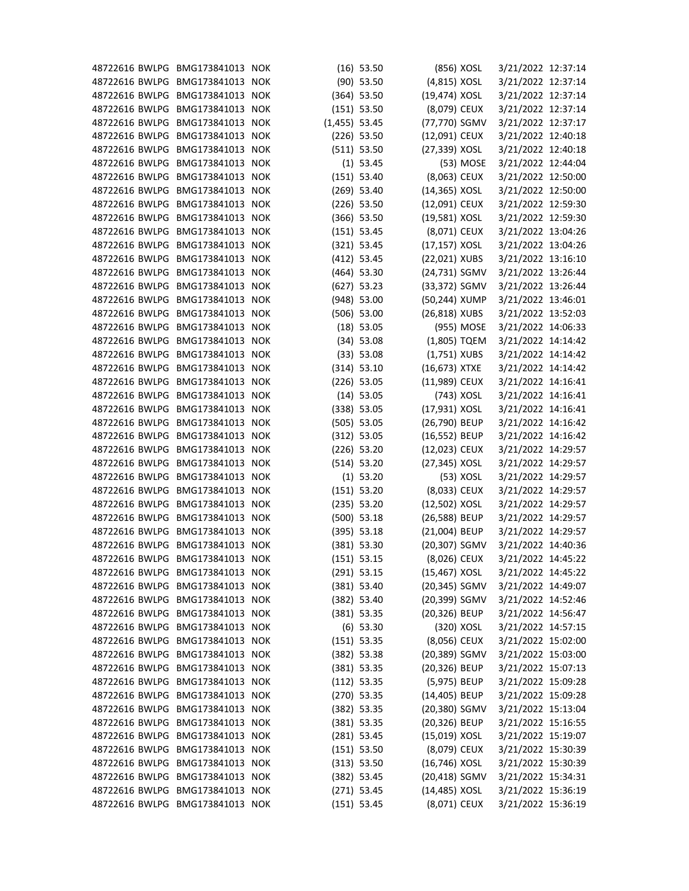| 48722616 BWLPG BMG173841013 NOK |                  |                 | $(16)$ 53.50  |                  | (856) XOSL | 3/21/2022 12:37:14 |  |
|---------------------------------|------------------|-----------------|---------------|------------------|------------|--------------------|--|
| 48722616 BWLPG BMG173841013 NOK |                  |                 | $(90)$ 53.50  | (4,815) XOSL     |            | 3/21/2022 12:37:14 |  |
| 48722616 BWLPG                  | BMG173841013 NOK |                 | $(364)$ 53.50 | (19,474) XOSL    |            | 3/21/2022 12:37:14 |  |
| 48722616 BWLPG                  | BMG173841013 NOK |                 | (151) 53.50   | (8,079) CEUX     |            | 3/21/2022 12:37:14 |  |
| 48722616 BWLPG                  | BMG173841013 NOK | $(1,455)$ 53.45 |               | (77,770) SGMV    |            | 3/21/2022 12:37:17 |  |
| 48722616 BWLPG                  | BMG173841013 NOK |                 | $(226)$ 53.50 | (12,091) CEUX    |            | 3/21/2022 12:40:18 |  |
| 48722616 BWLPG                  | BMG173841013 NOK |                 | (511) 53.50   | (27,339) XOSL    |            | 3/21/2022 12:40:18 |  |
| 48722616 BWLPG                  | BMG173841013 NOK |                 | $(1)$ 53.45   |                  | (53) MOSE  | 3/21/2022 12:44:04 |  |
| 48722616 BWLPG                  | BMG173841013 NOK |                 | (151) 53.40   | (8,063) CEUX     |            | 3/21/2022 12:50:00 |  |
| 48722616 BWLPG                  | BMG173841013 NOK |                 | $(269)$ 53.40 | (14,365) XOSL    |            | 3/21/2022 12:50:00 |  |
| 48722616 BWLPG                  | BMG173841013 NOK |                 | $(226)$ 53.50 | (12,091) CEUX    |            | 3/21/2022 12:59:30 |  |
| 48722616 BWLPG                  | BMG173841013 NOK |                 | $(366)$ 53.50 | (19,581) XOSL    |            | 3/21/2022 12:59:30 |  |
| 48722616 BWLPG                  | BMG173841013 NOK |                 | $(151)$ 53.45 | (8,071) CEUX     |            | 3/21/2022 13:04:26 |  |
| 48722616 BWLPG                  | BMG173841013 NOK |                 | $(321)$ 53.45 | (17,157) XOSL    |            | 3/21/2022 13:04:26 |  |
| 48722616 BWLPG                  | BMG173841013 NOK |                 | $(412)$ 53.45 | (22,021) XUBS    |            | 3/21/2022 13:16:10 |  |
| 48722616 BWLPG                  | BMG173841013 NOK |                 | $(464)$ 53.30 | (24,731) SGMV    |            | 3/21/2022 13:26:44 |  |
| 48722616 BWLPG                  | BMG173841013 NOK |                 | $(627)$ 53.23 | (33,372) SGMV    |            | 3/21/2022 13:26:44 |  |
| 48722616 BWLPG                  | BMG173841013 NOK |                 | $(948)$ 53.00 | (50,244) XUMP    |            | 3/21/2022 13:46:01 |  |
| 48722616 BWLPG                  | BMG173841013 NOK |                 | $(506)$ 53.00 | (26,818) XUBS    |            | 3/21/2022 13:52:03 |  |
| 48722616 BWLPG                  | BMG173841013 NOK |                 | $(18)$ 53.05  |                  | (955) MOSE | 3/21/2022 14:06:33 |  |
| 48722616 BWLPG BMG173841013 NOK |                  |                 | $(34)$ 53.08  | (1,805) TQEM     |            | 3/21/2022 14:14:42 |  |
| 48722616 BWLPG                  | BMG173841013 NOK |                 | $(33)$ 53.08  | $(1,751)$ XUBS   |            | 3/21/2022 14:14:42 |  |
| 48722616 BWLPG                  | BMG173841013 NOK |                 | (314) 53.10   | $(16, 673)$ XTXE |            | 3/21/2022 14:14:42 |  |
| 48722616 BWLPG                  | BMG173841013 NOK |                 | $(226)$ 53.05 | (11,989) CEUX    |            | 3/21/2022 14:16:41 |  |
| 48722616 BWLPG                  | BMG173841013 NOK |                 |               |                  |            |                    |  |
|                                 |                  |                 | $(14)$ 53.05  |                  | (743) XOSL | 3/21/2022 14:16:41 |  |
| 48722616 BWLPG                  | BMG173841013 NOK |                 | $(338)$ 53.05 | (17,931) XOSL    |            | 3/21/2022 14:16:41 |  |
| 48722616 BWLPG                  | BMG173841013 NOK |                 | $(505)$ 53.05 | (26,790) BEUP    |            | 3/21/2022 14:16:42 |  |
| 48722616 BWLPG                  | BMG173841013 NOK |                 | (312) 53.05   | (16,552) BEUP    |            | 3/21/2022 14:16:42 |  |
| 48722616 BWLPG                  | BMG173841013 NOK |                 | $(226)$ 53.20 | (12,023) CEUX    |            | 3/21/2022 14:29:57 |  |
| 48722616 BWLPG                  | BMG173841013 NOK |                 | (514) 53.20   | (27,345) XOSL    |            | 3/21/2022 14:29:57 |  |
| 48722616 BWLPG BMG173841013 NOK |                  |                 | $(1)$ 53.20   |                  | (53) XOSL  | 3/21/2022 14:29:57 |  |
| 48722616 BWLPG BMG173841013 NOK |                  |                 | (151) 53.20   | (8,033) CEUX     |            | 3/21/2022 14:29:57 |  |
| 48722616 BWLPG BMG173841013 NOK |                  |                 | $(235)$ 53.20 | (12,502) XOSL    |            | 3/21/2022 14:29:57 |  |
| 48722616 BWLPG BMG173841013 NOK |                  |                 | $(500)$ 53.18 | (26,588) BEUP    |            | 3/21/2022 14:29:57 |  |
| 48722616 BWLPG                  | BMG173841013 NOK |                 | $(395)$ 53.18 | (21,004) BEUP    |            | 3/21/2022 14:29:57 |  |
| 48722616 BWLPG                  | BMG173841013 NOK |                 | $(381)$ 53.30 | (20,307) SGMV    |            | 3/21/2022 14:40:36 |  |
| 48722616 BWLPG                  | BMG173841013 NOK |                 | $(151)$ 53.15 | (8,026) CEUX     |            | 3/21/2022 14:45:22 |  |
| 48722616 BWLPG                  | BMG173841013 NOK |                 | $(291)$ 53.15 | (15,467) XOSL    |            | 3/21/2022 14:45:22 |  |
| 48722616 BWLPG                  | BMG173841013 NOK |                 | $(381)$ 53.40 | (20,345) SGMV    |            | 3/21/2022 14:49:07 |  |
| 48722616 BWLPG                  | BMG173841013 NOK |                 | $(382)$ 53.40 | (20,399) SGMV    |            | 3/21/2022 14:52:46 |  |
| 48722616 BWLPG                  | BMG173841013 NOK |                 | $(381)$ 53.35 | (20,326) BEUP    |            | 3/21/2022 14:56:47 |  |
| 48722616 BWLPG                  | BMG173841013 NOK |                 | $(6)$ 53.30   |                  | (320) XOSL | 3/21/2022 14:57:15 |  |
| 48722616 BWLPG                  | BMG173841013 NOK |                 | $(151)$ 53.35 | (8,056) CEUX     |            | 3/21/2022 15:02:00 |  |
| 48722616 BWLPG                  | BMG173841013 NOK |                 | $(382)$ 53.38 | (20,389) SGMV    |            | 3/21/2022 15:03:00 |  |
| 48722616 BWLPG                  | BMG173841013 NOK |                 | $(381)$ 53.35 | (20,326) BEUP    |            | 3/21/2022 15:07:13 |  |
| 48722616 BWLPG                  | BMG173841013 NOK |                 | $(112)$ 53.35 | (5,975) BEUP     |            | 3/21/2022 15:09:28 |  |
| 48722616 BWLPG                  | BMG173841013 NOK |                 | $(270)$ 53.35 | (14,405) BEUP    |            | 3/21/2022 15:09:28 |  |
| 48722616 BWLPG                  | BMG173841013 NOK |                 | $(382)$ 53.35 | (20,380) SGMV    |            | 3/21/2022 15:13:04 |  |
| 48722616 BWLPG                  | BMG173841013 NOK |                 | $(381)$ 53.35 | (20,326) BEUP    |            | 3/21/2022 15:16:55 |  |
| 48722616 BWLPG                  | BMG173841013 NOK |                 | $(281)$ 53.45 | (15,019) XOSL    |            | 3/21/2022 15:19:07 |  |
| 48722616 BWLPG                  | BMG173841013 NOK |                 | (151) 53.50   | (8,079) CEUX     |            | 3/21/2022 15:30:39 |  |
| 48722616 BWLPG                  | BMG173841013 NOK |                 | (313) 53.50   | (16,746) XOSL    |            | 3/21/2022 15:30:39 |  |
| 48722616 BWLPG BMG173841013 NOK |                  |                 | $(382)$ 53.45 | (20,418) SGMV    |            | 3/21/2022 15:34:31 |  |
| 48722616 BWLPG                  | BMG173841013 NOK |                 | $(271)$ 53.45 | (14,485) XOSL    |            | 3/21/2022 15:36:19 |  |
| 48722616 BWLPG BMG173841013 NOK |                  |                 | (151) 53.45   | (8,071) CEUX     |            | 3/21/2022 15:36:19 |  |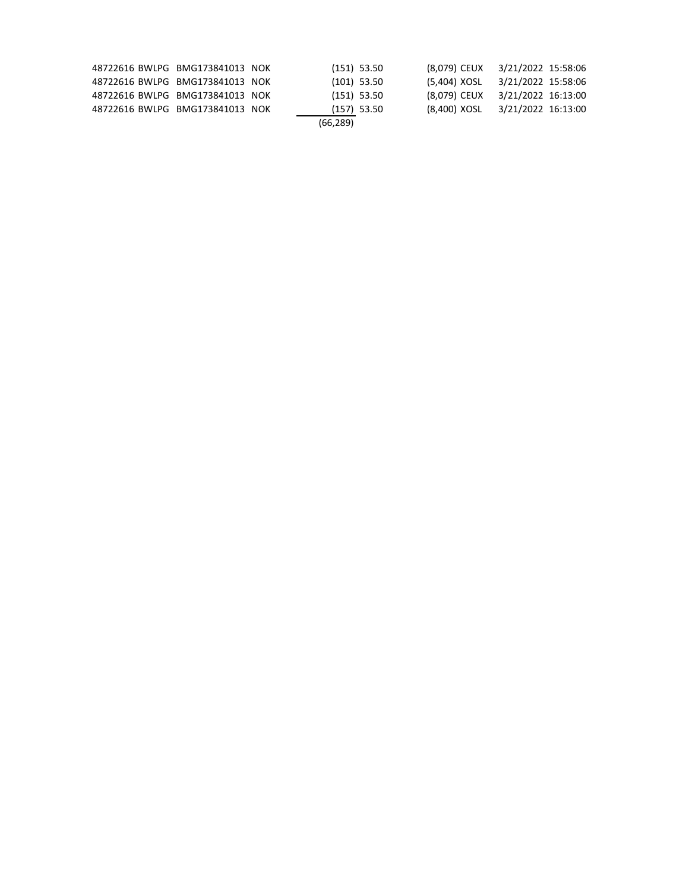| 48722616 BWLPG BMG173841013 NOK |  | $(151)$ 53.50 | (8,079) CEUX 3/21/2022 15:58:06 |                    |  |
|---------------------------------|--|---------------|---------------------------------|--------------------|--|
| 48722616 BWLPG BMG173841013 NOK |  | $(101)$ 53.50 | (5,404) XOSL                    | 3/21/2022 15:58:06 |  |
| 48722616 BWLPG BMG173841013 NOK |  | $(151)$ 53.50 | (8,079) CEUX                    | 3/21/2022 16:13:00 |  |
| 48722616 BWLPG BMG173841013 NOK |  | $(157)$ 53.50 | (8,400) XOSL                    | 3/21/2022 16:13:00 |  |
|                                 |  | (66, 289)     |                                 |                    |  |
|                                 |  |               |                                 |                    |  |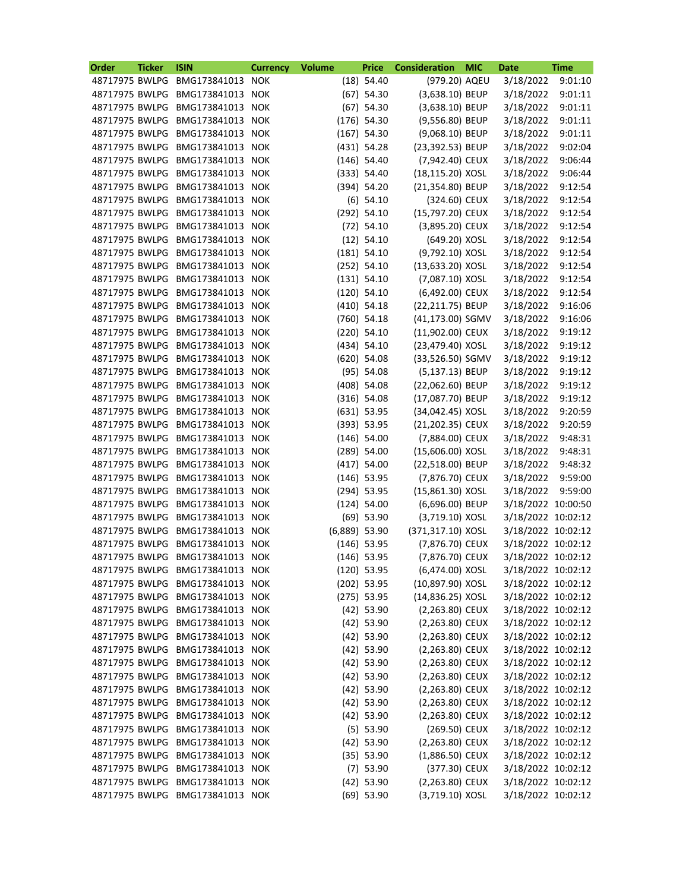| Order          | <b>Ticker</b> | <b>ISIN</b>                 | <b>Currency</b> | <b>Volume</b>   | <b>Price</b>  | <b>Consideration</b> | <b>MIC</b> | <b>Date</b>        | <b>Time</b> |
|----------------|---------------|-----------------------------|-----------------|-----------------|---------------|----------------------|------------|--------------------|-------------|
| 48717975 BWLPG |               | BMG173841013                | <b>NOK</b>      |                 | $(18)$ 54.40  | (979.20) AQEU        |            | 3/18/2022          | 9:01:10     |
| 48717975 BWLPG |               | BMG173841013                | <b>NOK</b>      |                 | $(67)$ 54.30  | (3,638.10) BEUP      |            | 3/18/2022          | 9:01:11     |
| 48717975 BWLPG |               | BMG173841013 NOK            |                 |                 | $(67)$ 54.30  | (3,638.10) BEUP      |            | 3/18/2022          | 9:01:11     |
| 48717975 BWLPG |               | BMG173841013                | <b>NOK</b>      |                 | $(176)$ 54.30 | (9,556.80) BEUP      |            | 3/18/2022          | 9:01:11     |
| 48717975 BWLPG |               | BMG173841013                | <b>NOK</b>      |                 | $(167)$ 54.30 | (9,068.10) BEUP      |            | 3/18/2022          | 9:01:11     |
| 48717975 BWLPG |               | BMG173841013                | <b>NOK</b>      |                 | $(431)$ 54.28 | (23,392.53) BEUP     |            | 3/18/2022          | 9:02:04     |
| 48717975 BWLPG |               | BMG173841013                | <b>NOK</b>      |                 | $(146)$ 54.40 | (7,942.40) CEUX      |            | 3/18/2022          | 9:06:44     |
| 48717975 BWLPG |               | BMG173841013                | <b>NOK</b>      |                 | (333) 54.40   | (18,115.20) XOSL     |            | 3/18/2022          | 9:06:44     |
| 48717975 BWLPG |               | BMG173841013                | <b>NOK</b>      |                 | (394) 54.20   | (21,354.80) BEUP     |            | 3/18/2022          | 9:12:54     |
| 48717975 BWLPG |               | BMG173841013                | <b>NOK</b>      |                 | $(6)$ 54.10   | (324.60) CEUX        |            | 3/18/2022          | 9:12:54     |
| 48717975 BWLPG |               | BMG173841013 NOK            |                 |                 | $(292)$ 54.10 | (15,797.20) CEUX     |            | 3/18/2022          | 9:12:54     |
| 48717975 BWLPG |               | BMG173841013                | <b>NOK</b>      |                 | $(72)$ 54.10  | (3,895.20) CEUX      |            | 3/18/2022          | 9:12:54     |
| 48717975 BWLPG |               | BMG173841013                | <b>NOK</b>      |                 | $(12)$ 54.10  | (649.20) XOSL        |            | 3/18/2022          | 9:12:54     |
| 48717975 BWLPG |               | BMG173841013 NOK            |                 |                 | $(181)$ 54.10 | (9,792.10) XOSL      |            | 3/18/2022          | 9:12:54     |
| 48717975 BWLPG |               | BMG173841013                | <b>NOK</b>      |                 | $(252)$ 54.10 | (13,633.20) XOSL     |            | 3/18/2022          | 9:12:54     |
| 48717975 BWLPG |               | BMG173841013                | <b>NOK</b>      |                 | $(131)$ 54.10 | (7,087.10) XOSL      |            | 3/18/2022          | 9:12:54     |
| 48717975 BWLPG |               | BMG173841013 NOK            |                 |                 | $(120)$ 54.10 | (6,492.00) CEUX      |            | 3/18/2022          | 9:12:54     |
| 48717975 BWLPG |               | BMG173841013                | <b>NOK</b>      |                 | $(410)$ 54.18 | (22,211.75) BEUP     |            | 3/18/2022          | 9:16:06     |
| 48717975 BWLPG |               | BMG173841013 NOK            |                 |                 | $(760)$ 54.18 | (41,173.00) SGMV     |            | 3/18/2022          | 9:16:06     |
| 48717975 BWLPG |               | BMG173841013                | <b>NOK</b>      |                 | $(220)$ 54.10 | (11,902.00) CEUX     |            | 3/18/2022          | 9:19:12     |
| 48717975 BWLPG |               | BMG173841013                | <b>NOK</b>      |                 | $(434)$ 54.10 | (23,479.40) XOSL     |            | 3/18/2022          | 9:19:12     |
| 48717975 BWLPG |               | BMG173841013 NOK            |                 |                 | $(620)$ 54.08 | (33,526.50) SGMV     |            | 3/18/2022          | 9:19:12     |
| 48717975 BWLPG |               | BMG173841013                | <b>NOK</b>      |                 | $(95)$ 54.08  | (5,137.13) BEUP      |            | 3/18/2022          | 9:19:12     |
| 48717975 BWLPG |               | BMG173841013                | <b>NOK</b>      |                 | $(408)$ 54.08 | (22,062.60) BEUP     |            | 3/18/2022          | 9:19:12     |
| 48717975 BWLPG |               | BMG173841013                | <b>NOK</b>      |                 | $(316)$ 54.08 | (17,087.70) BEUP     |            | 3/18/2022          | 9:19:12     |
| 48717975 BWLPG |               | BMG173841013                | <b>NOK</b>      |                 | $(631)$ 53.95 | (34,042.45) XOSL     |            | 3/18/2022          | 9:20:59     |
| 48717975 BWLPG |               | BMG173841013                | <b>NOK</b>      |                 | (393) 53.95   | (21,202.35) CEUX     |            | 3/18/2022          | 9:20:59     |
| 48717975 BWLPG |               | BMG173841013                | <b>NOK</b>      |                 | $(146)$ 54.00 | (7,884.00) CEUX      |            | 3/18/2022          | 9:48:31     |
| 48717975 BWLPG |               | BMG173841013                | <b>NOK</b>      |                 | $(289)$ 54.00 | (15,606.00) XOSL     |            | 3/18/2022          | 9:48:31     |
| 48717975 BWLPG |               | BMG173841013                | <b>NOK</b>      |                 | $(417)$ 54.00 | (22,518.00) BEUP     |            | 3/18/2022          | 9:48:32     |
|                |               | 48717975 BWLPG BMG173841013 | <b>NOK</b>      |                 | $(146)$ 53.95 | (7,876.70) CEUX      |            | 3/18/2022          | 9:59:00     |
| 48717975 BWLPG |               | BMG173841013 NOK            |                 |                 | $(294)$ 53.95 | $(15,861.30)$ XOSL   |            | 3/18/2022 9:59:00  |             |
| 48717975 BWLPG |               | BMG173841013 NOK            |                 |                 | $(124)$ 54.00 | (6,696.00) BEUP      |            | 3/18/2022 10:00:50 |             |
| 48717975 BWLPG |               | BMG173841013 NOK            |                 |                 | $(69)$ 53.90  | (3,719.10) XOSL      |            | 3/18/2022 10:02:12 |             |
| 48717975 BWLPG |               | BMG173841013                | <b>NOK</b>      | $(6,889)$ 53.90 |               | (371,317.10) XOSL    |            | 3/18/2022 10:02:12 |             |
| 48717975 BWLPG |               | BMG173841013 NOK            |                 |                 | $(146)$ 53.95 | (7,876.70) CEUX      |            | 3/18/2022 10:02:12 |             |
| 48717975 BWLPG |               | BMG173841013 NOK            |                 |                 | $(146)$ 53.95 | (7,876.70) CEUX      |            | 3/18/2022 10:02:12 |             |
| 48717975 BWLPG |               | BMG173841013 NOK            |                 |                 | $(120)$ 53.95 | (6,474.00) XOSL      |            | 3/18/2022 10:02:12 |             |
| 48717975 BWLPG |               | BMG173841013 NOK            |                 |                 | $(202)$ 53.95 | (10,897.90) XOSL     |            | 3/18/2022 10:02:12 |             |
| 48717975 BWLPG |               | BMG173841013 NOK            |                 |                 | $(275)$ 53.95 | (14,836.25) XOSL     |            | 3/18/2022 10:02:12 |             |
| 48717975 BWLPG |               | BMG173841013 NOK            |                 |                 | $(42)$ 53.90  | (2,263.80) CEUX      |            | 3/18/2022 10:02:12 |             |
| 48717975 BWLPG |               | BMG173841013 NOK            |                 |                 | $(42)$ 53.90  | (2,263.80) CEUX      |            | 3/18/2022 10:02:12 |             |
| 48717975 BWLPG |               | BMG173841013 NOK            |                 |                 | $(42)$ 53.90  | (2,263.80) CEUX      |            | 3/18/2022 10:02:12 |             |
| 48717975 BWLPG |               | BMG173841013 NOK            |                 |                 | $(42)$ 53.90  | (2,263.80) CEUX      |            | 3/18/2022 10:02:12 |             |
| 48717975 BWLPG |               | BMG173841013 NOK            |                 |                 | $(42)$ 53.90  | (2,263.80) CEUX      |            | 3/18/2022 10:02:12 |             |
| 48717975 BWLPG |               | BMG173841013                | <b>NOK</b>      |                 | $(42)$ 53.90  | $(2,263.80)$ CEUX    |            | 3/18/2022 10:02:12 |             |
| 48717975 BWLPG |               | BMG173841013 NOK            |                 |                 | $(42)$ 53.90  | (2,263.80) CEUX      |            | 3/18/2022 10:02:12 |             |
| 48717975 BWLPG |               | BMG173841013 NOK            |                 |                 | $(42)$ 53.90  | (2,263.80) CEUX      |            | 3/18/2022 10:02:12 |             |
| 48717975 BWLPG |               | BMG173841013 NOK            |                 |                 | $(42)$ 53.90  | (2,263.80) CEUX      |            | 3/18/2022 10:02:12 |             |
| 48717975 BWLPG |               | BMG173841013 NOK            |                 |                 | $(5)$ 53.90   | (269.50) CEUX        |            | 3/18/2022 10:02:12 |             |
| 48717975 BWLPG |               | BMG173841013                | <b>NOK</b>      |                 | $(42)$ 53.90  | (2,263.80) CEUX      |            | 3/18/2022 10:02:12 |             |
| 48717975 BWLPG |               | BMG173841013 NOK            |                 |                 | $(35)$ 53.90  | $(1,886.50)$ CEUX    |            | 3/18/2022 10:02:12 |             |
| 48717975 BWLPG |               | BMG173841013 NOK            |                 |                 | $(7)$ 53.90   | (377.30) CEUX        |            | 3/18/2022 10:02:12 |             |
| 48717975 BWLPG |               | BMG173841013 NOK            |                 |                 | $(42)$ 53.90  | (2,263.80) CEUX      |            | 3/18/2022 10:02:12 |             |
| 48717975 BWLPG |               | BMG173841013 NOK            |                 |                 | $(69)$ 53.90  | (3,719.10) XOSL      |            | 3/18/2022 10:02:12 |             |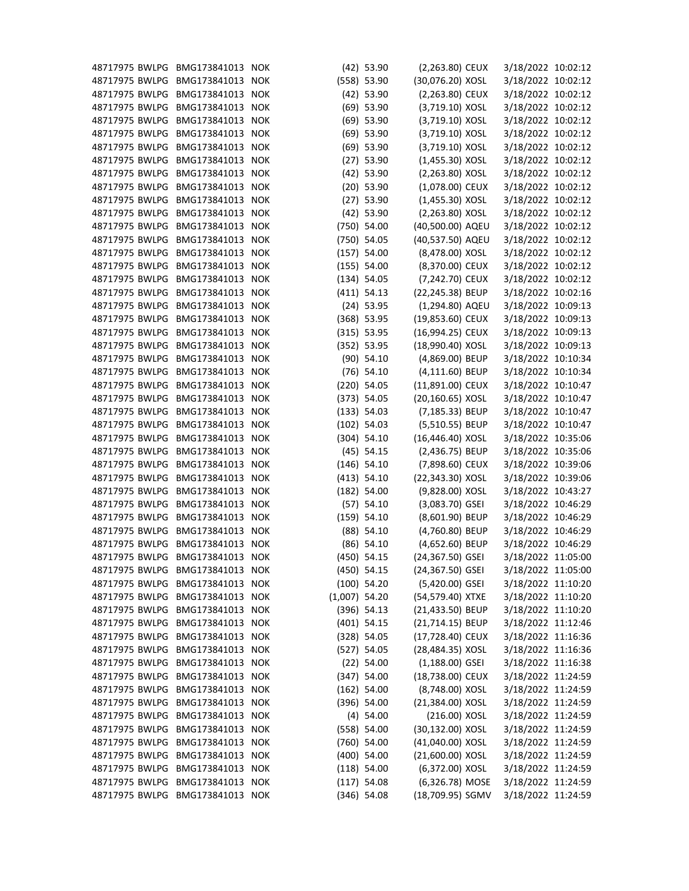| 48717975 BWLPG | BMG173841013     | <b>NOK</b> |                 | $(42)$ 53.90  | (2,263.80) CEUX    | 3/18/2022 10:02:12 |  |
|----------------|------------------|------------|-----------------|---------------|--------------------|--------------------|--|
| 48717975 BWLPG | BMG173841013     | <b>NOK</b> |                 | (558) 53.90   | (30,076.20) XOSL   | 3/18/2022 10:02:12 |  |
| 48717975 BWLPG | BMG173841013     | <b>NOK</b> |                 | $(42)$ 53.90  | (2,263.80) CEUX    | 3/18/2022 10:02:12 |  |
| 48717975 BWLPG | BMG173841013 NOK |            |                 | $(69)$ 53.90  | (3,719.10) XOSL    | 3/18/2022 10:02:12 |  |
| 48717975 BWLPG | BMG173841013     | <b>NOK</b> |                 | $(69)$ 53.90  | (3,719.10) XOSL    | 3/18/2022 10:02:12 |  |
| 48717975 BWLPG | BMG173841013     | <b>NOK</b> |                 | $(69)$ 53.90  | (3,719.10) XOSL    | 3/18/2022 10:02:12 |  |
| 48717975 BWLPG | BMG173841013 NOK |            |                 | $(69)$ 53.90  | (3,719.10) XOSL    | 3/18/2022 10:02:12 |  |
| 48717975 BWLPG | BMG173841013     | <b>NOK</b> |                 | $(27)$ 53.90  | $(1,455.30)$ XOSL  | 3/18/2022 10:02:12 |  |
| 48717975 BWLPG | BMG173841013     | <b>NOK</b> |                 | $(42)$ 53.90  | (2,263.80) XOSL    | 3/18/2022 10:02:12 |  |
| 48717975 BWLPG | BMG173841013 NOK |            |                 | $(20)$ 53.90  | (1,078.00) CEUX    | 3/18/2022 10:02:12 |  |
| 48717975 BWLPG | BMG173841013     | <b>NOK</b> |                 | $(27)$ 53.90  | $(1,455.30)$ XOSL  | 3/18/2022 10:02:12 |  |
| 48717975 BWLPG | BMG173841013 NOK |            |                 | $(42)$ 53.90  | (2,263.80) XOSL    | 3/18/2022 10:02:12 |  |
| 48717975 BWLPG | BMG173841013 NOK |            |                 | $(750)$ 54.00 | (40,500.00) AQEU   | 3/18/2022 10:02:12 |  |
| 48717975 BWLPG | BMG173841013     | <b>NOK</b> |                 | $(750)$ 54.05 | (40,537.50) AQEU   | 3/18/2022 10:02:12 |  |
| 48717975 BWLPG | BMG173841013 NOK |            |                 | $(157)$ 54.00 | (8,478.00) XOSL    | 3/18/2022 10:02:12 |  |
| 48717975 BWLPG | BMG173841013     | <b>NOK</b> |                 | $(155)$ 54.00 | (8,370.00) CEUX    | 3/18/2022 10:02:12 |  |
| 48717975 BWLPG | BMG173841013     | <b>NOK</b> |                 | (134) 54.05   | (7,242.70) CEUX    | 3/18/2022 10:02:12 |  |
| 48717975 BWLPG | BMG173841013 NOK |            |                 | $(411)$ 54.13 | (22,245.38) BEUP   | 3/18/2022 10:02:16 |  |
| 48717975 BWLPG | BMG173841013     | <b>NOK</b> |                 | $(24)$ 53.95  | (1,294.80) AQEU    | 3/18/2022 10:09:13 |  |
| 48717975 BWLPG | BMG173841013     | <b>NOK</b> |                 | $(368)$ 53.95 | (19,853.60) CEUX   | 3/18/2022 10:09:13 |  |
| 48717975 BWLPG | BMG173841013 NOK |            |                 | $(315)$ 53.95 | (16,994.25) CEUX   | 3/18/2022 10:09:13 |  |
| 48717975 BWLPG | BMG173841013     | <b>NOK</b> |                 | (352) 53.95   | (18,990.40) XOSL   | 3/18/2022 10:09:13 |  |
| 48717975 BWLPG | BMG173841013 NOK |            |                 | $(90)$ 54.10  | (4,869.00) BEUP    | 3/18/2022 10:10:34 |  |
| 48717975 BWLPG | BMG173841013 NOK |            |                 | $(76)$ 54.10  | (4,111.60) BEUP    | 3/18/2022 10:10:34 |  |
| 48717975 BWLPG | BMG173841013     | <b>NOK</b> |                 | $(220)$ 54.05 | (11,891.00) CEUX   | 3/18/2022 10:10:47 |  |
| 48717975 BWLPG | BMG173841013 NOK |            |                 | (373) 54.05   | (20,160.65) XOSL   | 3/18/2022 10:10:47 |  |
| 48717975 BWLPG | BMG173841013     | <b>NOK</b> |                 | (133) 54.03   | (7,185.33) BEUP    | 3/18/2022 10:10:47 |  |
| 48717975 BWLPG | BMG173841013     | <b>NOK</b> |                 | $(102)$ 54.03 | (5,510.55) BEUP    | 3/18/2022 10:10:47 |  |
| 48717975 BWLPG | BMG173841013 NOK |            |                 | (304) 54.10   | (16,446.40) XOSL   | 3/18/2022 10:35:06 |  |
| 48717975 BWLPG | BMG173841013     | <b>NOK</b> |                 | $(45)$ 54.15  | (2,436.75) BEUP    | 3/18/2022 10:35:06 |  |
| 48717975 BWLPG | BMG173841013     | <b>NOK</b> |                 | $(146)$ 54.10 | (7,898.60) CEUX    | 3/18/2022 10:39:06 |  |
| 48717975 BWLPG | BMG173841013 NOK |            |                 | (413) 54.10   | (22,343.30) XOSL   | 3/18/2022 10:39:06 |  |
| 48717975 BWLPG | BMG173841013 NOK |            |                 | $(182)$ 54.00 | (9,828.00) XOSL    | 3/18/2022 10:43:27 |  |
| 48717975 BWLPG | BMG173841013     | <b>NOK</b> |                 | $(57)$ 54.10  | $(3,083.70)$ GSEI  | 3/18/2022 10:46:29 |  |
| 48717975 BWLPG | BMG173841013 NOK |            |                 | $(159)$ 54.10 | (8,601.90) BEUP    | 3/18/2022 10:46:29 |  |
| 48717975 BWLPG | BMG173841013     | <b>NOK</b> |                 | $(88)$ 54.10  | (4,760.80) BEUP    | 3/18/2022 10:46:29 |  |
| 48717975 BWLPG | BMG173841013 NOK |            |                 | $(86)$ 54.10  | (4,652.60) BEUP    | 3/18/2022 10:46:29 |  |
| 48717975 BWLPG | BMG173841013 NOK |            |                 |               | (24,367.50) GSEI   |                    |  |
| 48717975 BWLPG |                  |            |                 | $(450)$ 54.15 |                    | 3/18/2022 11:05:00 |  |
|                | BMG173841013     | <b>NOK</b> |                 | $(450)$ 54.15 | (24,367.50) GSEI   | 3/18/2022 11:05:00 |  |
| 48717975 BWLPG | BMG173841013 NOK |            |                 | $(100)$ 54.20 | (5,420.00) GSEI    | 3/18/2022 11:10:20 |  |
| 48717975 BWLPG | BMG173841013 NOK |            | $(1,007)$ 54.20 |               | (54,579.40) XTXE   | 3/18/2022 11:10:20 |  |
| 48717975 BWLPG | BMG173841013     | <b>NOK</b> |                 | $(396)$ 54.13 | (21,433.50) BEUP   | 3/18/2022 11:10:20 |  |
| 48717975 BWLPG | BMG173841013 NOK |            |                 | $(401)$ 54.15 | (21,714.15) BEUP   | 3/18/2022 11:12:46 |  |
| 48717975 BWLPG | BMG173841013     | <b>NOK</b> |                 | $(328)$ 54.05 | (17,728.40) CEUX   | 3/18/2022 11:16:36 |  |
| 48717975 BWLPG | BMG173841013 NOK |            |                 | $(527)$ 54.05 | (28,484.35) XOSL   | 3/18/2022 11:16:36 |  |
| 48717975 BWLPG | BMG173841013 NOK |            |                 | $(22)$ 54.00  | $(1, 188.00)$ GSEI | 3/18/2022 11:16:38 |  |
| 48717975 BWLPG | BMG173841013     | <b>NOK</b> |                 | $(347)$ 54.00 | (18,738.00) CEUX   | 3/18/2022 11:24:59 |  |
| 48717975 BWLPG | BMG173841013 NOK |            |                 | $(162)$ 54.00 | (8,748.00) XOSL    | 3/18/2022 11:24:59 |  |
| 48717975 BWLPG | BMG173841013 NOK |            |                 | $(396)$ 54.00 | (21,384.00) XOSL   | 3/18/2022 11:24:59 |  |
| 48717975 BWLPG | BMG173841013     | <b>NOK</b> |                 | $(4)$ 54.00   | (216.00) XOSL      | 3/18/2022 11:24:59 |  |
| 48717975 BWLPG | BMG173841013 NOK |            |                 | (558) 54.00   | (30,132.00) XOSL   | 3/18/2022 11:24:59 |  |
| 48717975 BWLPG | BMG173841013     | <b>NOK</b> |                 | $(760)$ 54.00 | (41,040.00) XOSL   | 3/18/2022 11:24:59 |  |
| 48717975 BWLPG | BMG173841013     | <b>NOK</b> |                 | $(400)$ 54.00 | (21,600.00) XOSL   | 3/18/2022 11:24:59 |  |
| 48717975 BWLPG | BMG173841013 NOK |            |                 | (118) 54.00   | (6,372.00) XOSL    | 3/18/2022 11:24:59 |  |
| 48717975 BWLPG | BMG173841013 NOK |            |                 | $(117)$ 54.08 | (6,326.78) MOSE    | 3/18/2022 11:24:59 |  |
| 48717975 BWLPG | BMG173841013 NOK |            |                 | $(346)$ 54.08 | (18,709.95) SGMV   | 3/18/2022 11:24:59 |  |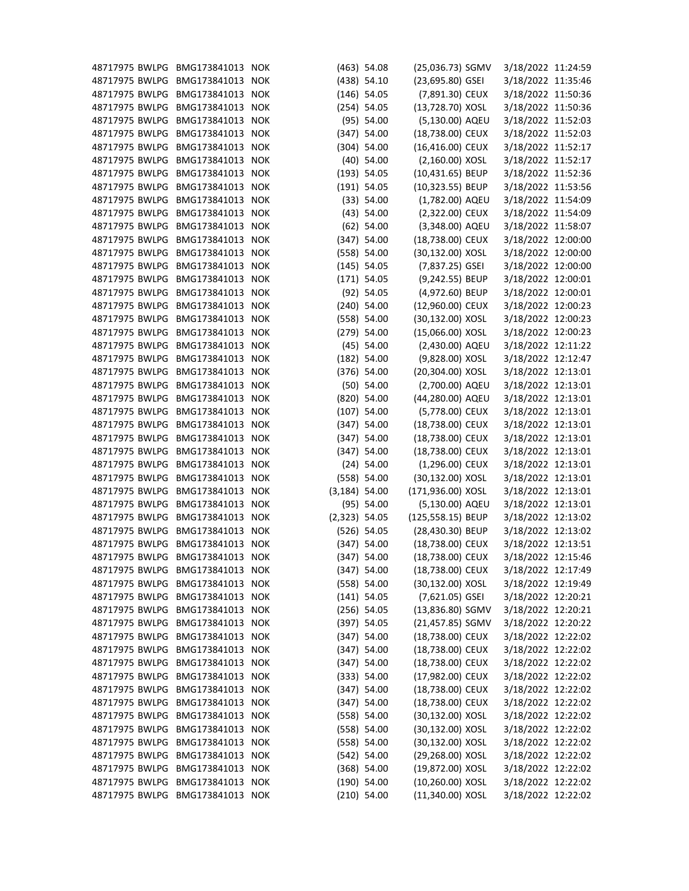| 48717975 BWLPG BMG173841013      |                  | <b>NOK</b> |                  | $(463)$ 54.08 | (25,036.73) SGMV  | 3/18/2022 11:24:59 |  |
|----------------------------------|------------------|------------|------------------|---------------|-------------------|--------------------|--|
| 48717975 BWLPG                   | BMG173841013 NOK |            |                  | $(438)$ 54.10 | (23,695.80) GSEI  | 3/18/2022 11:35:46 |  |
| 48717975 BWLPG                   | BMG173841013     | <b>NOK</b> |                  | $(146)$ 54.05 | (7,891.30) CEUX   | 3/18/2022 11:50:36 |  |
| 48717975 BWLPG                   | BMG173841013 NOK |            |                  | $(254)$ 54.05 | (13,728.70) XOSL  | 3/18/2022 11:50:36 |  |
| 48717975 BWLPG                   | BMG173841013     | <b>NOK</b> |                  | (95) 54.00    | (5,130.00) AQEU   | 3/18/2022 11:52:03 |  |
| 48717975 BWLPG                   | BMG173841013 NOK |            |                  | $(347)$ 54.00 | (18,738.00) CEUX  | 3/18/2022 11:52:03 |  |
| 48717975 BWLPG                   | BMG173841013 NOK |            |                  | $(304)$ 54.00 | (16,416.00) CEUX  | 3/18/2022 11:52:17 |  |
| 48717975 BWLPG                   | BMG173841013 NOK |            |                  | $(40)$ 54.00  | (2,160.00) XOSL   | 3/18/2022 11:52:17 |  |
| 48717975 BWLPG                   | BMG173841013 NOK |            |                  | (193) 54.05   | (10,431.65) BEUP  | 3/18/2022 11:52:36 |  |
| 48717975 BWLPG                   | BMG173841013 NOK |            |                  | $(191)$ 54.05 | (10,323.55) BEUP  | 3/18/2022 11:53:56 |  |
| 48717975 BWLPG                   | BMG173841013     | <b>NOK</b> |                  | (33) 54.00    | (1,782.00) AQEU   | 3/18/2022 11:54:09 |  |
| 48717975 BWLPG                   | BMG173841013 NOK |            |                  | $(43)$ 54.00  | (2,322.00) CEUX   | 3/18/2022 11:54:09 |  |
| 48717975 BWLPG                   | BMG173841013 NOK |            |                  | $(62)$ 54.00  | (3,348.00) AQEU   | 3/18/2022 11:58:07 |  |
| 48717975 BWLPG                   | BMG173841013 NOK |            |                  | $(347)$ 54.00 | (18,738.00) CEUX  | 3/18/2022 12:00:00 |  |
| 48717975 BWLPG                   | BMG173841013 NOK |            |                  | (558) 54.00   | (30,132.00) XOSL  | 3/18/2022 12:00:00 |  |
| 48717975 BWLPG                   | BMG173841013 NOK |            |                  | $(145)$ 54.05 | (7,837.25) GSEI   | 3/18/2022 12:00:00 |  |
| 48717975 BWLPG                   | BMG173841013 NOK |            |                  | $(171)$ 54.05 | (9,242.55) BEUP   | 3/18/2022 12:00:01 |  |
| 48717975 BWLPG                   | BMG173841013 NOK |            |                  | $(92)$ 54.05  | (4,972.60) BEUP   | 3/18/2022 12:00:01 |  |
| 48717975 BWLPG                   | BMG173841013 NOK |            |                  | $(240)$ 54.00 | (12,960.00) CEUX  | 3/18/2022 12:00:23 |  |
| 48717975 BWLPG                   | BMG173841013 NOK |            |                  | (558) 54.00   | (30,132.00) XOSL  | 3/18/2022 12:00:23 |  |
|                                  | BMG173841013 NOK |            |                  |               |                   |                    |  |
| 48717975 BWLPG<br>48717975 BWLPG | BMG173841013     |            |                  | $(279)$ 54.00 | (15,066.00) XOSL  | 3/18/2022 12:00:23 |  |
|                                  |                  | <b>NOK</b> |                  | $(45)$ 54.00  | (2,430.00) AQEU   | 3/18/2022 12:11:22 |  |
| 48717975 BWLPG                   | BMG173841013 NOK |            |                  | $(182)$ 54.00 | (9,828.00) XOSL   | 3/18/2022 12:12:47 |  |
| 48717975 BWLPG                   | BMG173841013 NOK |            |                  | $(376)$ 54.00 | (20,304.00) XOSL  | 3/18/2022 12:13:01 |  |
| 48717975 BWLPG                   | BMG173841013     | <b>NOK</b> |                  | $(50)$ 54.00  | (2,700.00) AQEU   | 3/18/2022 12:13:01 |  |
| 48717975 BWLPG                   | BMG173841013 NOK |            |                  | $(820)$ 54.00 | (44,280.00) AQEU  | 3/18/2022 12:13:01 |  |
| 48717975 BWLPG                   | BMG173841013     | <b>NOK</b> |                  | $(107)$ 54.00 | (5,778.00) CEUX   | 3/18/2022 12:13:01 |  |
| 48717975 BWLPG                   | BMG173841013 NOK |            |                  | $(347)$ 54.00 | (18,738.00) CEUX  | 3/18/2022 12:13:01 |  |
| 48717975 BWLPG                   | BMG173841013 NOK |            |                  | $(347)$ 54.00 | (18,738.00) CEUX  | 3/18/2022 12:13:01 |  |
| 48717975 BWLPG                   | BMG173841013     | <b>NOK</b> |                  | $(347)$ 54.00 | (18,738.00) CEUX  | 3/18/2022 12:13:01 |  |
| 48717975 BWLPG                   | BMG173841013 NOK |            |                  | $(24)$ 54.00  | $(1,296.00)$ CEUX | 3/18/2022 12:13:01 |  |
| 48717975 BWLPG BMG173841013 NOK  |                  |            |                  | (558) 54.00   | (30,132.00) XOSL  | 3/18/2022 12:13:01 |  |
| 48717975 BWLPG BMG173841013 NOK  |                  |            | $(3, 184)$ 54.00 |               | (171,936.00) XOSL | 3/18/2022 12:13:01 |  |
| 48717975 BWLPG                   | BMG173841013 NOK |            |                  | (95) 54.00    | (5,130.00) AQEU   | 3/18/2022 12:13:01 |  |
| 48717975 BWLPG                   | BMG173841013 NOK |            | $(2,323)$ 54.05  |               | (125,558.15) BEUP | 3/18/2022 12:13:02 |  |
| 48717975 BWLPG                   | BMG173841013 NOK |            |                  | $(526)$ 54.05 | (28,430.30) BEUP  | 3/18/2022 12:13:02 |  |
| 48717975 BWLPG                   | BMG173841013 NOK |            |                  | $(347)$ 54.00 | (18,738.00) CEUX  | 3/18/2022 12:13:51 |  |
| 48717975 BWLPG                   | BMG173841013 NOK |            |                  | $(347)$ 54.00 | (18,738.00) CEUX  | 3/18/2022 12:15:46 |  |
| 48717975 BWLPG                   | BMG173841013 NOK |            |                  | $(347)$ 54.00 | (18,738.00) CEUX  | 3/18/2022 12:17:49 |  |
| 48717975 BWLPG                   | BMG173841013 NOK |            |                  | (558) 54.00   | (30,132.00) XOSL  | 3/18/2022 12:19:49 |  |
| 48717975 BWLPG                   | BMG173841013 NOK |            |                  | $(141)$ 54.05 | (7,621.05) GSEI   | 3/18/2022 12:20:21 |  |
| 48717975 BWLPG                   | BMG173841013 NOK |            |                  | $(256)$ 54.05 | (13,836.80) SGMV  | 3/18/2022 12:20:21 |  |
| 48717975 BWLPG                   | BMG173841013 NOK |            |                  | (397) 54.05   | (21,457.85) SGMV  | 3/18/2022 12:20:22 |  |
| 48717975 BWLPG                   | BMG173841013 NOK |            |                  | $(347)$ 54.00 | (18,738.00) CEUX  | 3/18/2022 12:22:02 |  |
| 48717975 BWLPG                   | BMG173841013 NOK |            |                  | $(347)$ 54.00 | (18,738.00) CEUX  | 3/18/2022 12:22:02 |  |
| 48717975 BWLPG                   | BMG173841013 NOK |            |                  | $(347)$ 54.00 | (18,738.00) CEUX  | 3/18/2022 12:22:02 |  |
| 48717975 BWLPG                   | BMG173841013 NOK |            |                  | (333) 54.00   | (17,982.00) CEUX  | 3/18/2022 12:22:02 |  |
| 48717975 BWLPG                   | BMG173841013 NOK |            |                  | $(347)$ 54.00 | (18,738.00) CEUX  | 3/18/2022 12:22:02 |  |
| 48717975 BWLPG                   | BMG173841013 NOK |            |                  | $(347)$ 54.00 | (18,738.00) CEUX  | 3/18/2022 12:22:02 |  |
| 48717975 BWLPG                   | BMG173841013 NOK |            |                  | (558) 54.00   | (30,132.00) XOSL  | 3/18/2022 12:22:02 |  |
| 48717975 BWLPG                   | BMG173841013 NOK |            |                  | (558) 54.00   | (30,132.00) XOSL  | 3/18/2022 12:22:02 |  |
| 48717975 BWLPG                   | BMG173841013 NOK |            |                  | (558) 54.00   | (30,132.00) XOSL  | 3/18/2022 12:22:02 |  |
| 48717975 BWLPG                   | BMG173841013 NOK |            |                  | $(542)$ 54.00 | (29,268.00) XOSL  | 3/18/2022 12:22:02 |  |
| 48717975 BWLPG                   | BMG173841013 NOK |            |                  | $(368)$ 54.00 | (19,872.00) XOSL  | 3/18/2022 12:22:02 |  |
| 48717975 BWLPG                   | BMG173841013 NOK |            |                  | $(190)$ 54.00 | (10,260.00) XOSL  | 3/18/2022 12:22:02 |  |
| 48717975 BWLPG BMG173841013 NOK  |                  |            |                  | $(210)$ 54.00 | (11,340.00) XOSL  | 3/18/2022 12:22:02 |  |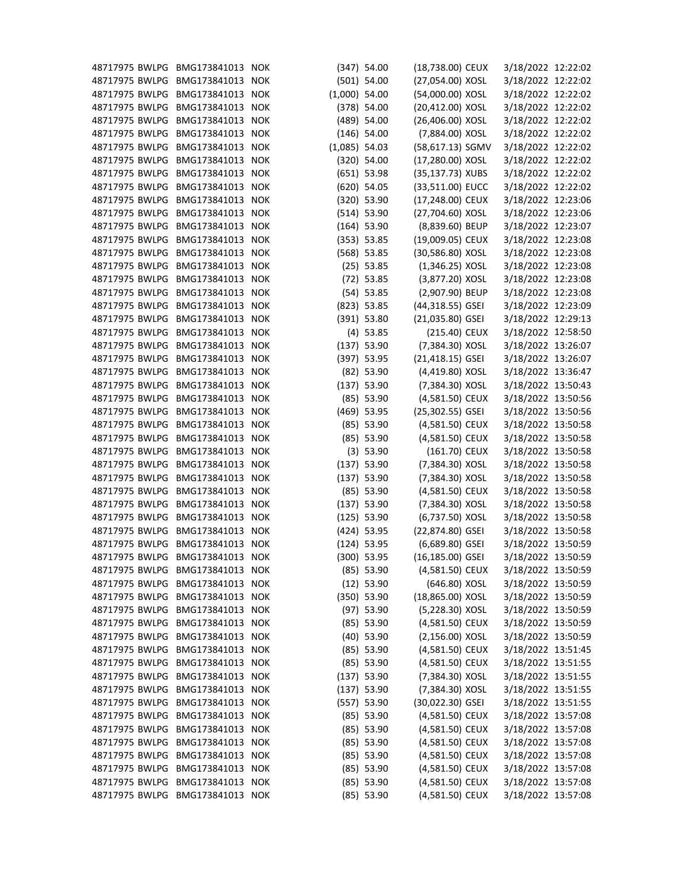| 48717975 BWLPG                  | BMG173841013 NOK                     |                 | $(347)$ 54.00                | (18,738.00) CEUX                 | 3/18/2022 12:22:02                       |  |
|---------------------------------|--------------------------------------|-----------------|------------------------------|----------------------------------|------------------------------------------|--|
| 48717975 BWLPG                  | BMG173841013 NOK                     |                 | $(501)$ 54.00                | (27,054.00) XOSL                 | 3/18/2022 12:22:02                       |  |
| 48717975 BWLPG                  | BMG173841013 NOK                     | $(1,000)$ 54.00 |                              | (54,000.00) XOSL                 | 3/18/2022 12:22:02                       |  |
| 48717975 BWLPG                  | BMG173841013 NOK                     |                 | $(378)$ 54.00                | (20,412.00) XOSL                 | 3/18/2022 12:22:02                       |  |
| 48717975 BWLPG                  | BMG173841013 NOK                     |                 | $(489)$ 54.00                | (26,406.00) XOSL                 | 3/18/2022 12:22:02                       |  |
| 48717975 BWLPG                  | BMG173841013 NOK                     |                 | $(146)$ 54.00                | (7,884.00) XOSL                  | 3/18/2022 12:22:02                       |  |
| 48717975 BWLPG                  | BMG173841013 NOK                     | $(1,085)$ 54.03 |                              | (58,617.13) SGMV                 | 3/18/2022 12:22:02                       |  |
| 48717975 BWLPG                  | BMG173841013 NOK                     |                 | $(320)$ 54.00                | (17,280.00) XOSL                 | 3/18/2022 12:22:02                       |  |
| 48717975 BWLPG                  | BMG173841013 NOK                     |                 | $(651)$ 53.98                | (35,137.73) XUBS                 | 3/18/2022 12:22:02                       |  |
| 48717975 BWLPG                  | BMG173841013 NOK                     |                 | $(620)$ 54.05                | (33,511.00) EUCC                 | 3/18/2022 12:22:02                       |  |
| 48717975 BWLPG                  | BMG173841013 NOK                     |                 | (320) 53.90                  | (17,248.00) CEUX                 | 3/18/2022 12:23:06                       |  |
| 48717975 BWLPG                  | BMG173841013 NOK                     |                 | (514) 53.90                  | (27,704.60) XOSL                 | 3/18/2022 12:23:06                       |  |
| 48717975 BWLPG                  | BMG173841013 NOK                     |                 | $(164)$ 53.90                | (8,839.60) BEUP                  | 3/18/2022 12:23:07                       |  |
| 48717975 BWLPG                  | BMG173841013 NOK                     |                 | (353) 53.85                  | (19,009.05) CEUX                 | 3/18/2022 12:23:08                       |  |
| 48717975 BWLPG                  | BMG173841013 NOK                     |                 | $(568)$ 53.85                | (30,586.80) XOSL                 | 3/18/2022 12:23:08                       |  |
| 48717975 BWLPG                  | BMG173841013 NOK                     |                 | $(25)$ 53.85                 | $(1,346.25)$ XOSL                | 3/18/2022 12:23:08                       |  |
| 48717975 BWLPG                  | BMG173841013 NOK                     |                 | $(72)$ 53.85                 | (3,877.20) XOSL                  | 3/18/2022 12:23:08                       |  |
| 48717975 BWLPG                  | BMG173841013 NOK                     |                 | $(54)$ 53.85                 | (2,907.90) BEUP                  | 3/18/2022 12:23:08                       |  |
| 48717975 BWLPG                  | BMG173841013 NOK                     |                 | $(823)$ 53.85                | (44,318.55) GSEI                 | 3/18/2022 12:23:09                       |  |
| 48717975 BWLPG                  | BMG173841013 NOK                     |                 | $(391)$ 53.80                | (21,035.80) GSEI                 | 3/18/2022 12:29:13                       |  |
| 48717975 BWLPG                  | BMG173841013 NOK                     |                 | $(4)$ 53.85                  | (215.40) CEUX                    | 3/18/2022 12:58:50                       |  |
| 48717975 BWLPG                  | BMG173841013 NOK                     |                 | $(137)$ 53.90                | (7,384.30) XOSL                  | 3/18/2022 13:26:07                       |  |
| 48717975 BWLPG                  | BMG173841013 NOK                     |                 | $(397)$ 53.95                | $(21, 418.15)$ GSEI              | 3/18/2022 13:26:07                       |  |
| 48717975 BWLPG                  | BMG173841013 NOK                     |                 | $(82)$ 53.90                 | (4,419.80) XOSL                  | 3/18/2022 13:36:47                       |  |
| 48717975 BWLPG                  | BMG173841013 NOK                     |                 | $(137)$ 53.90                | (7,384.30) XOSL                  | 3/18/2022 13:50:43                       |  |
| 48717975 BWLPG                  | BMG173841013 NOK                     |                 | $(85)$ 53.90                 | (4,581.50) CEUX                  | 3/18/2022 13:50:56                       |  |
| 48717975 BWLPG                  | BMG173841013 NOK                     |                 | $(469)$ 53.95                | (25,302.55) GSEI                 | 3/18/2022 13:50:56                       |  |
| 48717975 BWLPG                  | BMG173841013 NOK                     |                 | $(85)$ 53.90                 | (4,581.50) CEUX                  | 3/18/2022 13:50:58                       |  |
| 48717975 BWLPG                  | BMG173841013 NOK                     |                 | $(85)$ 53.90                 | (4,581.50) CEUX                  | 3/18/2022 13:50:58                       |  |
| 48717975 BWLPG                  | BMG173841013 NOK                     |                 | (3) 53.90                    | (161.70) CEUX                    | 3/18/2022 13:50:58                       |  |
| 48717975 BWLPG                  | BMG173841013 NOK                     |                 | $(137)$ 53.90                | (7,384.30) XOSL                  | 3/18/2022 13:50:58                       |  |
| 48717975 BWLPG BMG173841013 NOK |                                      |                 | $(137)$ 53.90                | (7,384.30) XOSL                  | 3/18/2022 13:50:58                       |  |
| 48717975 BWLPG                  | BMG173841013 NOK                     |                 | $(85)$ 53.90                 | (4,581.50) CEUX                  | 3/18/2022 13:50:58                       |  |
| 48717975 BWLPG                  | BMG173841013 NOK                     |                 | $(137)$ 53.90                | (7,384.30) XOSL                  | 3/18/2022 13:50:58                       |  |
| 48717975 BWLPG                  | BMG173841013 NOK                     |                 | $(125)$ 53.90                | (6,737.50) XOSL                  | 3/18/2022 13:50:58                       |  |
| 48717975 BWLPG                  | BMG173841013 NOK                     |                 | $(424)$ 53.95                | (22,874.80) GSEI                 | 3/18/2022 13:50:58                       |  |
| 48717975 BWLPG                  | BMG173841013 NOK                     |                 | $(124)$ 53.95                | $(6,689.80)$ GSEI                | 3/18/2022 13:50:59                       |  |
| 48717975 BWLPG                  | BMG173841013 NOK                     |                 | $(300)$ 53.95                | $(16, 185.00)$ GSEI              | 3/18/2022 13:50:59                       |  |
| 48717975 BWLPG                  | BMG173841013 NOK                     |                 |                              |                                  |                                          |  |
| 48717975 BWLPG                  | BMG173841013 NOK                     |                 | $(85)$ 53.90<br>$(12)$ 53.90 | (4,581.50) CEUX<br>(646.80) XOSL | 3/18/2022 13:50:59<br>3/18/2022 13:50:59 |  |
| 48717975 BWLPG                  |                                      |                 |                              | (18,865.00) XOSL                 |                                          |  |
| 48717975 BWLPG                  | BMG173841013 NOK<br>BMG173841013 NOK |                 | $(350)$ 53.90                |                                  | 3/18/2022 13:50:59                       |  |
| 48717975 BWLPG                  |                                      |                 | $(97)$ 53.90                 | (5,228.30) XOSL                  | 3/18/2022 13:50:59                       |  |
|                                 | BMG173841013 NOK                     |                 | $(85)$ 53.90                 | (4,581.50) CEUX                  | 3/18/2022 13:50:59                       |  |
| 48717975 BWLPG                  | BMG173841013 NOK                     |                 | $(40)$ 53.90                 | $(2, 156.00)$ XOSL               | 3/18/2022 13:50:59                       |  |
| 48717975 BWLPG                  | BMG173841013 NOK                     |                 | $(85)$ 53.90                 | (4,581.50) CEUX                  | 3/18/2022 13:51:45                       |  |
| 48717975 BWLPG                  | BMG173841013 NOK                     |                 | $(85)$ 53.90                 | (4,581.50) CEUX                  | 3/18/2022 13:51:55                       |  |
| 48717975 BWLPG                  | BMG173841013 NOK                     |                 | $(137)$ 53.90                | (7,384.30) XOSL                  | 3/18/2022 13:51:55                       |  |
| 48717975 BWLPG                  | BMG173841013 NOK                     |                 | $(137)$ 53.90                | (7,384.30) XOSL                  | 3/18/2022 13:51:55                       |  |
| 48717975 BWLPG                  | BMG173841013 NOK                     |                 | $(557)$ 53.90                | (30,022.30) GSEI                 | 3/18/2022 13:51:55                       |  |
| 48717975 BWLPG                  | BMG173841013 NOK                     |                 | $(85)$ 53.90                 | (4,581.50) CEUX                  | 3/18/2022 13:57:08                       |  |
| 48717975 BWLPG                  | BMG173841013 NOK                     |                 | $(85)$ 53.90                 | (4,581.50) CEUX                  | 3/18/2022 13:57:08                       |  |
| 48717975 BWLPG                  | BMG173841013 NOK                     |                 | $(85)$ 53.90                 | (4,581.50) CEUX                  | 3/18/2022 13:57:08                       |  |
| 48717975 BWLPG                  | BMG173841013 NOK                     |                 | $(85)$ 53.90                 | (4,581.50) CEUX                  | 3/18/2022 13:57:08                       |  |
| 48717975 BWLPG                  | BMG173841013 NOK                     |                 | $(85)$ 53.90                 | (4,581.50) CEUX                  | 3/18/2022 13:57:08                       |  |
| 48717975 BWLPG                  | BMG173841013 NOK                     |                 | $(85)$ 53.90                 | (4,581.50) CEUX                  | 3/18/2022 13:57:08                       |  |
| 48717975 BWLPG                  | BMG173841013 NOK                     |                 | $(85)$ 53.90                 | (4,581.50) CEUX                  | 3/18/2022 13:57:08                       |  |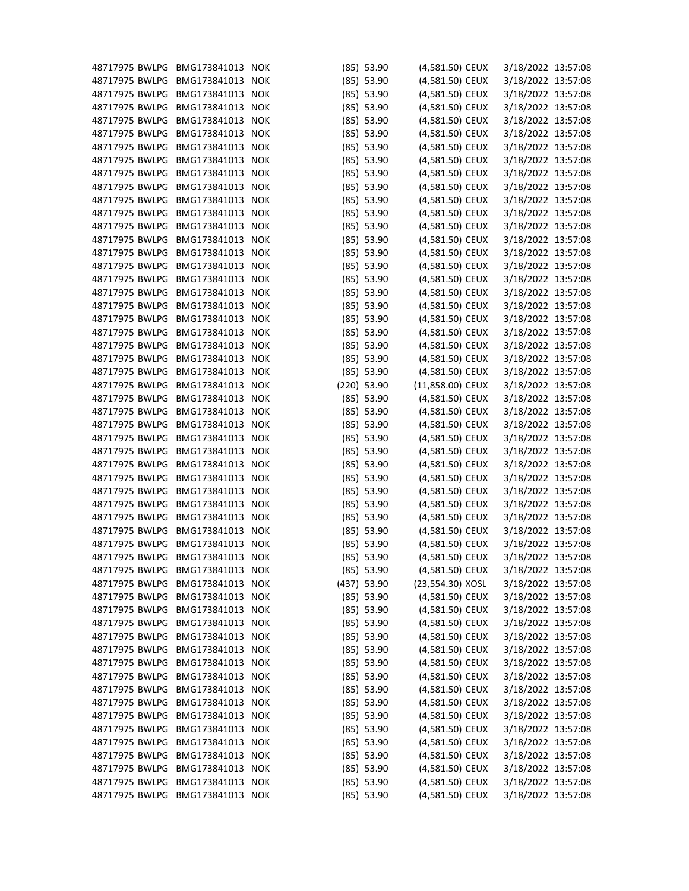| 48717975 BWLPG BMG173841013 |                  | <b>NOK</b> | $(85)$ 53.90  | (4,581.50) CEUX                    | 3/18/2022 13:57:08 |  |
|-----------------------------|------------------|------------|---------------|------------------------------------|--------------------|--|
| 48717975 BWLPG              | BMG173841013 NOK |            | $(85)$ 53.90  | (4,581.50) CEUX                    | 3/18/2022 13:57:08 |  |
| 48717975 BWLPG              | BMG173841013     | <b>NOK</b> | $(85)$ 53.90  | (4,581.50) CEUX                    | 3/18/2022 13:57:08 |  |
| 48717975 BWLPG              | BMG173841013 NOK |            | $(85)$ 53.90  | (4,581.50) CEUX                    | 3/18/2022 13:57:08 |  |
| 48717975 BWLPG              | BMG173841013 NOK |            | $(85)$ 53.90  | (4,581.50) CEUX                    | 3/18/2022 13:57:08 |  |
| 48717975 BWLPG              | BMG173841013     | <b>NOK</b> | $(85)$ 53.90  | (4,581.50) CEUX                    | 3/18/2022 13:57:08 |  |
| 48717975 BWLPG              | BMG173841013 NOK |            | $(85)$ 53.90  | (4,581.50) CEUX                    | 3/18/2022 13:57:08 |  |
| 48717975 BWLPG              | BMG173841013 NOK |            | $(85)$ 53.90  | (4,581.50) CEUX                    | 3/18/2022 13:57:08 |  |
| 48717975 BWLPG              | BMG173841013 NOK |            | $(85)$ 53.90  | (4,581.50) CEUX                    | 3/18/2022 13:57:08 |  |
| 48717975 BWLPG              | BMG173841013 NOK |            | $(85)$ 53.90  | (4,581.50) CEUX                    | 3/18/2022 13:57:08 |  |
| 48717975 BWLPG              | BMG173841013     | <b>NOK</b> | $(85)$ 53.90  | (4,581.50) CEUX                    | 3/18/2022 13:57:08 |  |
| 48717975 BWLPG              | BMG173841013 NOK |            | $(85)$ 53.90  | (4,581.50) CEUX                    | 3/18/2022 13:57:08 |  |
| 48717975 BWLPG              | BMG173841013 NOK |            | $(85)$ 53.90  | (4,581.50) CEUX                    | 3/18/2022 13:57:08 |  |
| 48717975 BWLPG              | BMG173841013 NOK |            | $(85)$ 53.90  | (4,581.50) CEUX                    | 3/18/2022 13:57:08 |  |
| 48717975 BWLPG              | BMG173841013 NOK |            | $(85)$ 53.90  | (4,581.50) CEUX                    | 3/18/2022 13:57:08 |  |
| 48717975 BWLPG              | BMG173841013 NOK |            | $(85)$ 53.90  | (4,581.50) CEUX                    | 3/18/2022 13:57:08 |  |
| 48717975 BWLPG              | BMG173841013     | <b>NOK</b> | $(85)$ 53.90  | (4,581.50) CEUX                    | 3/18/2022 13:57:08 |  |
| 48717975 BWLPG              | BMG173841013 NOK |            | $(85)$ 53.90  | (4,581.50) CEUX                    | 3/18/2022 13:57:08 |  |
| 48717975 BWLPG              | BMG173841013 NOK |            | $(85)$ 53.90  | (4,581.50) CEUX                    | 3/18/2022 13:57:08 |  |
| 48717975 BWLPG              | BMG173841013 NOK |            | $(85)$ 53.90  | (4,581.50) CEUX                    | 3/18/2022 13:57:08 |  |
| 48717975 BWLPG              | BMG173841013 NOK |            | $(85)$ 53.90  | (4,581.50) CEUX                    | 3/18/2022 13:57:08 |  |
| 48717975 BWLPG              | BMG173841013     | <b>NOK</b> | $(85)$ 53.90  | (4,581.50) CEUX                    | 3/18/2022 13:57:08 |  |
| 48717975 BWLPG              | BMG173841013 NOK |            | $(85)$ 53.90  | (4,581.50) CEUX                    | 3/18/2022 13:57:08 |  |
| 48717975 BWLPG              | BMG173841013 NOK |            | $(85)$ 53.90  | (4,581.50) CEUX                    | 3/18/2022 13:57:08 |  |
| 48717975 BWLPG              | BMG173841013     | <b>NOK</b> | $(220)$ 53.90 | (11,858.00) CEUX                   | 3/18/2022 13:57:08 |  |
| 48717975 BWLPG              | BMG173841013 NOK |            | $(85)$ 53.90  | (4,581.50) CEUX                    | 3/18/2022 13:57:08 |  |
| 48717975 BWLPG              | BMG173841013 NOK |            | $(85)$ 53.90  | (4,581.50) CEUX                    | 3/18/2022 13:57:08 |  |
| 48717975 BWLPG              | BMG173841013     | <b>NOK</b> | $(85)$ 53.90  | (4,581.50) CEUX                    | 3/18/2022 13:57:08 |  |
| 48717975 BWLPG              | BMG173841013 NOK |            | $(85)$ 53.90  | (4,581.50) CEUX                    | 3/18/2022 13:57:08 |  |
| 48717975 BWLPG              | BMG173841013 NOK |            | $(85)$ 53.90  | (4,581.50) CEUX                    | 3/18/2022 13:57:08 |  |
| 48717975 BWLPG              | BMG173841013 NOK |            | $(85)$ 53.90  | (4,581.50) CEUX                    | 3/18/2022 13:57:08 |  |
| 48717975 BWLPG              | BMG173841013 NOK |            | $(85)$ 53.90  | (4,581.50) CEUX                    | 3/18/2022 13:57:08 |  |
| 48717975 BWLPG              | BMG173841013 NOK |            |               |                                    |                    |  |
| 48717975 BWLPG              | BMG173841013     |            | $(85)$ 53.90  | (4,581.50) CEUX<br>(4,581.50) CEUX | 3/18/2022 13:57:08 |  |
|                             |                  | <b>NOK</b> | $(85)$ 53.90  |                                    | 3/18/2022 13:57:08 |  |
| 48717975 BWLPG              | BMG173841013 NOK |            | $(85)$ 53.90  | (4,581.50) CEUX                    | 3/18/2022 13:57:08 |  |
| 48717975 BWLPG              | BMG173841013     | <b>NOK</b> | $(85)$ 53.90  | (4,581.50) CEUX                    | 3/18/2022 13:57:08 |  |
| 48717975 BWLPG              | BMG173841013 NOK |            | $(85)$ 53.90  | (4,581.50) CEUX                    | 3/18/2022 13:57:08 |  |
| 48717975 BWLPG              | BMG173841013 NOK |            | $(85)$ 53.90  | (4,581.50) CEUX                    | 3/18/2022 13:57:08 |  |
| 48717975 BWLPG              | BMG173841013     | <b>NOK</b> | $(85)$ 53.90  | (4,581.50) CEUX                    | 3/18/2022 13:57:08 |  |
| 48717975 BWLPG              | BMG173841013 NOK |            | $(437)$ 53.90 | (23,554.30) XOSL                   | 3/18/2022 13:57:08 |  |
| 48717975 BWLPG              | BMG173841013 NOK |            | $(85)$ 53.90  | (4,581.50) CEUX                    | 3/18/2022 13:57:08 |  |
| 48717975 BWLPG              | BMG173841013     | <b>NOK</b> | $(85)$ 53.90  | (4,581.50) CEUX                    | 3/18/2022 13:57:08 |  |
| 48717975 BWLPG              | BMG173841013 NOK |            | $(85)$ 53.90  | (4,581.50) CEUX                    | 3/18/2022 13:57:08 |  |
| 48717975 BWLPG              | BMG173841013 NOK |            | $(85)$ 53.90  | (4,581.50) CEUX                    | 3/18/2022 13:57:08 |  |
| 48717975 BWLPG              | BMG173841013 NOK |            | $(85)$ 53.90  | (4,581.50) CEUX                    | 3/18/2022 13:57:08 |  |
| 48717975 BWLPG              | BMG173841013 NOK |            | $(85)$ 53.90  | (4,581.50) CEUX                    | 3/18/2022 13:57:08 |  |
| 48717975 BWLPG              | BMG173841013 NOK |            | $(85)$ 53.90  | (4,581.50) CEUX                    | 3/18/2022 13:57:08 |  |
| 48717975 BWLPG              | BMG173841013 NOK |            | $(85)$ 53.90  | (4,581.50) CEUX                    | 3/18/2022 13:57:08 |  |
| 48717975 BWLPG              | BMG173841013 NOK |            | $(85)$ 53.90  | (4,581.50) CEUX                    | 3/18/2022 13:57:08 |  |
| 48717975 BWLPG              | BMG173841013     | <b>NOK</b> | $(85)$ 53.90  | (4,581.50) CEUX                    | 3/18/2022 13:57:08 |  |
| 48717975 BWLPG              | BMG173841013 NOK |            | $(85)$ 53.90  | (4,581.50) CEUX                    | 3/18/2022 13:57:08 |  |
| 48717975 BWLPG              | BMG173841013 NOK |            | $(85)$ 53.90  | (4,581.50) CEUX                    | 3/18/2022 13:57:08 |  |
| 48717975 BWLPG              | BMG173841013     | <b>NOK</b> | $(85)$ 53.90  | (4,581.50) CEUX                    | 3/18/2022 13:57:08 |  |
| 48717975 BWLPG              | BMG173841013 NOK |            | $(85)$ 53.90  | (4,581.50) CEUX                    | 3/18/2022 13:57:08 |  |
| 48717975 BWLPG              | BMG173841013 NOK |            | $(85)$ 53.90  | (4,581.50) CEUX                    | 3/18/2022 13:57:08 |  |
| 48717975 BWLPG              | BMG173841013 NOK |            | $(85)$ 53.90  | (4,581.50) CEUX                    | 3/18/2022 13:57:08 |  |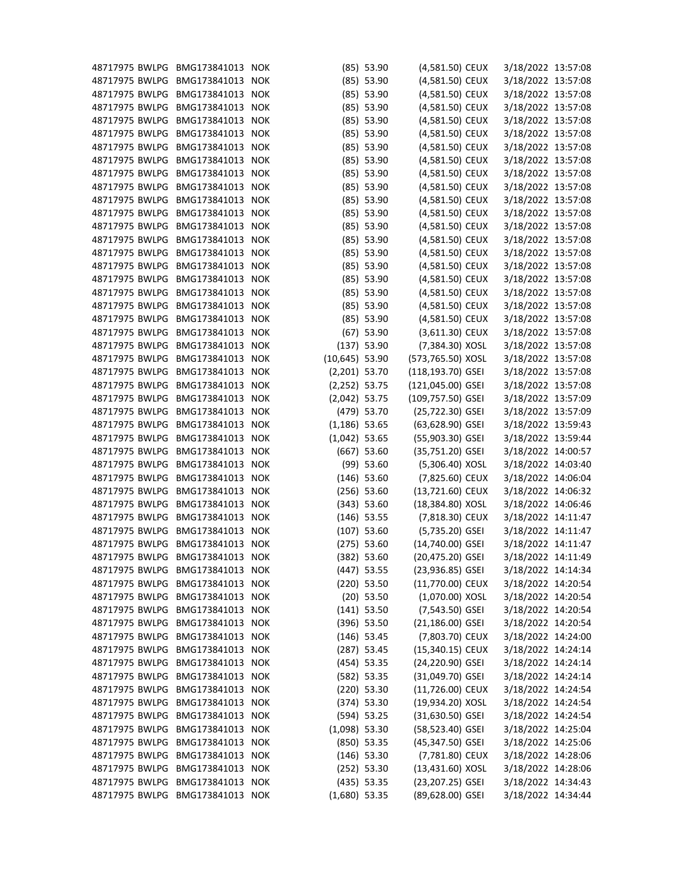| 48717975 BWLPG BMG173841013 |                  | <b>NOK</b> |                  | $(85)$ 53.90  | (4,581.50) CEUX    | 3/18/2022 13:57:08 |  |
|-----------------------------|------------------|------------|------------------|---------------|--------------------|--------------------|--|
| 48717975 BWLPG              | BMG173841013     | <b>NOK</b> |                  | $(85)$ 53.90  | (4,581.50) CEUX    | 3/18/2022 13:57:08 |  |
| 48717975 BWLPG              | BMG173841013     | <b>NOK</b> |                  | $(85)$ 53.90  | (4,581.50) CEUX    | 3/18/2022 13:57:08 |  |
| 48717975 BWLPG              | BMG173841013 NOK |            |                  | $(85)$ 53.90  | (4,581.50) CEUX    | 3/18/2022 13:57:08 |  |
| 48717975 BWLPG              | BMG173841013     | <b>NOK</b> |                  | $(85)$ 53.90  | (4,581.50) CEUX    | 3/18/2022 13:57:08 |  |
| 48717975 BWLPG              | BMG173841013     | <b>NOK</b> |                  | $(85)$ 53.90  | (4,581.50) CEUX    | 3/18/2022 13:57:08 |  |
| 48717975 BWLPG              | BMG173841013 NOK |            |                  | $(85)$ 53.90  | (4,581.50) CEUX    | 3/18/2022 13:57:08 |  |
| 48717975 BWLPG              | BMG173841013     | <b>NOK</b> |                  | $(85)$ 53.90  | (4,581.50) CEUX    | 3/18/2022 13:57:08 |  |
| 48717975 BWLPG              | BMG173841013     | <b>NOK</b> |                  | $(85)$ 53.90  | (4,581.50) CEUX    | 3/18/2022 13:57:08 |  |
| 48717975 BWLPG              | BMG173841013 NOK |            |                  | $(85)$ 53.90  | (4,581.50) CEUX    | 3/18/2022 13:57:08 |  |
| 48717975 BWLPG              | BMG173841013     | <b>NOK</b> |                  | $(85)$ 53.90  | (4,581.50) CEUX    | 3/18/2022 13:57:08 |  |
| 48717975 BWLPG              | BMG173841013     | <b>NOK</b> |                  | $(85)$ 53.90  | (4,581.50) CEUX    | 3/18/2022 13:57:08 |  |
| 48717975 BWLPG              | BMG173841013 NOK |            |                  | $(85)$ 53.90  | (4,581.50) CEUX    | 3/18/2022 13:57:08 |  |
| 48717975 BWLPG              | BMG173841013     | <b>NOK</b> |                  | $(85)$ 53.90  | (4,581.50) CEUX    | 3/18/2022 13:57:08 |  |
| 48717975 BWLPG              | BMG173841013 NOK |            |                  | $(85)$ 53.90  | (4,581.50) CEUX    | 3/18/2022 13:57:08 |  |
| 48717975 BWLPG              | BMG173841013     | <b>NOK</b> |                  | $(85)$ 53.90  | (4,581.50) CEUX    | 3/18/2022 13:57:08 |  |
| 48717975 BWLPG              | BMG173841013     | <b>NOK</b> |                  | $(85)$ 53.90  | (4,581.50) CEUX    | 3/18/2022 13:57:08 |  |
| 48717975 BWLPG              | BMG173841013 NOK |            |                  | $(85)$ 53.90  | (4,581.50) CEUX    | 3/18/2022 13:57:08 |  |
| 48717975 BWLPG              | BMG173841013     | <b>NOK</b> |                  |               | (4,581.50) CEUX    | 3/18/2022 13:57:08 |  |
|                             |                  |            |                  | $(85)$ 53.90  |                    |                    |  |
| 48717975 BWLPG              | BMG173841013     | <b>NOK</b> |                  | $(85)$ 53.90  | (4,581.50) CEUX    | 3/18/2022 13:57:08 |  |
| 48717975 BWLPG              | BMG173841013 NOK |            |                  | $(67)$ 53.90  | (3,611.30) CEUX    | 3/18/2022 13:57:08 |  |
| 48717975 BWLPG              | BMG173841013     | <b>NOK</b> |                  | $(137)$ 53.90 | (7,384.30) XOSL    | 3/18/2022 13:57:08 |  |
| 48717975 BWLPG              | BMG173841013     | <b>NOK</b> | $(10,645)$ 53.90 |               | (573,765.50) XOSL  | 3/18/2022 13:57:08 |  |
| 48717975 BWLPG              | BMG173841013     | <b>NOK</b> | $(2,201)$ 53.70  |               | (118,193.70) GSEI  | 3/18/2022 13:57:08 |  |
| 48717975 BWLPG              | BMG173841013     | <b>NOK</b> | $(2,252)$ 53.75  |               | (121,045.00) GSEI  | 3/18/2022 13:57:08 |  |
| 48717975 BWLPG              | BMG173841013     | <b>NOK</b> | $(2,042)$ 53.75  |               | (109,757.50) GSEI  | 3/18/2022 13:57:09 |  |
| 48717975 BWLPG              | BMG173841013     | <b>NOK</b> |                  | (479) 53.70   | (25,722.30) GSEI   | 3/18/2022 13:57:09 |  |
| 48717975 BWLPG              | BMG173841013     | <b>NOK</b> | $(1, 186)$ 53.65 |               | (63,628.90) GSEI   | 3/18/2022 13:59:43 |  |
| 48717975 BWLPG              | BMG173841013 NOK |            | $(1,042)$ 53.65  |               | (55,903.30) GSEI   | 3/18/2022 13:59:44 |  |
| 48717975 BWLPG              | BMG173841013     | <b>NOK</b> |                  | $(667)$ 53.60 | (35,751.20) GSEI   | 3/18/2022 14:00:57 |  |
| 48717975 BWLPG              | BMG173841013     | <b>NOK</b> |                  | $(99)$ 53.60  | (5,306.40) XOSL    | 3/18/2022 14:03:40 |  |
| 48717975 BWLPG              | BMG173841013 NOK |            |                  | $(146)$ 53.60 | (7,825.60) CEUX    | 3/18/2022 14:06:04 |  |
| 48717975 BWLPG              | BMG173841013 NOK |            |                  | $(256)$ 53.60 | (13,721.60) CEUX   | 3/18/2022 14:06:32 |  |
| 48717975 BWLPG              | BMG173841013     | <b>NOK</b> |                  | (343) 53.60   | (18,384.80) XOSL   | 3/18/2022 14:06:46 |  |
| 48717975 BWLPG              | BMG173841013 NOK |            |                  | $(146)$ 53.55 | (7,818.30) CEUX    | 3/18/2022 14:11:47 |  |
| 48717975 BWLPG              | BMG173841013     | <b>NOK</b> |                  | $(107)$ 53.60 | $(5,735.20)$ GSEI  | 3/18/2022 14:11:47 |  |
| 48717975 BWLPG              | BMG173841013     | <b>NOK</b> |                  | $(275)$ 53.60 | (14,740.00) GSEI   | 3/18/2022 14:11:47 |  |
| 48717975 BWLPG              | BMG173841013 NOK |            |                  | $(382)$ 53.60 | (20,475.20) GSEI   | 3/18/2022 14:11:49 |  |
| 48717975 BWLPG              | BMG173841013     | <b>NOK</b> |                  | $(447)$ 53.55 | (23,936.85) GSEI   | 3/18/2022 14:14:34 |  |
| 48717975 BWLPG              | BMG173841013 NOK |            |                  | $(220)$ 53.50 | (11,770.00) CEUX   | 3/18/2022 14:20:54 |  |
| 48717975 BWLPG              | BMG173841013     | <b>NOK</b> |                  | $(20)$ 53.50  | (1,070.00) XOSL    | 3/18/2022 14:20:54 |  |
| 48717975 BWLPG              | BMG173841013     | <b>NOK</b> |                  | $(141)$ 53.50 | $(7,543.50)$ GSEI  | 3/18/2022 14:20:54 |  |
| 48717975 BWLPG              | BMG173841013 NOK |            |                  | $(396)$ 53.50 | (21,186.00) GSEI   | 3/18/2022 14:20:54 |  |
| 48717975 BWLPG              | BMG173841013     | <b>NOK</b> |                  | $(146)$ 53.45 | (7,803.70) CEUX    | 3/18/2022 14:24:00 |  |
| 48717975 BWLPG              | BMG173841013     | <b>NOK</b> |                  | $(287)$ 53.45 | (15,340.15) CEUX   | 3/18/2022 14:24:14 |  |
| 48717975 BWLPG              | BMG173841013 NOK |            |                  | $(454)$ 53.35 | (24,220.90) GSEI   | 3/18/2022 14:24:14 |  |
| 48717975 BWLPG              | BMG173841013     | <b>NOK</b> |                  | $(582)$ 53.35 | (31,049.70) GSEI   | 3/18/2022 14:24:14 |  |
| 48717975 BWLPG              | BMG173841013 NOK |            |                  | $(220)$ 53.30 | (11,726.00) CEUX   | 3/18/2022 14:24:54 |  |
| 48717975 BWLPG              | BMG173841013 NOK |            |                  | $(374)$ 53.30 | (19,934.20) XOSL   | 3/18/2022 14:24:54 |  |
| 48717975 BWLPG              | BMG173841013     | <b>NOK</b> |                  | $(594)$ 53.25 | $(31,630.50)$ GSEI | 3/18/2022 14:24:54 |  |
| 48717975 BWLPG              | BMG173841013 NOK |            | $(1,098)$ 53.30  |               | (58,523.40) GSEI   | 3/18/2022 14:25:04 |  |
| 48717975 BWLPG              | BMG173841013     | <b>NOK</b> |                  | $(850)$ 53.35 | (45,347.50) GSEI   | 3/18/2022 14:25:06 |  |
| 48717975 BWLPG              | BMG173841013     | <b>NOK</b> |                  | $(146)$ 53.30 | (7,781.80) CEUX    | 3/18/2022 14:28:06 |  |
| 48717975 BWLPG              | BMG173841013 NOK |            |                  | $(252)$ 53.30 | (13,431.60) XOSL   | 3/18/2022 14:28:06 |  |
| 48717975 BWLPG              | BMG173841013     | <b>NOK</b> |                  | $(435)$ 53.35 | (23,207.25) GSEI   | 3/18/2022 14:34:43 |  |
| 48717975 BWLPG              | BMG173841013 NOK |            | $(1,680)$ 53.35  |               | (89,628.00) GSEI   | 3/18/2022 14:34:44 |  |
|                             |                  |            |                  |               |                    |                    |  |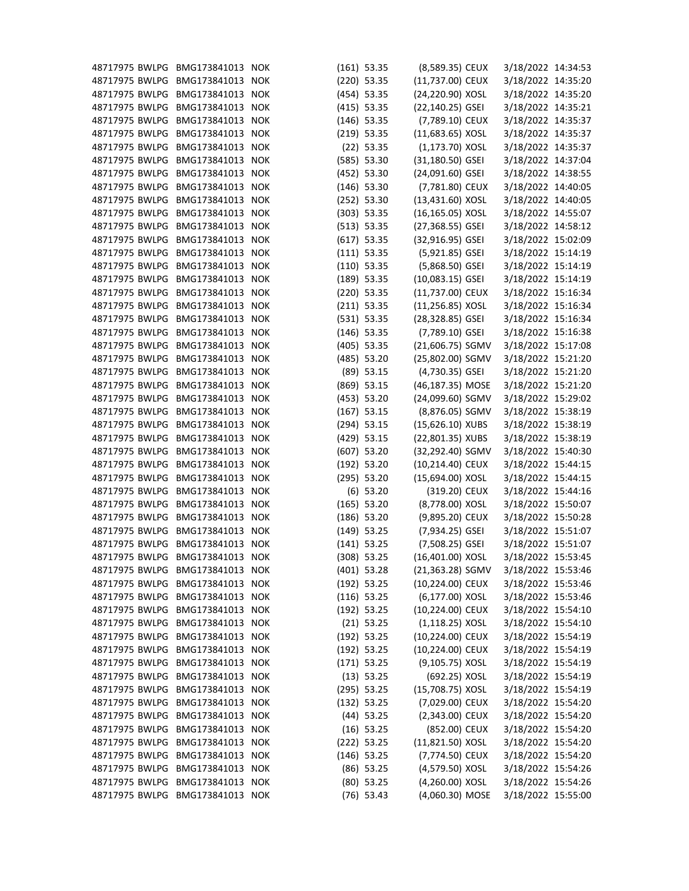| 48717975 BWLPG                   | BMG173841013 NOK                     |            | $(161)$ 53.35 | (8,589.35) CEUX                      | 3/18/2022 14:34:53 |  |
|----------------------------------|--------------------------------------|------------|---------------|--------------------------------------|--------------------|--|
| 48717975 BWLPG                   | BMG173841013 NOK                     |            | $(220)$ 53.35 | (11,737.00) CEUX                     | 3/18/2022 14:35:20 |  |
| 48717975 BWLPG                   | BMG173841013                         | <b>NOK</b> | $(454)$ 53.35 | (24,220.90) XOSL                     | 3/18/2022 14:35:20 |  |
| 48717975 BWLPG                   | BMG173841013 NOK                     |            | $(415)$ 53.35 | (22,140.25) GSEI                     | 3/18/2022 14:35:21 |  |
| 48717975 BWLPG                   | BMG173841013 NOK                     |            | $(146)$ 53.35 | (7,789.10) CEUX                      | 3/18/2022 14:35:37 |  |
| 48717975 BWLPG                   | BMG173841013 NOK                     |            | $(219)$ 53.35 | $(11,683.65)$ XOSL                   | 3/18/2022 14:35:37 |  |
| 48717975 BWLPG                   | BMG173841013 NOK                     |            | $(22)$ 53.35  | $(1, 173.70)$ XOSL                   | 3/18/2022 14:35:37 |  |
| 48717975 BWLPG                   | BMG173841013 NOK                     |            | $(585)$ 53.30 | $(31, 180.50)$ GSEI                  | 3/18/2022 14:37:04 |  |
| 48717975 BWLPG                   | BMG173841013 NOK                     |            | $(452)$ 53.30 | (24,091.60) GSEI                     | 3/18/2022 14:38:55 |  |
| 48717975 BWLPG                   | BMG173841013 NOK                     |            | $(146)$ 53.30 | (7,781.80) CEUX                      | 3/18/2022 14:40:05 |  |
| 48717975 BWLPG                   | BMG173841013                         | <b>NOK</b> | $(252)$ 53.30 | (13,431.60) XOSL                     | 3/18/2022 14:40:05 |  |
| 48717975 BWLPG                   | BMG173841013 NOK                     |            | $(303)$ 53.35 | $(16, 165.05)$ XOSL                  | 3/18/2022 14:55:07 |  |
| 48717975 BWLPG                   | BMG173841013 NOK                     |            | (513) 53.35   | (27,368.55) GSEI                     | 3/18/2022 14:58:12 |  |
| 48717975 BWLPG                   | BMG173841013                         | <b>NOK</b> | $(617)$ 53.35 | (32,916.95) GSEI                     | 3/18/2022 15:02:09 |  |
| 48717975 BWLPG                   | BMG173841013 NOK                     |            | $(111)$ 53.35 | (5,921.85) GSEI                      | 3/18/2022 15:14:19 |  |
| 48717975 BWLPG                   | BMG173841013 NOK                     |            | $(110)$ 53.35 | $(5,868.50)$ GSEI                    | 3/18/2022 15:14:19 |  |
| 48717975 BWLPG                   | BMG173841013 NOK                     |            | $(189)$ 53.35 | $(10,083.15)$ GSEI                   | 3/18/2022 15:14:19 |  |
| 48717975 BWLPG                   | BMG173841013 NOK                     |            | $(220)$ 53.35 | (11,737.00) CEUX                     | 3/18/2022 15:16:34 |  |
| 48717975 BWLPG                   | BMG173841013 NOK                     |            | $(211)$ 53.35 | (11,256.85) XOSL                     | 3/18/2022 15:16:34 |  |
| 48717975 BWLPG                   | BMG173841013 NOK                     |            | $(531)$ 53.35 | (28,328.85) GSEI                     | 3/18/2022 15:16:34 |  |
| 48717975 BWLPG                   | BMG173841013 NOK                     |            | $(146)$ 53.35 | (7,789.10) GSEI                      | 3/18/2022 15:16:38 |  |
| 48717975 BWLPG                   | BMG173841013                         | <b>NOK</b> | $(405)$ 53.35 | (21,606.75) SGMV                     | 3/18/2022 15:17:08 |  |
| 48717975 BWLPG                   | BMG173841013 NOK                     |            | $(485)$ 53.20 | (25,802.00) SGMV                     | 3/18/2022 15:21:20 |  |
| 48717975 BWLPG                   | BMG173841013 NOK                     |            | $(89)$ 53.15  | (4,730.35) GSEI                      | 3/18/2022 15:21:20 |  |
| 48717975 BWLPG                   | BMG173841013                         | <b>NOK</b> | $(869)$ 53.15 | (46,187.35) MOSE                     | 3/18/2022 15:21:20 |  |
| 48717975 BWLPG                   | BMG173841013 NOK                     |            | (453) 53.20   | (24,099.60) SGMV                     | 3/18/2022 15:29:02 |  |
| 48717975 BWLPG                   | BMG173841013                         | <b>NOK</b> | $(167)$ 53.15 | (8,876.05) SGMV                      | 3/18/2022 15:38:19 |  |
| 48717975 BWLPG                   | BMG173841013 NOK                     |            | $(294)$ 53.15 | $(15,626.10)$ XUBS                   | 3/18/2022 15:38:19 |  |
| 48717975 BWLPG                   | BMG173841013 NOK                     |            | $(429)$ 53.15 | (22,801.35) XUBS                     | 3/18/2022 15:38:19 |  |
| 48717975 BWLPG                   | BMG173841013                         | <b>NOK</b> | $(607)$ 53.20 | (32,292.40) SGMV                     | 3/18/2022 15:40:30 |  |
| 48717975 BWLPG                   | BMG173841013 NOK                     |            | $(192)$ 53.20 | (10,214.40) CEUX                     | 3/18/2022 15:44:15 |  |
| 48717975 BWLPG BMG173841013 NOK  |                                      |            | $(295)$ 53.20 | (15,694.00) XOSL                     | 3/18/2022 15:44:15 |  |
| 48717975 BWLPG                   | BMG173841013 NOK                     |            | $(6)$ 53.20   | (319.20) CEUX                        | 3/18/2022 15:44:16 |  |
| 48717975 BWLPG                   | BMG173841013 NOK                     |            | $(165)$ 53.20 | (8,778.00) XOSL                      | 3/18/2022 15:50:07 |  |
| 48717975 BWLPG                   | BMG173841013 NOK                     |            | $(186)$ 53.20 | (9,895.20) CEUX                      | 3/18/2022 15:50:28 |  |
| 48717975 BWLPG                   | BMG173841013 NOK                     |            | $(149)$ 53.25 | $(7,934.25)$ GSEI                    | 3/18/2022 15:51:07 |  |
| 48717975 BWLPG                   | BMG173841013 NOK                     |            | $(141)$ 53.25 | $(7,508.25)$ GSEI                    | 3/18/2022 15:51:07 |  |
| 48717975 BWLPG                   | BMG173841013 NOK                     |            |               | (16,401.00) XOSL                     |                    |  |
|                                  |                                      |            | $(308)$ 53.25 |                                      | 3/18/2022 15:53:45 |  |
| 48717975 BWLPG                   | BMG173841013 NOK<br>BMG173841013 NOK |            | $(401)$ 53.28 | (21,363.28) SGMV<br>(10,224.00) CEUX | 3/18/2022 15:53:46 |  |
| 48717975 BWLPG<br>48717975 BWLPG | BMG173841013 NOK                     |            | $(192)$ 53.25 | (6,177.00) XOSL                      | 3/18/2022 15:53:46 |  |
| 48717975 BWLPG                   |                                      |            | $(116)$ 53.25 |                                      | 3/18/2022 15:53:46 |  |
| 48717975 BWLPG                   | BMG173841013 NOK                     |            | $(192)$ 53.25 | (10,224.00) CEUX                     | 3/18/2022 15:54:10 |  |
|                                  | BMG173841013 NOK                     |            | $(21)$ 53.25  | $(1, 118.25)$ XOSL                   | 3/18/2022 15:54:10 |  |
| 48717975 BWLPG                   | BMG173841013 NOK                     |            | $(192)$ 53.25 | (10,224.00) CEUX                     | 3/18/2022 15:54:19 |  |
| 48717975 BWLPG                   | BMG173841013 NOK                     |            | $(192)$ 53.25 | (10,224.00) CEUX                     | 3/18/2022 15:54:19 |  |
| 48717975 BWLPG                   | BMG173841013 NOK                     |            | $(171)$ 53.25 | $(9,105.75)$ XOSL                    | 3/18/2022 15:54:19 |  |
| 48717975 BWLPG                   | BMG173841013 NOK                     |            | $(13)$ 53.25  | (692.25) XOSL                        | 3/18/2022 15:54:19 |  |
| 48717975 BWLPG                   | BMG173841013 NOK                     |            | $(295)$ 53.25 | (15,708.75) XOSL                     | 3/18/2022 15:54:19 |  |
| 48717975 BWLPG                   | BMG173841013 NOK                     |            | $(132)$ 53.25 | (7,029.00) CEUX                      | 3/18/2022 15:54:20 |  |
| 48717975 BWLPG                   | BMG173841013 NOK                     |            | $(44)$ 53.25  | (2,343.00) CEUX                      | 3/18/2022 15:54:20 |  |
| 48717975 BWLPG                   | BMG173841013 NOK                     |            | $(16)$ 53.25  | (852.00) CEUX                        | 3/18/2022 15:54:20 |  |
| 48717975 BWLPG                   | BMG173841013 NOK                     |            | $(222)$ 53.25 | $(11,821.50)$ XOSL                   | 3/18/2022 15:54:20 |  |
| 48717975 BWLPG                   | BMG173841013 NOK                     |            | $(146)$ 53.25 | (7,774.50) CEUX                      | 3/18/2022 15:54:20 |  |
| 48717975 BWLPG                   | BMG173841013 NOK                     |            | $(86)$ 53.25  | (4,579.50) XOSL                      | 3/18/2022 15:54:26 |  |
| 48717975 BWLPG                   | BMG173841013 NOK                     |            | $(80)$ 53.25  | (4,260.00) XOSL                      | 3/18/2022 15:54:26 |  |
| 48717975 BWLPG                   | BMG173841013 NOK                     |            | $(76)$ 53.43  | (4,060.30) MOSE                      | 3/18/2022 15:55:00 |  |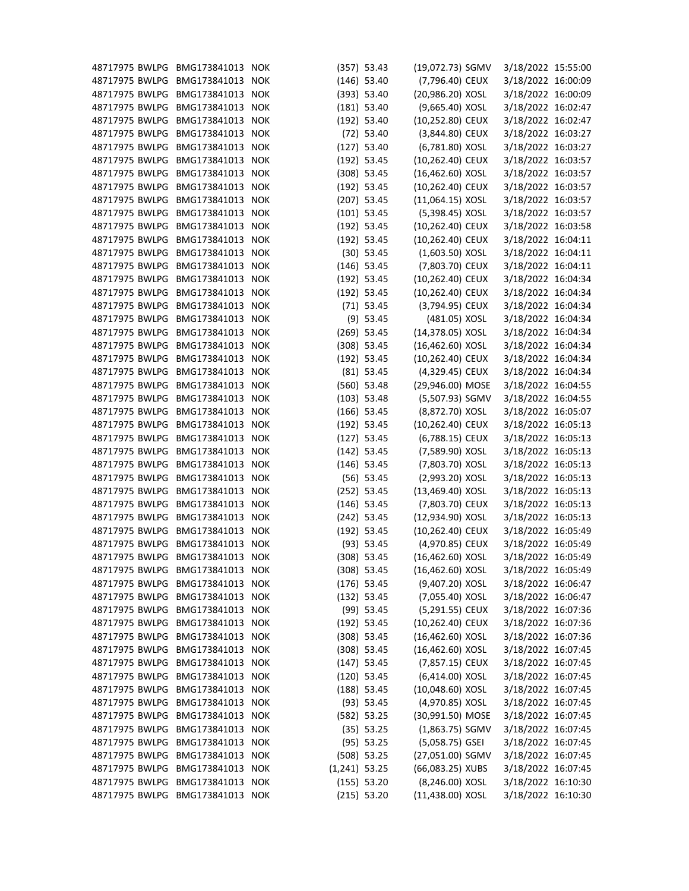| 48717975 BWLPG                  | BMG173841013     | <b>NOK</b> |                 | (357) 53.43   | (19,072.73) SGMV   | 3/18/2022 15:55:00 |  |
|---------------------------------|------------------|------------|-----------------|---------------|--------------------|--------------------|--|
| 48717975 BWLPG                  | BMG173841013     | <b>NOK</b> |                 | $(146)$ 53.40 | (7,796.40) CEUX    | 3/18/2022 16:00:09 |  |
| 48717975 BWLPG                  | BMG173841013     | <b>NOK</b> |                 | (393) 53.40   | (20,986.20) XOSL   | 3/18/2022 16:00:09 |  |
| 48717975 BWLPG                  | BMG173841013 NOK |            |                 | $(181)$ 53.40 | (9,665.40) XOSL    | 3/18/2022 16:02:47 |  |
| 48717975 BWLPG                  | BMG173841013 NOK |            |                 | $(192)$ 53.40 | (10,252.80) CEUX   | 3/18/2022 16:02:47 |  |
| 48717975 BWLPG                  | BMG173841013 NOK |            |                 | $(72)$ 53.40  | (3,844.80) CEUX    | 3/18/2022 16:03:27 |  |
| 48717975 BWLPG                  | BMG173841013 NOK |            |                 | $(127)$ 53.40 | (6,781.80) XOSL    | 3/18/2022 16:03:27 |  |
| 48717975 BWLPG                  | BMG173841013 NOK |            |                 | $(192)$ 53.45 | (10,262.40) CEUX   | 3/18/2022 16:03:57 |  |
| 48717975 BWLPG                  | BMG173841013 NOK |            |                 | $(308)$ 53.45 | $(16,462.60)$ XOSL | 3/18/2022 16:03:57 |  |
| 48717975 BWLPG                  | BMG173841013 NOK |            |                 | $(192)$ 53.45 | (10,262.40) CEUX   | 3/18/2022 16:03:57 |  |
| 48717975 BWLPG                  | BMG173841013     | <b>NOK</b> |                 | $(207)$ 53.45 | $(11,064.15)$ XOSL | 3/18/2022 16:03:57 |  |
| 48717975 BWLPG                  | BMG173841013 NOK |            |                 | $(101)$ 53.45 | (5,398.45) XOSL    | 3/18/2022 16:03:57 |  |
| 48717975 BWLPG                  | BMG173841013 NOK |            |                 | $(192)$ 53.45 | (10,262.40) CEUX   | 3/18/2022 16:03:58 |  |
| 48717975 BWLPG                  | BMG173841013     | <b>NOK</b> |                 | $(192)$ 53.45 | (10,262.40) CEUX   | 3/18/2022 16:04:11 |  |
| 48717975 BWLPG                  | BMG173841013 NOK |            |                 | $(30)$ 53.45  | $(1,603.50)$ XOSL  | 3/18/2022 16:04:11 |  |
| 48717975 BWLPG                  | BMG173841013 NOK |            |                 | $(146)$ 53.45 | (7,803.70) CEUX    | 3/18/2022 16:04:11 |  |
| 48717975 BWLPG                  | BMG173841013     | <b>NOK</b> |                 | $(192)$ 53.45 | (10,262.40) CEUX   | 3/18/2022 16:04:34 |  |
| 48717975 BWLPG                  | BMG173841013 NOK |            |                 | $(192)$ 53.45 | (10,262.40) CEUX   | 3/18/2022 16:04:34 |  |
| 48717975 BWLPG                  | BMG173841013 NOK |            |                 | $(71)$ 53.45  | (3,794.95) CEUX    | 3/18/2022 16:04:34 |  |
| 48717975 BWLPG                  | BMG173841013 NOK |            |                 | $(9)$ 53.45   | (481.05) XOSL      | 3/18/2022 16:04:34 |  |
| 48717975 BWLPG                  | BMG173841013 NOK |            |                 | $(269)$ 53.45 | (14,378.05) XOSL   | 3/18/2022 16:04:34 |  |
| 48717975 BWLPG                  | BMG173841013     | <b>NOK</b> |                 | $(308)$ 53.45 | $(16,462.60)$ XOSL | 3/18/2022 16:04:34 |  |
| 48717975 BWLPG                  | BMG173841013 NOK |            |                 | $(192)$ 53.45 | (10,262.40) CEUX   | 3/18/2022 16:04:34 |  |
| 48717975 BWLPG                  | BMG173841013 NOK |            |                 | $(81)$ 53.45  | (4,329.45) CEUX    | 3/18/2022 16:04:34 |  |
| 48717975 BWLPG                  | BMG173841013     | <b>NOK</b> |                 | $(560)$ 53.48 | (29,946.00) MOSE   | 3/18/2022 16:04:55 |  |
| 48717975 BWLPG                  | BMG173841013 NOK |            |                 | $(103)$ 53.48 | (5,507.93) SGMV    | 3/18/2022 16:04:55 |  |
| 48717975 BWLPG                  | BMG173841013     | <b>NOK</b> |                 | $(166)$ 53.45 | (8,872.70) XOSL    | 3/18/2022 16:05:07 |  |
| 48717975 BWLPG                  | BMG173841013     | <b>NOK</b> |                 | $(192)$ 53.45 | (10,262.40) CEUX   | 3/18/2022 16:05:13 |  |
| 48717975 BWLPG                  | BMG173841013 NOK |            |                 | $(127)$ 53.45 | (6,788.15) CEUX    | 3/18/2022 16:05:13 |  |
| 48717975 BWLPG                  | BMG173841013     | <b>NOK</b> |                 | $(142)$ 53.45 | (7,589.90) XOSL    | 3/18/2022 16:05:13 |  |
| 48717975 BWLPG                  | BMG173841013 NOK |            |                 | $(146)$ 53.45 | (7,803.70) XOSL    | 3/18/2022 16:05:13 |  |
| 48717975 BWLPG BMG173841013 NOK |                  |            |                 | $(56)$ 53.45  | (2,993.20) XOSL    | 3/18/2022 16:05:13 |  |
| 48717975 BWLPG                  | BMG173841013 NOK |            |                 | $(252)$ 53.45 | $(13,469.40)$ XOSL | 3/18/2022 16:05:13 |  |
| 48717975 BWLPG                  | BMG173841013 NOK |            |                 | $(146)$ 53.45 | (7,803.70) CEUX    | 3/18/2022 16:05:13 |  |
| 48717975 BWLPG                  | BMG173841013 NOK |            |                 | $(242)$ 53.45 | (12,934.90) XOSL   | 3/18/2022 16:05:13 |  |
| 48717975 BWLPG                  | BMG173841013 NOK |            |                 | $(192)$ 53.45 | (10,262.40) CEUX   | 3/18/2022 16:05:49 |  |
| 48717975 BWLPG                  | BMG173841013 NOK |            |                 | $(93)$ 53.45  | (4,970.85) CEUX    | 3/18/2022 16:05:49 |  |
| 48717975 BWLPG                  | BMG173841013 NOK |            |                 | $(308)$ 53.45 | $(16,462.60)$ XOSL | 3/18/2022 16:05:49 |  |
| 48717975 BWLPG                  | BMG173841013 NOK |            |                 | $(308)$ 53.45 | $(16,462.60)$ XOSL | 3/18/2022 16:05:49 |  |
| 48717975 BWLPG                  | BMG173841013 NOK |            |                 | $(176)$ 53.45 | (9,407.20) XOSL    | 3/18/2022 16:06:47 |  |
| 48717975 BWLPG                  | BMG173841013 NOK |            |                 | $(132)$ 53.45 | (7,055.40) XOSL    | 3/18/2022 16:06:47 |  |
| 48717975 BWLPG                  | BMG173841013 NOK |            |                 | $(99)$ 53.45  | (5,291.55) CEUX    | 3/18/2022 16:07:36 |  |
| 48717975 BWLPG                  | BMG173841013 NOK |            |                 | $(192)$ 53.45 | (10,262.40) CEUX   | 3/18/2022 16:07:36 |  |
| 48717975 BWLPG                  | BMG173841013 NOK |            |                 | $(308)$ 53.45 | $(16,462.60)$ XOSL | 3/18/2022 16:07:36 |  |
| 48717975 BWLPG                  | BMG173841013 NOK |            |                 | $(308)$ 53.45 | $(16,462.60)$ XOSL | 3/18/2022 16:07:45 |  |
| 48717975 BWLPG                  | BMG173841013 NOK |            |                 | $(147)$ 53.45 | (7,857.15) CEUX    | 3/18/2022 16:07:45 |  |
| 48717975 BWLPG                  | BMG173841013 NOK |            |                 | $(120)$ 53.45 | (6,414.00) XOSL    | 3/18/2022 16:07:45 |  |
| 48717975 BWLPG                  | BMG173841013 NOK |            |                 | $(188)$ 53.45 | (10,048.60) XOSL   | 3/18/2022 16:07:45 |  |
| 48717975 BWLPG                  | BMG173841013 NOK |            |                 | $(93)$ 53.45  | (4,970.85) XOSL    | 3/18/2022 16:07:45 |  |
| 48717975 BWLPG                  | BMG173841013 NOK |            |                 | $(582)$ 53.25 | (30,991.50) MOSE   | 3/18/2022 16:07:45 |  |
| 48717975 BWLPG                  | BMG173841013 NOK |            |                 | (35) 53.25    | $(1,863.75)$ SGMV  | 3/18/2022 16:07:45 |  |
| 48717975 BWLPG                  | BMG173841013 NOK |            |                 | $(95)$ 53.25  | $(5,058.75)$ GSEI  | 3/18/2022 16:07:45 |  |
| 48717975 BWLPG                  | BMG173841013 NOK |            |                 | $(508)$ 53.25 | (27,051.00) SGMV   | 3/18/2022 16:07:45 |  |
| 48717975 BWLPG                  | BMG173841013 NOK |            | $(1,241)$ 53.25 |               | (66,083.25) XUBS   | 3/18/2022 16:07:45 |  |
| 48717975 BWLPG                  | BMG173841013 NOK |            |                 | (155) 53.20   | (8,246.00) XOSL    | 3/18/2022 16:10:30 |  |
| 48717975 BWLPG                  | BMG173841013 NOK |            |                 | $(215)$ 53.20 | (11,438.00) XOSL   | 3/18/2022 16:10:30 |  |
|                                 |                  |            |                 |               |                    |                    |  |